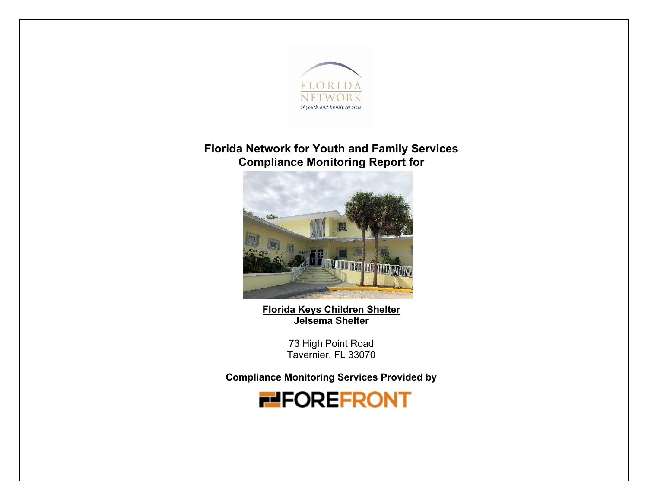

## **Florida Network for Youth and Family Services Compliance Monitoring Report for**



**Florida Keys Children Shelter Jelsema Shelter**

> 73 High Point Road Tavernier, FL 33070

**Compliance Monitoring Services Provided by** 

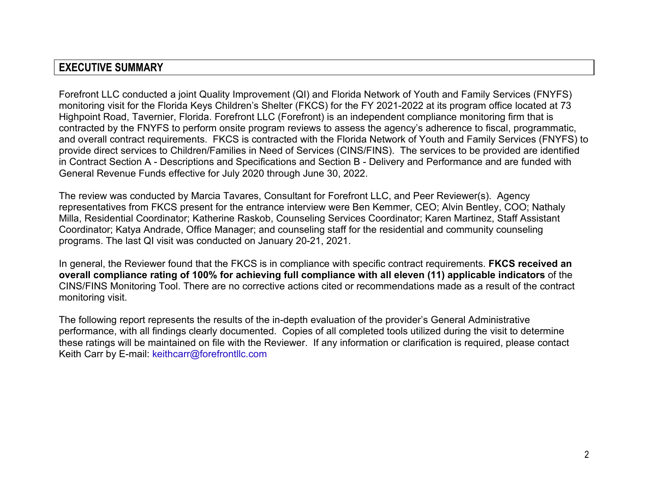## **EXECUTIVE SUMMARY**

Forefront LLC conducted a joint Quality Improvement (QI) and Florida Network of Youth and Family Services (FNYFS) monitoring visit for the Florida Keys Children's Shelter (FKCS) for the FY 2021-2022 at its program office located at 73 Highpoint Road, Tavernier, Florida. Forefront LLC (Forefront) is an independent compliance monitoring firm that is contracted by the FNYFS to perform onsite program reviews to assess the agency's adherence to fiscal, programmatic, and overall contract requirements. FKCS is contracted with the Florida Network of Youth and Family Services (FNYFS) to provide direct services to Children/Families in Need of Services (CINS/FINS). The services to be provided are identified in Contract Section A - Descriptions and Specifications and Section B - Delivery and Performance and are funded with General Revenue Funds effective for July 2020 through June 30, 2022.

The review was conducted by Marcia Tavares, Consultant for Forefront LLC, and Peer Reviewer(s). Agency representatives from FKCS present for the entrance interview were Ben Kemmer, CEO; Alvin Bentley, COO; Nathaly Milla, Residential Coordinator; Katherine Raskob, Counseling Services Coordinator; Karen Martinez, Staff Assistant Coordinator; Katya Andrade, Office Manager; and counseling staff for the residential and community counseling programs. The last QI visit was conducted on January 20-21, 2021.

In general, the Reviewer found that the FKCS is in compliance with specific contract requirements. **FKCS received an overall compliance rating of 100% for achieving full compliance with all eleven (11) applicable indicators** of the CINS/FINS Monitoring Tool. There are no corrective actions cited or recommendations made as a result of the contract monitoring visit.

The following report represents the results of the in-depth evaluation of the provider's General Administrative performance, with all findings clearly documented. Copies of all completed tools utilized during the visit to determine these ratings will be maintained on file with the Reviewer. If any information or clarification is required, please contact Keith Carr by E-mail: keithcarr@forefrontllc.com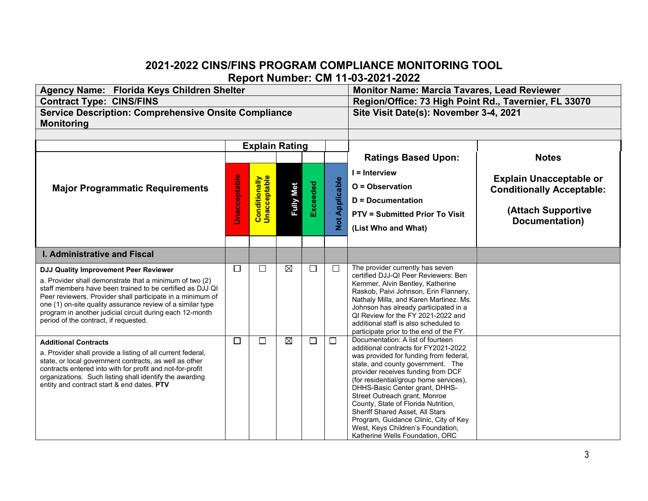### **2021-2022 CINS/FINS PROGRAM COMPLIANCE MONITORING TOOL Report Number: CM 11-03-2021-2022**

| Agency Name: Florida Keys Children Shelter                                                                                                                                                                                                                                                                                                                                                     |                       |                                      | <b>Monitor Name: Marcia Tavares, Lead Reviewer</b> |          |                       |                                                                                                                                                                                                                                                                                                                                                                                                                                                                                                        |                                                                                                            |  |
|------------------------------------------------------------------------------------------------------------------------------------------------------------------------------------------------------------------------------------------------------------------------------------------------------------------------------------------------------------------------------------------------|-----------------------|--------------------------------------|----------------------------------------------------|----------|-----------------------|--------------------------------------------------------------------------------------------------------------------------------------------------------------------------------------------------------------------------------------------------------------------------------------------------------------------------------------------------------------------------------------------------------------------------------------------------------------------------------------------------------|------------------------------------------------------------------------------------------------------------|--|
| <b>Contract Type: CINS/FINS</b><br><b>Service Description: Comprehensive Onsite Compliance</b>                                                                                                                                                                                                                                                                                                 |                       |                                      |                                                    |          |                       | Region/Office: 73 High Point Rd., Tavernier, FL 33070<br>Site Visit Date(s): November 3-4, 2021                                                                                                                                                                                                                                                                                                                                                                                                        |                                                                                                            |  |
| <b>Monitoring</b>                                                                                                                                                                                                                                                                                                                                                                              |                       |                                      |                                                    |          |                       |                                                                                                                                                                                                                                                                                                                                                                                                                                                                                                        |                                                                                                            |  |
|                                                                                                                                                                                                                                                                                                                                                                                                |                       |                                      |                                                    |          |                       |                                                                                                                                                                                                                                                                                                                                                                                                                                                                                                        |                                                                                                            |  |
|                                                                                                                                                                                                                                                                                                                                                                                                | <b>Explain Rating</b> |                                      |                                                    |          |                       |                                                                                                                                                                                                                                                                                                                                                                                                                                                                                                        | <b>Notes</b>                                                                                               |  |
| <b>Major Programmatic Requirements</b>                                                                                                                                                                                                                                                                                                                                                         | Unacceptable          | <b>Conditionally</b><br>Unacceptable | <b>Fully Met</b>                                   | Exceeded | <b>Not Applicable</b> | <b>Ratings Based Upon:</b><br>$I = Interview$<br>O = Observation<br><b>D</b> = Documentation<br><b>PTV = Submitted Prior To Visit</b><br>(List Who and What)                                                                                                                                                                                                                                                                                                                                           | <b>Explain Unacceptable or</b><br><b>Conditionally Acceptable:</b><br>(Attach Supportive<br>Documentation) |  |
| <b>I. Administrative and Fiscal</b>                                                                                                                                                                                                                                                                                                                                                            |                       |                                      |                                                    |          |                       |                                                                                                                                                                                                                                                                                                                                                                                                                                                                                                        |                                                                                                            |  |
|                                                                                                                                                                                                                                                                                                                                                                                                | $\Box$                | $\Box$                               | ⊠                                                  | $\Box$   | $\Box$                | The provider currently has seven                                                                                                                                                                                                                                                                                                                                                                                                                                                                       |                                                                                                            |  |
| DJJ Quality Improvement Peer Reviewer<br>a. Provider shall demonstrate that a minimum of two (2)<br>staff members have been trained to be certified as DJJ QI<br>Peer reviewers. Provider shall participate in a minimum of<br>one (1) on-site quality assurance review of a similar type<br>program in another judicial circuit during each 12-month<br>period of the contract, if requested. |                       |                                      |                                                    |          |                       | certified DJJ-QI Peer Reviewers: Ben<br>Kemmer, Alvin Bentley, Katherine<br>Raskob, Paivi Johnson, Erin Flannery,<br>Nathaly Milla, and Karen Martinez. Ms.<br>Johnson has already participated in a<br>QI Review for the FY 2021-2022 and<br>additional staff is also scheduled to<br>participate prior to the end of the FY.                                                                                                                                                                         |                                                                                                            |  |
| <b>Additional Contracts</b><br>a. Provider shall provide a listing of all current federal,<br>state, or local government contracts, as well as other<br>contracts entered into with for profit and not-for-profit<br>organizations. Such listing shall identify the awarding<br>entity and contract start & end dates. PTV                                                                     | $\Box$                | $\Box$                               | ⊠                                                  | $\Box$   | $\Box$                | Documentation: A list of fourteen<br>additional contracts for FY2021-2022<br>was provided for funding from federal,<br>state, and county government. The<br>provider receives funding from DCF<br>(for residential/group home services),<br>DHHS-Basic Center grant, DHHS-<br>Street Outreach grant, Monroe<br>County, State of Florida Nutrition,<br>Sheriff Shared Asset, All Stars<br>Program, Guidance Clinic, City of Key<br>West, Keys Children's Foundation,<br>Katherine Wells Foundation, ORC |                                                                                                            |  |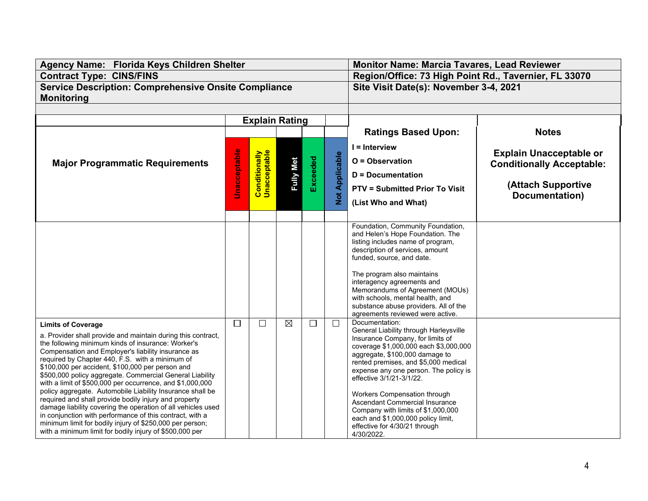| <b>Contract Type: CINS/FINS</b><br>Region/Office: 73 High Point Rd., Tavernier, FL 33070<br><b>Service Description: Comprehensive Onsite Compliance</b><br>Site Visit Date(s): November 3-4, 2021<br><b>Monitoring</b><br><b>Explain Rating</b><br><b>Ratings Based Upon:</b><br><b>Notes</b><br>$I =$ Interview<br><b>Unacceptable</b><br><b>Conditionally</b><br>Unacceptable<br><b>Explain Unacceptable or</b><br><b>Not Applicable</b><br>Exceeded<br><b>Fully Met</b><br>O = Observation<br><b>Major Programmatic Requirements</b><br><b>Conditionally Acceptable:</b><br><b>D</b> = Documentation<br>(Attach Supportive<br><b>PTV = Submitted Prior To Visit</b><br>Documentation)<br>(List Who and What)<br>Foundation, Community Foundation,<br>and Helen's Hope Foundation. The<br>listing includes name of program,<br>description of services, amount<br>funded, source, and date.<br>The program also maintains<br>interagency agreements and<br>Memorandums of Agreement (MOUs)<br>with schools, mental health, and<br>substance abuse providers. All of the<br>agreements reviewed were active.<br>Documentation:<br>$\boxtimes$<br>$\Box$<br>$\Box$<br>$\Box$<br>П<br><b>Limits of Coverage</b><br>General Liability through Harleysville<br>a. Provider shall provide and maintain during this contract,<br>Insurance Company, for limits of<br>the following minimum kinds of insurance: Worker's<br>coverage \$1,000,000 each \$3,000,000<br>Compensation and Employer's liability insurance as<br>aggregate, \$100,000 damage to<br>required by Chapter 440, F.S. with a minimum of<br>rented premises, and \$5,000 medical<br>\$100,000 per accident, \$100,000 per person and<br>expense any one person. The policy is<br>\$500,000 policy aggregate. Commercial General Liability<br>effective 3/1/21-3/1/22.<br>with a limit of \$500,000 per occurrence, and \$1,000,000<br>policy aggregate. Automobile Liability Insurance shall be<br>Workers Compensation through<br>required and shall provide bodily injury and property<br>Ascendant Commercial Insurance<br>damage liability covering the operation of all vehicles used<br>Company with limits of \$1,000,000<br>in conjunction with performance of this contract, with a<br>each and \$1,000,000 policy limit,<br>minimum limit for bodily injury of \$250,000 per person;<br>effective for 4/30/21 through | Agency Name: Florida Keys Children Shelter              |  |  | <b>Monitor Name: Marcia Tavares, Lead Reviewer</b> |  |            |  |  |
|-----------------------------------------------------------------------------------------------------------------------------------------------------------------------------------------------------------------------------------------------------------------------------------------------------------------------------------------------------------------------------------------------------------------------------------------------------------------------------------------------------------------------------------------------------------------------------------------------------------------------------------------------------------------------------------------------------------------------------------------------------------------------------------------------------------------------------------------------------------------------------------------------------------------------------------------------------------------------------------------------------------------------------------------------------------------------------------------------------------------------------------------------------------------------------------------------------------------------------------------------------------------------------------------------------------------------------------------------------------------------------------------------------------------------------------------------------------------------------------------------------------------------------------------------------------------------------------------------------------------------------------------------------------------------------------------------------------------------------------------------------------------------------------------------------------------------------------------------------------------------------------------------------------------------------------------------------------------------------------------------------------------------------------------------------------------------------------------------------------------------------------------------------------------------------------------------------------------------------------------------------------------------------------------------------------------------------------------------------------------------------------------------|---------------------------------------------------------|--|--|----------------------------------------------------|--|------------|--|--|
|                                                                                                                                                                                                                                                                                                                                                                                                                                                                                                                                                                                                                                                                                                                                                                                                                                                                                                                                                                                                                                                                                                                                                                                                                                                                                                                                                                                                                                                                                                                                                                                                                                                                                                                                                                                                                                                                                                                                                                                                                                                                                                                                                                                                                                                                                                                                                                                               |                                                         |  |  |                                                    |  |            |  |  |
|                                                                                                                                                                                                                                                                                                                                                                                                                                                                                                                                                                                                                                                                                                                                                                                                                                                                                                                                                                                                                                                                                                                                                                                                                                                                                                                                                                                                                                                                                                                                                                                                                                                                                                                                                                                                                                                                                                                                                                                                                                                                                                                                                                                                                                                                                                                                                                                               |                                                         |  |  |                                                    |  |            |  |  |
|                                                                                                                                                                                                                                                                                                                                                                                                                                                                                                                                                                                                                                                                                                                                                                                                                                                                                                                                                                                                                                                                                                                                                                                                                                                                                                                                                                                                                                                                                                                                                                                                                                                                                                                                                                                                                                                                                                                                                                                                                                                                                                                                                                                                                                                                                                                                                                                               |                                                         |  |  |                                                    |  |            |  |  |
|                                                                                                                                                                                                                                                                                                                                                                                                                                                                                                                                                                                                                                                                                                                                                                                                                                                                                                                                                                                                                                                                                                                                                                                                                                                                                                                                                                                                                                                                                                                                                                                                                                                                                                                                                                                                                                                                                                                                                                                                                                                                                                                                                                                                                                                                                                                                                                                               |                                                         |  |  |                                                    |  |            |  |  |
|                                                                                                                                                                                                                                                                                                                                                                                                                                                                                                                                                                                                                                                                                                                                                                                                                                                                                                                                                                                                                                                                                                                                                                                                                                                                                                                                                                                                                                                                                                                                                                                                                                                                                                                                                                                                                                                                                                                                                                                                                                                                                                                                                                                                                                                                                                                                                                                               |                                                         |  |  |                                                    |  |            |  |  |
|                                                                                                                                                                                                                                                                                                                                                                                                                                                                                                                                                                                                                                                                                                                                                                                                                                                                                                                                                                                                                                                                                                                                                                                                                                                                                                                                                                                                                                                                                                                                                                                                                                                                                                                                                                                                                                                                                                                                                                                                                                                                                                                                                                                                                                                                                                                                                                                               |                                                         |  |  |                                                    |  |            |  |  |
|                                                                                                                                                                                                                                                                                                                                                                                                                                                                                                                                                                                                                                                                                                                                                                                                                                                                                                                                                                                                                                                                                                                                                                                                                                                                                                                                                                                                                                                                                                                                                                                                                                                                                                                                                                                                                                                                                                                                                                                                                                                                                                                                                                                                                                                                                                                                                                                               |                                                         |  |  |                                                    |  |            |  |  |
|                                                                                                                                                                                                                                                                                                                                                                                                                                                                                                                                                                                                                                                                                                                                                                                                                                                                                                                                                                                                                                                                                                                                                                                                                                                                                                                                                                                                                                                                                                                                                                                                                                                                                                                                                                                                                                                                                                                                                                                                                                                                                                                                                                                                                                                                                                                                                                                               |                                                         |  |  |                                                    |  |            |  |  |
|                                                                                                                                                                                                                                                                                                                                                                                                                                                                                                                                                                                                                                                                                                                                                                                                                                                                                                                                                                                                                                                                                                                                                                                                                                                                                                                                                                                                                                                                                                                                                                                                                                                                                                                                                                                                                                                                                                                                                                                                                                                                                                                                                                                                                                                                                                                                                                                               |                                                         |  |  |                                                    |  |            |  |  |
|                                                                                                                                                                                                                                                                                                                                                                                                                                                                                                                                                                                                                                                                                                                                                                                                                                                                                                                                                                                                                                                                                                                                                                                                                                                                                                                                                                                                                                                                                                                                                                                                                                                                                                                                                                                                                                                                                                                                                                                                                                                                                                                                                                                                                                                                                                                                                                                               |                                                         |  |  |                                                    |  |            |  |  |
|                                                                                                                                                                                                                                                                                                                                                                                                                                                                                                                                                                                                                                                                                                                                                                                                                                                                                                                                                                                                                                                                                                                                                                                                                                                                                                                                                                                                                                                                                                                                                                                                                                                                                                                                                                                                                                                                                                                                                                                                                                                                                                                                                                                                                                                                                                                                                                                               |                                                         |  |  |                                                    |  |            |  |  |
|                                                                                                                                                                                                                                                                                                                                                                                                                                                                                                                                                                                                                                                                                                                                                                                                                                                                                                                                                                                                                                                                                                                                                                                                                                                                                                                                                                                                                                                                                                                                                                                                                                                                                                                                                                                                                                                                                                                                                                                                                                                                                                                                                                                                                                                                                                                                                                                               |                                                         |  |  |                                                    |  |            |  |  |
|                                                                                                                                                                                                                                                                                                                                                                                                                                                                                                                                                                                                                                                                                                                                                                                                                                                                                                                                                                                                                                                                                                                                                                                                                                                                                                                                                                                                                                                                                                                                                                                                                                                                                                                                                                                                                                                                                                                                                                                                                                                                                                                                                                                                                                                                                                                                                                                               |                                                         |  |  |                                                    |  |            |  |  |
|                                                                                                                                                                                                                                                                                                                                                                                                                                                                                                                                                                                                                                                                                                                                                                                                                                                                                                                                                                                                                                                                                                                                                                                                                                                                                                                                                                                                                                                                                                                                                                                                                                                                                                                                                                                                                                                                                                                                                                                                                                                                                                                                                                                                                                                                                                                                                                                               |                                                         |  |  |                                                    |  |            |  |  |
|                                                                                                                                                                                                                                                                                                                                                                                                                                                                                                                                                                                                                                                                                                                                                                                                                                                                                                                                                                                                                                                                                                                                                                                                                                                                                                                                                                                                                                                                                                                                                                                                                                                                                                                                                                                                                                                                                                                                                                                                                                                                                                                                                                                                                                                                                                                                                                                               |                                                         |  |  |                                                    |  |            |  |  |
|                                                                                                                                                                                                                                                                                                                                                                                                                                                                                                                                                                                                                                                                                                                                                                                                                                                                                                                                                                                                                                                                                                                                                                                                                                                                                                                                                                                                                                                                                                                                                                                                                                                                                                                                                                                                                                                                                                                                                                                                                                                                                                                                                                                                                                                                                                                                                                                               |                                                         |  |  |                                                    |  |            |  |  |
|                                                                                                                                                                                                                                                                                                                                                                                                                                                                                                                                                                                                                                                                                                                                                                                                                                                                                                                                                                                                                                                                                                                                                                                                                                                                                                                                                                                                                                                                                                                                                                                                                                                                                                                                                                                                                                                                                                                                                                                                                                                                                                                                                                                                                                                                                                                                                                                               |                                                         |  |  |                                                    |  |            |  |  |
|                                                                                                                                                                                                                                                                                                                                                                                                                                                                                                                                                                                                                                                                                                                                                                                                                                                                                                                                                                                                                                                                                                                                                                                                                                                                                                                                                                                                                                                                                                                                                                                                                                                                                                                                                                                                                                                                                                                                                                                                                                                                                                                                                                                                                                                                                                                                                                                               |                                                         |  |  |                                                    |  |            |  |  |
|                                                                                                                                                                                                                                                                                                                                                                                                                                                                                                                                                                                                                                                                                                                                                                                                                                                                                                                                                                                                                                                                                                                                                                                                                                                                                                                                                                                                                                                                                                                                                                                                                                                                                                                                                                                                                                                                                                                                                                                                                                                                                                                                                                                                                                                                                                                                                                                               |                                                         |  |  |                                                    |  |            |  |  |
|                                                                                                                                                                                                                                                                                                                                                                                                                                                                                                                                                                                                                                                                                                                                                                                                                                                                                                                                                                                                                                                                                                                                                                                                                                                                                                                                                                                                                                                                                                                                                                                                                                                                                                                                                                                                                                                                                                                                                                                                                                                                                                                                                                                                                                                                                                                                                                                               |                                                         |  |  |                                                    |  |            |  |  |
|                                                                                                                                                                                                                                                                                                                                                                                                                                                                                                                                                                                                                                                                                                                                                                                                                                                                                                                                                                                                                                                                                                                                                                                                                                                                                                                                                                                                                                                                                                                                                                                                                                                                                                                                                                                                                                                                                                                                                                                                                                                                                                                                                                                                                                                                                                                                                                                               |                                                         |  |  |                                                    |  |            |  |  |
|                                                                                                                                                                                                                                                                                                                                                                                                                                                                                                                                                                                                                                                                                                                                                                                                                                                                                                                                                                                                                                                                                                                                                                                                                                                                                                                                                                                                                                                                                                                                                                                                                                                                                                                                                                                                                                                                                                                                                                                                                                                                                                                                                                                                                                                                                                                                                                                               |                                                         |  |  |                                                    |  |            |  |  |
|                                                                                                                                                                                                                                                                                                                                                                                                                                                                                                                                                                                                                                                                                                                                                                                                                                                                                                                                                                                                                                                                                                                                                                                                                                                                                                                                                                                                                                                                                                                                                                                                                                                                                                                                                                                                                                                                                                                                                                                                                                                                                                                                                                                                                                                                                                                                                                                               |                                                         |  |  |                                                    |  |            |  |  |
|                                                                                                                                                                                                                                                                                                                                                                                                                                                                                                                                                                                                                                                                                                                                                                                                                                                                                                                                                                                                                                                                                                                                                                                                                                                                                                                                                                                                                                                                                                                                                                                                                                                                                                                                                                                                                                                                                                                                                                                                                                                                                                                                                                                                                                                                                                                                                                                               |                                                         |  |  |                                                    |  |            |  |  |
|                                                                                                                                                                                                                                                                                                                                                                                                                                                                                                                                                                                                                                                                                                                                                                                                                                                                                                                                                                                                                                                                                                                                                                                                                                                                                                                                                                                                                                                                                                                                                                                                                                                                                                                                                                                                                                                                                                                                                                                                                                                                                                                                                                                                                                                                                                                                                                                               |                                                         |  |  |                                                    |  |            |  |  |
|                                                                                                                                                                                                                                                                                                                                                                                                                                                                                                                                                                                                                                                                                                                                                                                                                                                                                                                                                                                                                                                                                                                                                                                                                                                                                                                                                                                                                                                                                                                                                                                                                                                                                                                                                                                                                                                                                                                                                                                                                                                                                                                                                                                                                                                                                                                                                                                               |                                                         |  |  |                                                    |  |            |  |  |
|                                                                                                                                                                                                                                                                                                                                                                                                                                                                                                                                                                                                                                                                                                                                                                                                                                                                                                                                                                                                                                                                                                                                                                                                                                                                                                                                                                                                                                                                                                                                                                                                                                                                                                                                                                                                                                                                                                                                                                                                                                                                                                                                                                                                                                                                                                                                                                                               |                                                         |  |  |                                                    |  |            |  |  |
|                                                                                                                                                                                                                                                                                                                                                                                                                                                                                                                                                                                                                                                                                                                                                                                                                                                                                                                                                                                                                                                                                                                                                                                                                                                                                                                                                                                                                                                                                                                                                                                                                                                                                                                                                                                                                                                                                                                                                                                                                                                                                                                                                                                                                                                                                                                                                                                               |                                                         |  |  |                                                    |  |            |  |  |
|                                                                                                                                                                                                                                                                                                                                                                                                                                                                                                                                                                                                                                                                                                                                                                                                                                                                                                                                                                                                                                                                                                                                                                                                                                                                                                                                                                                                                                                                                                                                                                                                                                                                                                                                                                                                                                                                                                                                                                                                                                                                                                                                                                                                                                                                                                                                                                                               |                                                         |  |  |                                                    |  |            |  |  |
|                                                                                                                                                                                                                                                                                                                                                                                                                                                                                                                                                                                                                                                                                                                                                                                                                                                                                                                                                                                                                                                                                                                                                                                                                                                                                                                                                                                                                                                                                                                                                                                                                                                                                                                                                                                                                                                                                                                                                                                                                                                                                                                                                                                                                                                                                                                                                                                               |                                                         |  |  |                                                    |  |            |  |  |
|                                                                                                                                                                                                                                                                                                                                                                                                                                                                                                                                                                                                                                                                                                                                                                                                                                                                                                                                                                                                                                                                                                                                                                                                                                                                                                                                                                                                                                                                                                                                                                                                                                                                                                                                                                                                                                                                                                                                                                                                                                                                                                                                                                                                                                                                                                                                                                                               |                                                         |  |  |                                                    |  |            |  |  |
|                                                                                                                                                                                                                                                                                                                                                                                                                                                                                                                                                                                                                                                                                                                                                                                                                                                                                                                                                                                                                                                                                                                                                                                                                                                                                                                                                                                                                                                                                                                                                                                                                                                                                                                                                                                                                                                                                                                                                                                                                                                                                                                                                                                                                                                                                                                                                                                               |                                                         |  |  |                                                    |  |            |  |  |
|                                                                                                                                                                                                                                                                                                                                                                                                                                                                                                                                                                                                                                                                                                                                                                                                                                                                                                                                                                                                                                                                                                                                                                                                                                                                                                                                                                                                                                                                                                                                                                                                                                                                                                                                                                                                                                                                                                                                                                                                                                                                                                                                                                                                                                                                                                                                                                                               |                                                         |  |  |                                                    |  |            |  |  |
|                                                                                                                                                                                                                                                                                                                                                                                                                                                                                                                                                                                                                                                                                                                                                                                                                                                                                                                                                                                                                                                                                                                                                                                                                                                                                                                                                                                                                                                                                                                                                                                                                                                                                                                                                                                                                                                                                                                                                                                                                                                                                                                                                                                                                                                                                                                                                                                               | with a minimum limit for bodily injury of \$500,000 per |  |  |                                                    |  | 4/30/2022. |  |  |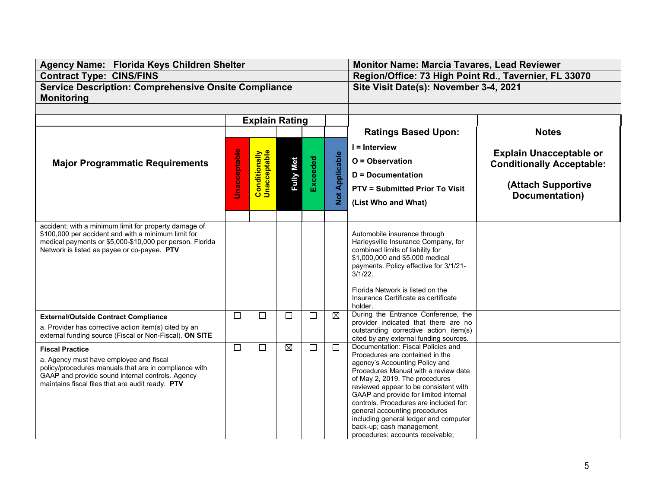| Agency Name: Florida Keys Children Shelter                                                                   |                     |                                      | <b>Monitor Name: Marcia Tavares, Lead Reviewer</b> |                 |                                       |                                                                                 |                                  |  |
|--------------------------------------------------------------------------------------------------------------|---------------------|--------------------------------------|----------------------------------------------------|-----------------|---------------------------------------|---------------------------------------------------------------------------------|----------------------------------|--|
| <b>Contract Type: CINS/FINS</b>                                                                              |                     |                                      |                                                    |                 |                                       | Region/Office: 73 High Point Rd., Tavernier, FL 33070                           |                                  |  |
| <b>Service Description: Comprehensive Onsite Compliance</b>                                                  |                     |                                      |                                                    |                 |                                       | Site Visit Date(s): November 3-4, 2021                                          |                                  |  |
| <b>Monitoring</b>                                                                                            |                     |                                      |                                                    |                 |                                       |                                                                                 |                                  |  |
|                                                                                                              |                     |                                      |                                                    |                 |                                       |                                                                                 |                                  |  |
|                                                                                                              |                     | <b>Explain Rating</b>                |                                                    |                 |                                       |                                                                                 |                                  |  |
|                                                                                                              |                     |                                      |                                                    |                 |                                       | <b>Ratings Based Upon:</b>                                                      | <b>Notes</b>                     |  |
|                                                                                                              |                     |                                      |                                                    |                 |                                       | $I =$ Interview                                                                 |                                  |  |
|                                                                                                              |                     |                                      |                                                    |                 |                                       | <b>Explain Unacceptable or</b>                                                  |                                  |  |
| <b>Major Programmatic Requirements</b>                                                                       | <b>Unacceptable</b> | <b>Conditionally</b><br>Unacceptable | <b>Fully Met</b>                                   | <b>Exceeded</b> | <b>Not Applicable</b>                 | O = Observation                                                                 | <b>Conditionally Acceptable:</b> |  |
|                                                                                                              |                     |                                      |                                                    |                 |                                       | <b>D</b> = Documentation                                                        |                                  |  |
|                                                                                                              |                     |                                      |                                                    |                 |                                       | <b>PTV = Submitted Prior To Visit</b>                                           | (Attach Supportive               |  |
|                                                                                                              |                     |                                      |                                                    |                 |                                       |                                                                                 | Documentation)                   |  |
|                                                                                                              |                     |                                      |                                                    |                 |                                       | (List Who and What)                                                             |                                  |  |
|                                                                                                              |                     |                                      |                                                    |                 |                                       |                                                                                 |                                  |  |
| accident; with a minimum limit for property damage of<br>\$100,000 per accident and with a minimum limit for |                     |                                      |                                                    |                 |                                       | Automobile insurance through                                                    |                                  |  |
| medical payments or \$5,000-\$10,000 per person. Florida                                                     |                     |                                      |                                                    |                 |                                       | Harleysville Insurance Company, for                                             |                                  |  |
| Network is listed as payee or co-payee. PTV                                                                  |                     |                                      |                                                    |                 |                                       | combined limits of liability for                                                |                                  |  |
|                                                                                                              |                     |                                      |                                                    |                 |                                       | \$1,000,000 and \$5,000 medical                                                 |                                  |  |
|                                                                                                              |                     |                                      |                                                    |                 |                                       | payments. Policy effective for 3/1/21-<br>$3/1/22$ .                            |                                  |  |
|                                                                                                              |                     |                                      |                                                    |                 |                                       |                                                                                 |                                  |  |
|                                                                                                              |                     |                                      |                                                    |                 |                                       | Florida Network is listed on the                                                |                                  |  |
|                                                                                                              |                     |                                      |                                                    |                 |                                       | Insurance Certificate as certificate<br>holder.                                 |                                  |  |
| <b>External/Outside Contract Compliance</b>                                                                  | $\Box$              | $\Box$                               | $\Box$                                             | ⊔               | $\boxtimes$                           | During the Entrance Conference, the                                             |                                  |  |
| a. Provider has corrective action item(s) cited by an                                                        |                     |                                      |                                                    |                 |                                       | provider indicated that there are no                                            |                                  |  |
| external funding source (Fiscal or Non-Fiscal). ON SITE                                                      |                     |                                      |                                                    |                 |                                       | outstanding corrective action item(s)<br>cited by any external funding sources. |                                  |  |
| <b>Fiscal Practice</b>                                                                                       | $\Box$              | □                                    | $\boxtimes$                                        | $\Box$          | $\Box$                                | Documentation: Fiscal Policies and                                              |                                  |  |
| a. Agency must have employee and fiscal                                                                      |                     |                                      |                                                    |                 |                                       | Procedures are contained in the                                                 |                                  |  |
| policy/procedures manuals that are in compliance with                                                        |                     |                                      |                                                    |                 |                                       | agency's Accounting Policy and<br>Procedures Manual with a review date          |                                  |  |
| GAAP and provide sound internal controls. Agency                                                             |                     |                                      |                                                    |                 |                                       | of May 2, 2019. The procedures                                                  |                                  |  |
| maintains fiscal files that are audit ready. PTV                                                             |                     |                                      |                                                    |                 |                                       | reviewed appear to be consistent with                                           |                                  |  |
|                                                                                                              |                     |                                      |                                                    |                 | GAAP and provide for limited internal |                                                                                 |                                  |  |
|                                                                                                              |                     |                                      |                                                    |                 |                                       | controls. Procedures are included for:<br>general accounting procedures         |                                  |  |
|                                                                                                              |                     |                                      |                                                    |                 |                                       | including general ledger and computer                                           |                                  |  |
|                                                                                                              |                     |                                      |                                                    |                 |                                       | back-up; cash management                                                        |                                  |  |
|                                                                                                              |                     |                                      |                                                    |                 |                                       | procedures: accounts receivable;                                                |                                  |  |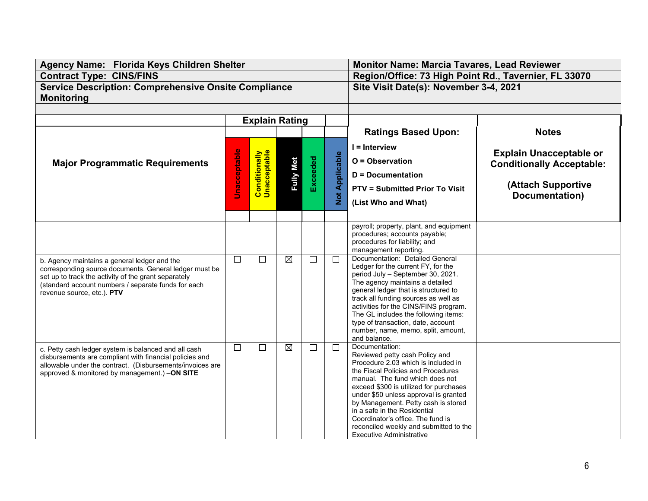| Agency Name: Florida Keys Children Shelter                                                                      |                     |                                      | <b>Monitor Name: Marcia Tavares, Lead Reviewer</b> |          |                       |                                                                               |                                  |  |
|-----------------------------------------------------------------------------------------------------------------|---------------------|--------------------------------------|----------------------------------------------------|----------|-----------------------|-------------------------------------------------------------------------------|----------------------------------|--|
| <b>Contract Type: CINS/FINS</b>                                                                                 |                     |                                      |                                                    |          |                       | Region/Office: 73 High Point Rd., Tavernier, FL 33070                         |                                  |  |
| <b>Service Description: Comprehensive Onsite Compliance</b>                                                     |                     |                                      |                                                    |          |                       | Site Visit Date(s): November 3-4, 2021                                        |                                  |  |
| <b>Monitoring</b>                                                                                               |                     |                                      |                                                    |          |                       |                                                                               |                                  |  |
|                                                                                                                 |                     |                                      |                                                    |          |                       |                                                                               |                                  |  |
|                                                                                                                 |                     | <b>Explain Rating</b>                |                                                    |          |                       |                                                                               |                                  |  |
|                                                                                                                 |                     |                                      |                                                    |          |                       | <b>Ratings Based Upon:</b>                                                    | <b>Notes</b>                     |  |
|                                                                                                                 |                     |                                      |                                                    |          |                       |                                                                               |                                  |  |
|                                                                                                                 |                     |                                      |                                                    |          |                       | I = Interview                                                                 | <b>Explain Unacceptable or</b>   |  |
| <b>Major Programmatic Requirements</b>                                                                          | <b>Unacceptable</b> | <b>Conditionally</b><br>Unacceptable | <b>Fully Met</b>                                   |          | <b>Not Applicable</b> | O = Observation                                                               | <b>Conditionally Acceptable:</b> |  |
|                                                                                                                 |                     |                                      |                                                    | Exceeded |                       | D = Documentation                                                             |                                  |  |
|                                                                                                                 |                     |                                      |                                                    |          |                       |                                                                               | (Attach Supportive               |  |
|                                                                                                                 |                     |                                      |                                                    |          |                       | <b>PTV = Submitted Prior To Visit</b>                                         | Documentation)                   |  |
|                                                                                                                 |                     |                                      |                                                    |          |                       | (List Who and What)                                                           |                                  |  |
|                                                                                                                 |                     |                                      |                                                    |          |                       |                                                                               |                                  |  |
|                                                                                                                 |                     |                                      |                                                    |          |                       | payroll; property, plant, and equipment                                       |                                  |  |
|                                                                                                                 |                     |                                      |                                                    |          |                       | procedures; accounts payable;                                                 |                                  |  |
|                                                                                                                 |                     |                                      |                                                    |          |                       | procedures for liability; and                                                 |                                  |  |
|                                                                                                                 |                     |                                      |                                                    |          |                       | management reporting.                                                         |                                  |  |
| b. Agency maintains a general ledger and the                                                                    | $\Box$              | $\Box$                               | $\boxtimes$                                        | $\Box$   | $\Box$                | Documentation: Detailed General<br>Ledger for the current FY, for the         |                                  |  |
| corresponding source documents. General ledger must be<br>set up to track the activity of the grant separately  |                     |                                      |                                                    |          |                       | period July - September 30, 2021.                                             |                                  |  |
| (standard account numbers / separate funds for each                                                             |                     |                                      |                                                    |          |                       | The agency maintains a detailed                                               |                                  |  |
| revenue source, etc.). PTV                                                                                      |                     |                                      |                                                    |          |                       | general ledger that is structured to                                          |                                  |  |
|                                                                                                                 |                     |                                      |                                                    |          |                       | track all funding sources as well as<br>activities for the CINS/FINS program. |                                  |  |
|                                                                                                                 |                     |                                      |                                                    |          |                       | The GL includes the following items:                                          |                                  |  |
|                                                                                                                 |                     |                                      |                                                    |          |                       | type of transaction, date, account                                            |                                  |  |
|                                                                                                                 |                     |                                      |                                                    |          |                       | number, name, memo, split, amount,                                            |                                  |  |
|                                                                                                                 | $\Box$              | $\Box$                               | $\boxtimes$                                        | $\Box$   | $\Box$                | and balance.<br>Documentation:                                                |                                  |  |
| c. Petty cash ledger system is balanced and all cash<br>disbursements are compliant with financial policies and |                     |                                      |                                                    |          |                       | Reviewed petty cash Policy and                                                |                                  |  |
| allowable under the contract. (Disbursements/invoices are                                                       |                     |                                      |                                                    |          |                       | Procedure 2.03 which is included in                                           |                                  |  |
| approved & monitored by management.) -ON SITE                                                                   |                     |                                      |                                                    |          |                       | the Fiscal Policies and Procedures                                            |                                  |  |
|                                                                                                                 |                     |                                      |                                                    |          |                       | manual. The fund which does not<br>exceed \$300 is utilized for purchases     |                                  |  |
|                                                                                                                 |                     |                                      |                                                    |          |                       | under \$50 unless approval is granted                                         |                                  |  |
|                                                                                                                 |                     |                                      |                                                    |          |                       | by Management. Petty cash is stored                                           |                                  |  |
|                                                                                                                 |                     |                                      |                                                    |          |                       | in a safe in the Residential                                                  |                                  |  |
|                                                                                                                 |                     |                                      |                                                    |          |                       | Coordinator's office. The fund is<br>reconciled weekly and submitted to the   |                                  |  |
|                                                                                                                 |                     |                                      |                                                    |          |                       | Executive Administrative                                                      |                                  |  |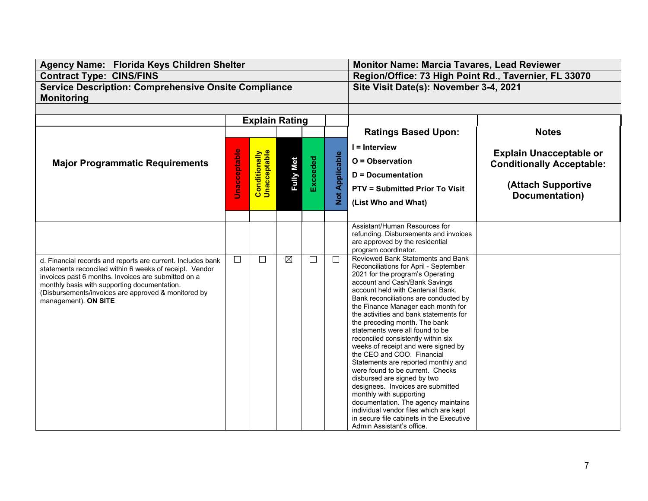| Agency Name: Florida Keys Children Shelter                                                                                                                                                                                                                                                                   |                     |                                      | <b>Monitor Name: Marcia Tavares, Lead Reviewer</b> |                 |                       |                                                                                                                                                                                                                                                                                                                                                                                                                                                                                                                                                                                                                                                                                                                                                                                                                                  |                                                                                          |  |
|--------------------------------------------------------------------------------------------------------------------------------------------------------------------------------------------------------------------------------------------------------------------------------------------------------------|---------------------|--------------------------------------|----------------------------------------------------|-----------------|-----------------------|----------------------------------------------------------------------------------------------------------------------------------------------------------------------------------------------------------------------------------------------------------------------------------------------------------------------------------------------------------------------------------------------------------------------------------------------------------------------------------------------------------------------------------------------------------------------------------------------------------------------------------------------------------------------------------------------------------------------------------------------------------------------------------------------------------------------------------|------------------------------------------------------------------------------------------|--|
| <b>Contract Type: CINS/FINS</b>                                                                                                                                                                                                                                                                              |                     |                                      |                                                    |                 |                       | Region/Office: 73 High Point Rd., Tavernier, FL 33070                                                                                                                                                                                                                                                                                                                                                                                                                                                                                                                                                                                                                                                                                                                                                                            |                                                                                          |  |
| <b>Service Description: Comprehensive Onsite Compliance</b>                                                                                                                                                                                                                                                  |                     |                                      |                                                    |                 |                       | Site Visit Date(s): November 3-4, 2021                                                                                                                                                                                                                                                                                                                                                                                                                                                                                                                                                                                                                                                                                                                                                                                           |                                                                                          |  |
| <b>Monitoring</b>                                                                                                                                                                                                                                                                                            |                     |                                      |                                                    |                 |                       |                                                                                                                                                                                                                                                                                                                                                                                                                                                                                                                                                                                                                                                                                                                                                                                                                                  |                                                                                          |  |
|                                                                                                                                                                                                                                                                                                              |                     |                                      |                                                    |                 |                       |                                                                                                                                                                                                                                                                                                                                                                                                                                                                                                                                                                                                                                                                                                                                                                                                                                  |                                                                                          |  |
|                                                                                                                                                                                                                                                                                                              |                     | <b>Explain Rating</b>                |                                                    |                 |                       |                                                                                                                                                                                                                                                                                                                                                                                                                                                                                                                                                                                                                                                                                                                                                                                                                                  |                                                                                          |  |
|                                                                                                                                                                                                                                                                                                              |                     |                                      |                                                    |                 |                       | <b>Ratings Based Upon:</b>                                                                                                                                                                                                                                                                                                                                                                                                                                                                                                                                                                                                                                                                                                                                                                                                       | <b>Notes</b>                                                                             |  |
| <b>Major Programmatic Requirements</b>                                                                                                                                                                                                                                                                       | <b>Unacceptable</b> | <b>Conditionally</b><br>Unacceptable | <b>Fully Met</b>                                   | <b>Exceeded</b> | <b>Not Applicable</b> | $I = Interview$<br>O = Observation<br><b>D</b> = Documentation                                                                                                                                                                                                                                                                                                                                                                                                                                                                                                                                                                                                                                                                                                                                                                   | <b>Explain Unacceptable or</b><br><b>Conditionally Acceptable:</b><br>(Attach Supportive |  |
|                                                                                                                                                                                                                                                                                                              |                     |                                      |                                                    |                 |                       | <b>PTV = Submitted Prior To Visit</b><br>(List Who and What)                                                                                                                                                                                                                                                                                                                                                                                                                                                                                                                                                                                                                                                                                                                                                                     | Documentation)                                                                           |  |
|                                                                                                                                                                                                                                                                                                              |                     |                                      |                                                    |                 |                       | Assistant/Human Resources for<br>refunding. Disbursements and invoices<br>are approved by the residential<br>program coordinator.                                                                                                                                                                                                                                                                                                                                                                                                                                                                                                                                                                                                                                                                                                |                                                                                          |  |
| d. Financial records and reports are current. Includes bank<br>statements reconciled within 6 weeks of receipt. Vendor<br>invoices past 6 months. Invoices are submitted on a<br>monthly basis with supporting documentation.<br>(Disbursements/invoices are approved & monitored by<br>management). ON SITE | $\Box$              | $\Box$                               | ⊠                                                  | $\Box$          | $\Box$                | Reviewed Bank Statements and Bank<br>Reconciliations for April - September<br>2021 for the program's Operating<br>account and Cash/Bank Savings<br>account held with Centenial Bank.<br>Bank reconciliations are conducted by<br>the Finance Manager each month for<br>the activities and bank statements for<br>the preceding month. The bank<br>statements were all found to be<br>reconciled consistently within six<br>weeks of receipt and were signed by<br>the CEO and COO. Financial<br>Statements are reported monthly and<br>were found to be current. Checks<br>disbursed are signed by two<br>designees. Invoices are submitted<br>monthly with supporting<br>documentation. The agency maintains<br>individual vendor files which are kept<br>in secure file cabinets in the Executive<br>Admin Assistant's office. |                                                                                          |  |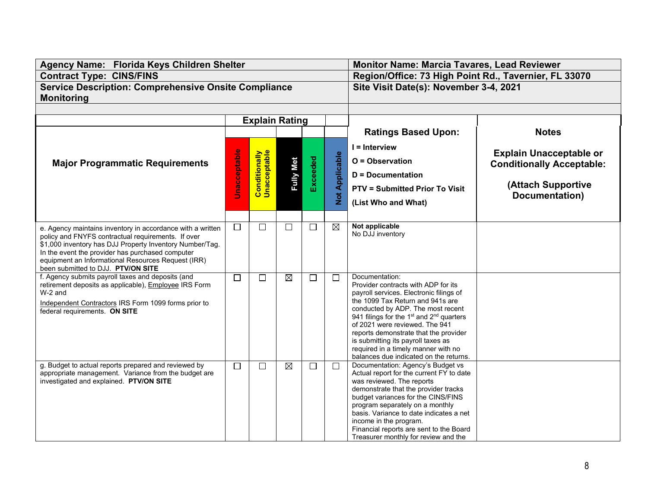| Agency Name: Florida Keys Children Shelter                                                                       |                     |                                      |                  | <b>Monitor Name: Marcia Tavares, Lead Reviewer</b> |                       |                                                                                                       |                                  |  |
|------------------------------------------------------------------------------------------------------------------|---------------------|--------------------------------------|------------------|----------------------------------------------------|-----------------------|-------------------------------------------------------------------------------------------------------|----------------------------------|--|
| <b>Contract Type: CINS/FINS</b>                                                                                  |                     |                                      |                  |                                                    |                       | Region/Office: 73 High Point Rd., Tavernier, FL 33070                                                 |                                  |  |
| <b>Service Description: Comprehensive Onsite Compliance</b>                                                      |                     |                                      |                  |                                                    |                       | Site Visit Date(s): November 3-4, 2021                                                                |                                  |  |
| <b>Monitoring</b>                                                                                                |                     |                                      |                  |                                                    |                       |                                                                                                       |                                  |  |
|                                                                                                                  |                     |                                      |                  |                                                    |                       |                                                                                                       |                                  |  |
|                                                                                                                  |                     | <b>Explain Rating</b>                |                  |                                                    |                       |                                                                                                       |                                  |  |
|                                                                                                                  |                     |                                      |                  |                                                    |                       | <b>Ratings Based Upon:</b>                                                                            | <b>Notes</b>                     |  |
|                                                                                                                  |                     |                                      |                  |                                                    |                       | $I =$ Interview                                                                                       |                                  |  |
|                                                                                                                  | <b>Unacceptable</b> | <b>Conditionally</b><br>Unacceptable |                  |                                                    |                       |                                                                                                       | <b>Explain Unacceptable or</b>   |  |
| <b>Major Programmatic Requirements</b>                                                                           |                     |                                      | <b>Fully Met</b> | Exceeded                                           | <b>Not Applicable</b> | O = Observation                                                                                       | <b>Conditionally Acceptable:</b> |  |
|                                                                                                                  |                     |                                      |                  |                                                    |                       | <b>D</b> = Documentation                                                                              |                                  |  |
|                                                                                                                  |                     |                                      |                  |                                                    |                       | <b>PTV = Submitted Prior To Visit</b>                                                                 | (Attach Supportive               |  |
|                                                                                                                  |                     |                                      |                  |                                                    |                       | (List Who and What)                                                                                   | Documentation)                   |  |
|                                                                                                                  |                     |                                      |                  |                                                    |                       |                                                                                                       |                                  |  |
|                                                                                                                  | $\Box$              | $\Box$                               | $\Box$           | $\Box$                                             | $\boxtimes$           | Not applicable                                                                                        |                                  |  |
| e. Agency maintains inventory in accordance with a written<br>policy and FNYFS contractual requirements. If over |                     |                                      |                  |                                                    |                       | No DJJ inventory                                                                                      |                                  |  |
| \$1,000 inventory has DJJ Property Inventory Number/Tag.                                                         |                     |                                      |                  |                                                    |                       |                                                                                                       |                                  |  |
| In the event the provider has purchased computer<br>equipment an Informational Resources Request (IRR)           |                     |                                      |                  |                                                    |                       |                                                                                                       |                                  |  |
| been submitted to DJJ. PTV/ON SITE                                                                               |                     |                                      |                  |                                                    |                       |                                                                                                       |                                  |  |
| f. Agency submits payroll taxes and deposits (and                                                                | $\Box$              | $\Box$                               | $\boxtimes$      | $\Box$                                             | $\Box$                | Documentation:                                                                                        |                                  |  |
| retirement deposits as applicable), Employee IRS Form<br>W-2 and                                                 |                     |                                      |                  |                                                    |                       | Provider contracts with ADP for its<br>payroll services. Electronic filings of                        |                                  |  |
| Independent Contractors IRS Form 1099 forms prior to                                                             |                     |                                      |                  |                                                    |                       | the 1099 Tax Return and 941s are                                                                      |                                  |  |
| federal requirements. ON SITE                                                                                    |                     |                                      |                  |                                                    |                       | conducted by ADP. The most recent<br>941 filings for the 1 <sup>st</sup> and 2 <sup>nd</sup> quarters |                                  |  |
|                                                                                                                  |                     |                                      |                  |                                                    |                       | of 2021 were reviewed. The 941                                                                        |                                  |  |
|                                                                                                                  |                     |                                      |                  |                                                    |                       | reports demonstrate that the provider                                                                 |                                  |  |
|                                                                                                                  |                     |                                      |                  |                                                    |                       | is submitting its payroll taxes as<br>required in a timely manner with no                             |                                  |  |
|                                                                                                                  |                     |                                      |                  |                                                    |                       | balances due indicated on the returns.                                                                |                                  |  |
| g. Budget to actual reports prepared and reviewed by                                                             | $\Box$              | □                                    | $\boxtimes$      | $\Box$                                             | $\Box$                | Documentation: Agency's Budget vs                                                                     |                                  |  |
| appropriate management. Variance from the budget are<br>investigated and explained. PTV/ON SITE                  |                     |                                      |                  |                                                    |                       | Actual report for the current FY to date<br>was reviewed. The reports                                 |                                  |  |
|                                                                                                                  |                     |                                      |                  |                                                    |                       | demonstrate that the provider tracks<br>budget variances for the CINS/FINS                            |                                  |  |
|                                                                                                                  |                     |                                      |                  |                                                    |                       |                                                                                                       |                                  |  |
|                                                                                                                  |                     |                                      |                  |                                                    |                       | program separately on a monthly<br>basis. Variance to date indicates a net                            |                                  |  |
|                                                                                                                  |                     |                                      |                  |                                                    |                       | income in the program.                                                                                |                                  |  |
|                                                                                                                  |                     |                                      |                  |                                                    |                       | Financial reports are sent to the Board                                                               |                                  |  |
|                                                                                                                  |                     |                                      |                  |                                                    |                       | Treasurer monthly for review and the                                                                  |                                  |  |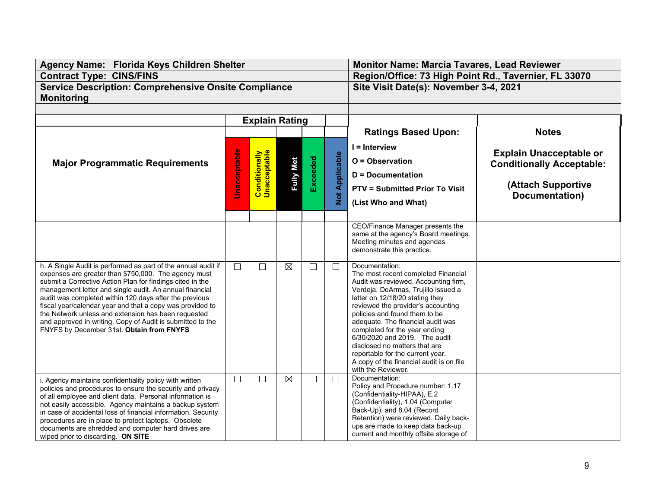| Agency Name: Florida Keys Children Shelter                                                                                                                                                                                                                                                                                                                                                                                                                                                                                             |                     |                                      | <b>Monitor Name: Marcia Tavares, Lead Reviewer</b> |          |                       |                                                                                                                                                                                                                                                                                                                                                                                                                                                                                              |                                                                                                            |  |
|----------------------------------------------------------------------------------------------------------------------------------------------------------------------------------------------------------------------------------------------------------------------------------------------------------------------------------------------------------------------------------------------------------------------------------------------------------------------------------------------------------------------------------------|---------------------|--------------------------------------|----------------------------------------------------|----------|-----------------------|----------------------------------------------------------------------------------------------------------------------------------------------------------------------------------------------------------------------------------------------------------------------------------------------------------------------------------------------------------------------------------------------------------------------------------------------------------------------------------------------|------------------------------------------------------------------------------------------------------------|--|
| <b>Contract Type: CINS/FINS</b>                                                                                                                                                                                                                                                                                                                                                                                                                                                                                                        |                     |                                      |                                                    |          |                       | Region/Office: 73 High Point Rd., Tavernier, FL 33070                                                                                                                                                                                                                                                                                                                                                                                                                                        |                                                                                                            |  |
| <b>Service Description: Comprehensive Onsite Compliance</b>                                                                                                                                                                                                                                                                                                                                                                                                                                                                            |                     |                                      |                                                    |          |                       | Site Visit Date(s): November 3-4, 2021                                                                                                                                                                                                                                                                                                                                                                                                                                                       |                                                                                                            |  |
| <b>Monitoring</b>                                                                                                                                                                                                                                                                                                                                                                                                                                                                                                                      |                     |                                      |                                                    |          |                       |                                                                                                                                                                                                                                                                                                                                                                                                                                                                                              |                                                                                                            |  |
|                                                                                                                                                                                                                                                                                                                                                                                                                                                                                                                                        |                     |                                      |                                                    |          |                       |                                                                                                                                                                                                                                                                                                                                                                                                                                                                                              |                                                                                                            |  |
|                                                                                                                                                                                                                                                                                                                                                                                                                                                                                                                                        |                     | <b>Explain Rating</b>                |                                                    |          |                       |                                                                                                                                                                                                                                                                                                                                                                                                                                                                                              |                                                                                                            |  |
|                                                                                                                                                                                                                                                                                                                                                                                                                                                                                                                                        |                     |                                      |                                                    |          |                       | <b>Ratings Based Upon:</b>                                                                                                                                                                                                                                                                                                                                                                                                                                                                   | <b>Notes</b>                                                                                               |  |
| <b>Major Programmatic Requirements</b>                                                                                                                                                                                                                                                                                                                                                                                                                                                                                                 | <b>Unacceptable</b> | <b>Conditionally</b><br>Unacceptable | <b>Fully Met</b>                                   | Exceeded | <b>Not Applicable</b> | I = Interview<br>O = Observation<br><b>D</b> = Documentation<br><b>PTV = Submitted Prior To Visit</b><br>(List Who and What)                                                                                                                                                                                                                                                                                                                                                                 | <b>Explain Unacceptable or</b><br><b>Conditionally Acceptable:</b><br>(Attach Supportive<br>Documentation) |  |
|                                                                                                                                                                                                                                                                                                                                                                                                                                                                                                                                        |                     |                                      |                                                    |          |                       |                                                                                                                                                                                                                                                                                                                                                                                                                                                                                              |                                                                                                            |  |
|                                                                                                                                                                                                                                                                                                                                                                                                                                                                                                                                        |                     |                                      |                                                    |          |                       | CEO/Finance Manager presents the<br>same at the agency's Board meetings.<br>Meeting minutes and agendas<br>demonstrate this practice.                                                                                                                                                                                                                                                                                                                                                        |                                                                                                            |  |
| h. A Single Audit is performed as part of the annual audit if<br>expenses are greater than \$750,000. The agency must<br>submit a Corrective Action Plan for findings cited in the<br>management letter and single audit. An annual financial<br>audit was completed within 120 days after the previous<br>fiscal year/calendar year and that a copy was provided to<br>the Network unless and extension has been requested<br>and approved in writing. Copy of Audit is submitted to the<br>FNYFS by December 31st. Obtain from FNYFS | $\Box$              | $\Box$                               | $\boxtimes$                                        | $\Box$   | $\Box$                | Documentation:<br>The most recent completed Financial<br>Audit was reviewed. Accounting firm,<br>Verdeja, DeArmas, Trujillo issued a<br>letter on 12/18/20 stating they<br>reviewed the provider's accounting<br>policies and found them to be<br>adequate. The financial audit was<br>completed for the year ending<br>6/30/2020 and 2019. The audit<br>disclosed no matters that are<br>reportable for the current year.<br>A copy of the financial audit is on file<br>with the Reviewer. |                                                                                                            |  |
| i. Agency maintains confidentiality policy with written<br>policies and procedures to ensure the security and privacy<br>of all employee and client data. Personal information is<br>not easily accessible. Agency maintains a backup system<br>in case of accidental loss of financial information. Security<br>procedures are in place to protect laptops. Obsolete<br>documents are shredded and computer hard drives are<br>wiped prior to discarding. ON SITE                                                                     | $\Box$              | $\Box$                               | $\boxtimes$                                        | $\Box$   | $\Box$                | Documentation:<br>Policy and Procedure number: 1.17<br>(Confidentiality-HIPAA), E.2<br>(Confidentiality), 1.04 (Computer<br>Back-Up), and 8.04 (Record<br>Retention) were reviewed. Daily back-<br>ups are made to keep data back-up<br>current and monthly offsite storage of                                                                                                                                                                                                               |                                                                                                            |  |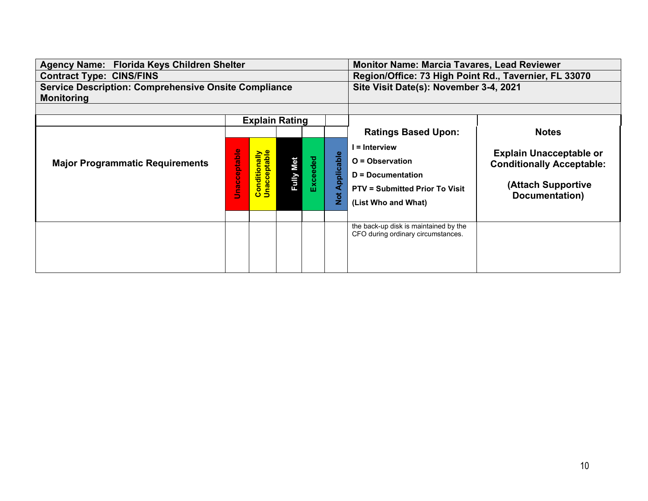| Agency Name: Florida Keys Children Shelter                  |              |                                      |                                        | <b>Monitor Name: Marcia Tavares, Lead Reviewer</b> |                             |                                                                                                                         |                                                                                                                    |  |
|-------------------------------------------------------------|--------------|--------------------------------------|----------------------------------------|----------------------------------------------------|-----------------------------|-------------------------------------------------------------------------------------------------------------------------|--------------------------------------------------------------------------------------------------------------------|--|
| <b>Contract Type: CINS/FINS</b>                             |              |                                      |                                        |                                                    |                             | Region/Office: 73 High Point Rd., Tavernier, FL 33070                                                                   |                                                                                                                    |  |
| <b>Service Description: Comprehensive Onsite Compliance</b> |              |                                      | Site Visit Date(s): November 3-4, 2021 |                                                    |                             |                                                                                                                         |                                                                                                                    |  |
| <b>Monitoring</b>                                           |              |                                      |                                        |                                                    |                             |                                                                                                                         |                                                                                                                    |  |
|                                                             |              |                                      |                                        |                                                    |                             |                                                                                                                         |                                                                                                                    |  |
|                                                             |              | <b>Explain Rating</b>                |                                        |                                                    |                             |                                                                                                                         |                                                                                                                    |  |
|                                                             |              |                                      |                                        |                                                    |                             | <b>Ratings Based Upon:</b>                                                                                              | <b>Notes</b>                                                                                                       |  |
| <b>Major Programmatic Requirements</b>                      | Unacceptable | <b>Conditionally</b><br>Unacceptable | Fully Met                              | <b>Exceeded</b>                                    | Applicable<br>$\frac{1}{2}$ | = Interview<br>$O = Observation$<br>$D = Documentation$<br><b>PTV = Submitted Prior To Visit</b><br>(List Who and What) | <b>Explain Unacceptable or</b><br><b>Conditionally Acceptable:</b><br><b>(Attach Supportive)</b><br>Documentation) |  |
|                                                             |              |                                      |                                        |                                                    |                             | the back-up disk is maintained by the<br>CFO during ordinary circumstances.                                             |                                                                                                                    |  |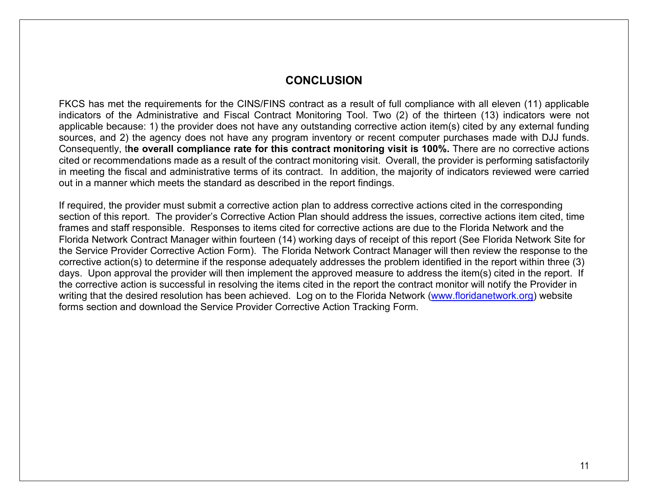### **CONCLUSION**

FKCS has met the requirements for the CINS/FINS contract as a result of full compliance with all eleven (11) applicable indicators of the Administrative and Fiscal Contract Monitoring Tool. Two (2) of the thirteen (13) indicators were not applicable because: 1) the provider does not have any outstanding corrective action item(s) cited by any external funding sources, and 2) the agency does not have any program inventory or recent computer purchases made with DJJ funds. Consequently, t**he overall compliance rate for this contract monitoring visit is 100%.** There are no corrective actions cited or recommendations made as a result of the contract monitoring visit. Overall, the provider is performing satisfactorily in meeting the fiscal and administrative terms of its contract. In addition, the majority of indicators reviewed were carried out in a manner which meets the standard as described in the report findings.

If required, the provider must submit a corrective action plan to address corrective actions cited in the corresponding section of this report. The provider's Corrective Action Plan should address the issues, corrective actions item cited, time frames and staff responsible. Responses to items cited for corrective actions are due to the Florida Network and the Florida Network Contract Manager within fourteen (14) working days of receipt of this report (See Florida Network Site for the Service Provider Corrective Action Form). The Florida Network Contract Manager will then review the response to the corrective action(s) to determine if the response adequately addresses the problem identified in the report within three (3) days. Upon approval the provider will then implement the approved measure to address the item(s) cited in the report. If the corrective action is successful in resolving the items cited in the report the contract monitor will notify the Provider in writing that the desired resolution has been achieved. Log on to the Florida Network [\(www.floridanetwork.org\)](http://www.floridanetwork.org/) website forms section and download the Service Provider Corrective Action Tracking Form.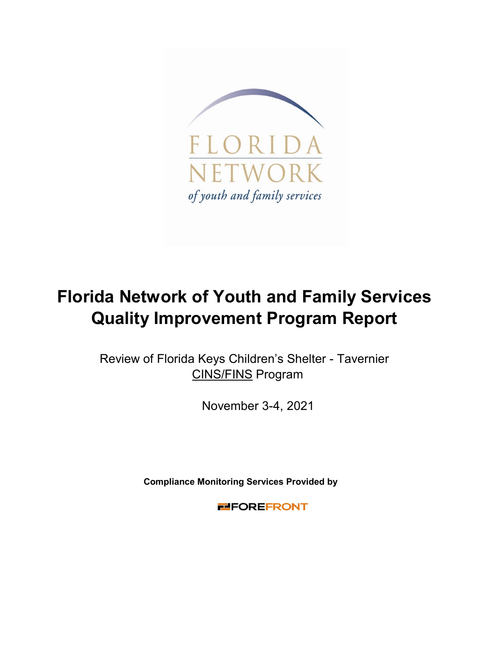

## **Florida Network of Youth and Family Services Quality Improvement Program Report**

CINS/FINS Program Review of Florida Keys Children's Shelter - Tavernier

November 3-4, 2021

**Compliance Monitoring Services Provided by** 

**ELEOREFRONT**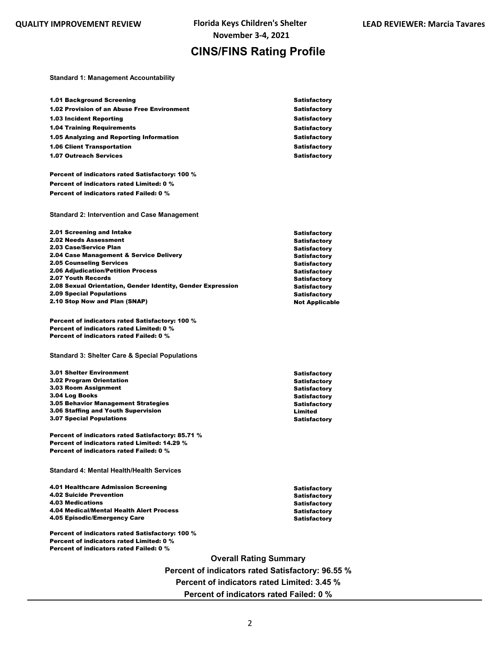## **CINS/FINS Rating Profile**

**Standard 1: Management Accountability**

| <b>1.01 Background Screening</b>                                                               | Satisfactory                                 |
|------------------------------------------------------------------------------------------------|----------------------------------------------|
| 1.02 Provision of an Abuse Free Environment                                                    | <b>Satisfactory</b>                          |
| <b>1.03 Incident Reporting</b>                                                                 | <b>Satisfactory</b>                          |
| <b>1.04 Training Requirements</b>                                                              | <b>Satisfactory</b>                          |
| 1.05 Analyzing and Reporting Information                                                       | <b>Satisfactory</b>                          |
| <b>1.06 Client Transportation</b>                                                              | <b>Satisfactory</b>                          |
| <b>1.07 Outreach Services</b>                                                                  | <b>Satisfactory</b>                          |
|                                                                                                |                                              |
| Percent of indicators rated Satisfactory: 100 %                                                |                                              |
| Percent of indicators rated Limited: 0 %                                                       |                                              |
| Percent of indicators rated Failed: 0 %                                                        |                                              |
|                                                                                                |                                              |
| <b>Standard 2: Intervention and Case Management</b>                                            |                                              |
|                                                                                                |                                              |
| 2.01 Screening and Intake                                                                      | Satisfactory                                 |
| <b>2.02 Needs Assessment</b>                                                                   | Satisfactory                                 |
| 2.03 Case/Service Plan                                                                         | <b>Satisfactory</b>                          |
| 2.04 Case Management & Service Delivery                                                        | <b>Satisfactory</b>                          |
| <b>2.05 Counseling Services</b>                                                                | <b>Satisfactory</b>                          |
| <b>2.06 Adjudication/Petition Process</b>                                                      | <b>Satisfactory</b>                          |
| 2.07 Youth Records                                                                             | <b>Satisfactory</b>                          |
| 2.08 Sexual Orientation, Gender Identity, Gender Expression<br><b>2.09 Special Populations</b> | <b>Satisfactory</b>                          |
| 2.10 Stop Now and Plan (SNAP)                                                                  | <b>Satisfactory</b><br><b>Not Applicable</b> |
|                                                                                                |                                              |
| Percent of indicators rated Satisfactory: 100 %                                                |                                              |
| <b>Percent of indicators rated Limited: 0 %</b>                                                |                                              |
|                                                                                                |                                              |
| Percent of indicators rated Failed: 0 %                                                        |                                              |
|                                                                                                |                                              |
| <b>Standard 3: Shelter Care &amp; Special Populations</b>                                      |                                              |
|                                                                                                |                                              |
| <b>3.01 Shelter Environment</b>                                                                | <b>Satisfactory</b>                          |
| 3.02 Program Orientation                                                                       | <b>Satisfactory</b>                          |
| 3.03 Room Assignment                                                                           | <b>Satisfactory</b>                          |
| 3.04 Log Books                                                                                 | <b>Satisfactory</b>                          |
| <b>3.05 Behavior Management Strategies</b>                                                     | <b>Satisfactory</b>                          |
| 3.06 Staffing and Youth Supervision<br><b>3.07 Special Populations</b>                         | Limited<br><b>Satisfactory</b>               |
|                                                                                                |                                              |
| Percent of indicators rated Satisfactory: 85.71 %                                              |                                              |
| Percent of indicators rated Limited: 14.29 %                                                   |                                              |
| Percent of indicators rated Failed: 0 %                                                        |                                              |
| <b>Standard 4: Mental Health/Health Services</b>                                               |                                              |
|                                                                                                |                                              |
| 4.01 Healthcare Admission Screening                                                            | <b>Satisfactory</b>                          |
| <b>4.02 Suicide Prevention</b>                                                                 | Satisfactory                                 |
| <b>4.03 Medications</b>                                                                        | <b>Satisfactory</b>                          |
| 4.04 Medical/Mental Health Alert Process                                                       | <b>Satisfactory</b>                          |
| 4.05 Episodic/Emergency Care                                                                   | <b>Satisfactory</b>                          |
|                                                                                                |                                              |
| Percent of indicators rated Satisfactory: 100 %<br>Percent of indicators rated Limited: 0 %    |                                              |
| Percent of indicators rated Failed: 0 %                                                        |                                              |
|                                                                                                | <b>Overall Rating Summary</b>                |

**Percent of indicators rated Satisfactory: 96.55 % Percent of indicators rated Limited: 3.45 % Percent of indicators rated Failed: 0 %**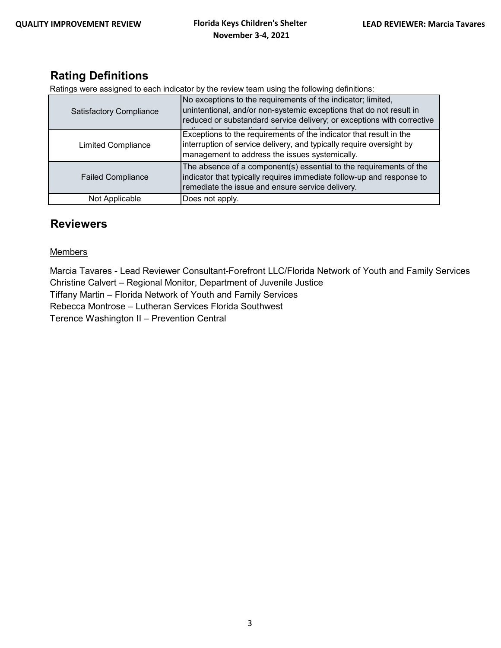## **Rating Definitions**

Ratings were assigned to each indicator by the review team using the following definitions:

| <b>Satisfactory Compliance</b> | No exceptions to the requirements of the indicator; limited,<br>unintentional, and/or non-systemic exceptions that do not result in<br>reduced or substandard service delivery; or exceptions with corrective |
|--------------------------------|---------------------------------------------------------------------------------------------------------------------------------------------------------------------------------------------------------------|
| <b>Limited Compliance</b>      | Exceptions to the requirements of the indicator that result in the<br>interruption of service delivery, and typically require oversight by<br>management to address the issues systemically.                  |
| <b>Failed Compliance</b>       | The absence of a component(s) essential to the requirements of the<br>indicator that typically requires immediate follow-up and response to<br>remediate the issue and ensure service delivery.               |
| Not Applicable                 | Does not apply.                                                                                                                                                                                               |

### **Reviewers**

### **Members**

Marcia Tavares - Lead Reviewer Consultant-Forefront LLC/Florida Network of Youth and Family Services Christine Calvert – Regional Monitor, Department of Juvenile Justice

Tiffany Martin – Florida Network of Youth and Family Services

Rebecca Montrose – Lutheran Services Florida Southwest

Terence Washington II – Prevention Central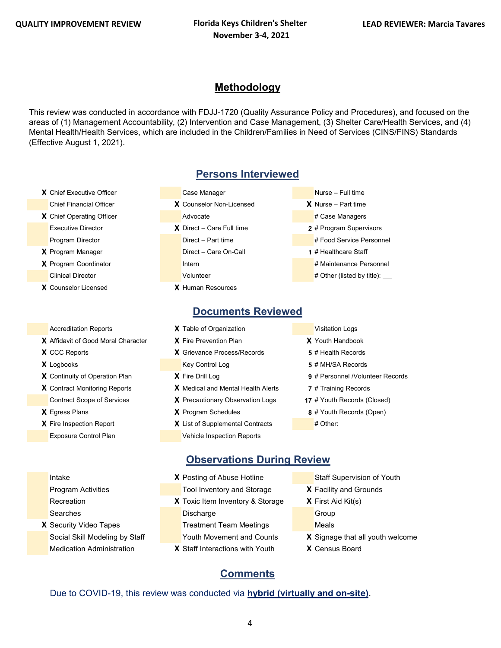### **Methodology**

This review was conducted in accordance with FDJJ-1720 (Quality Assurance Policy and Procedures), and focused on the areas of (1) Management Accountability, (2) Intervention and Case Management, (3) Shelter Care/Health Services, and (4) Mental Health/Health Services, which are included in the Children/Families in Need of Services (CINS/FINS) Standards (Effective August 1, 2021).

- 
- 
- 
- 
- **X** Counselor Licensed **X** Human Resources

- 
- 
- 
- 

## **Persons Interviewed**

- **X** Chief Executive Officer Case Manager Case Manager Nurse Full time Chief Financial Officer **X** Counselor Non-Licensed **X** Nurse – Part time **X** Chief Operating Officer **Advocate** Advocate **Advocate** # Case Managers Executive Director **X** Direct – Care Full time **2** # Program Supervisors Program Director **Direct – Part time 2006** # Food Service Personnel **X** Program Manager **Direct – Care On-Call 1** # Healthcare Staff **X** Program Coordinator **Internal Internal Internal Internal Internal Internal Internal Internal Internal Internal Internal Internal Internal Internal Internal Internal Internal Internal Internal Internal Internal Internal** Clinical Director **According to Clinical Director** Volunteer **According to the United States of the United States**
- - **Documents Reviewed**
- Accreditation Reports **X** Table of Organization **Victor** Visitation Logs **X** Affidavit of Good Moral Character **X** Fire Prevention Plan **X** Youth Handbook **X** CCC Reports **X** Grievance Process/Records **5** # Health Records **X** Logbooks **Key Control Log <b>5** # MH/SA Records **X** Continuity of Operation Plan **X** Fire Drill Log **9** # Personnel /Volunteer Records **X** Contract Monitoring Reports **X** Medical and Mental Health Alerts **7** # Training Records Contract Scope of Services **X** Precautionary Observation Logs **17** # Youth Records (Closed) **X** Egress Plans **X** Program Schedules **8** # Youth Records (Open)
- **X** List of Supplemental Contracts # Other: Exposure Control Plan Vehicle Inspection Reports
- 
- 
- 
- 
- 
- 
- 
- -

## **Observations During Review**

- **Intake <b>X** Posting of Abuse Hotline Staff Supervision of Youth Program Activities Tool Inventory and Storage **X** Facility and Grounds Recreation **X** Toxic Item Inventory & Storage **X** First Aid Kit(s) Searches **Discharge** Discharge Group **X** Security Video Tapes Treatment Team Meetings Meals Social Skill Modeling by Staff Youth Movement and Counts **X** Signage that all youth welcome Medication Administration **X** Staff Interactions with Youth **X** Census Board
	-
	-
	- -
		-
	-
	-

## Due to COVID-19, this review was conducted via **hybrid (virtually and on-site)**.

**Comments**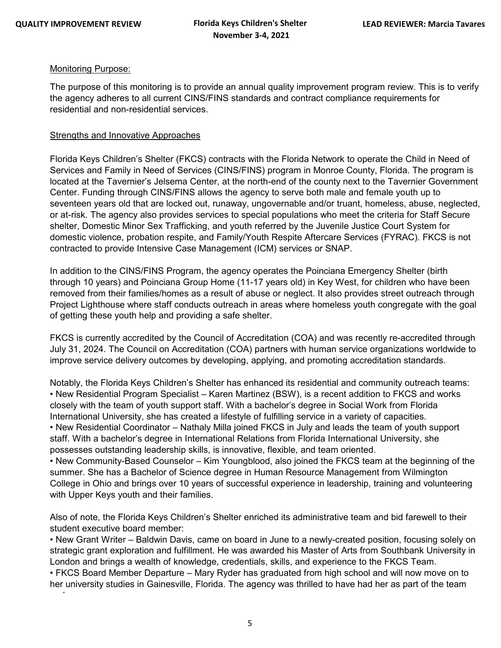d

#### Monitoring Purpose:

The purpose of this monitoring is to provide an annual quality improvement program review. This is to verify the agency adheres to all current CINS/FINS standards and contract compliance requirements for residential and non-residential services.

#### Strengths and Innovative Approaches

Florida Keys Children's Shelter (FKCS) contracts with the Florida Network to operate the Child in Need of Services and Family in Need of Services (CINS/FINS) program in Monroe County, Florida. The program is located at the Tavernier's Jelsema Center, at the north-end of the county next to the Tavernier Government Center. Funding through CINS/FINS allows the agency to serve both male and female youth up to seventeen years old that are locked out, runaway, ungovernable and/or truant, homeless, abuse, neglected, or at-risk. The agency also provides services to special populations who meet the criteria for Staff Secure shelter, Domestic Minor Sex Trafficking, and youth referred by the Juvenile Justice Court System for domestic violence, probation respite, and Family/Youth Respite Aftercare Services (FYRAC). FKCS is not contracted to provide Intensive Case Management (ICM) services or SNAP.

In addition to the CINS/FINS Program, the agency operates the Poinciana Emergency Shelter (birth through 10 years) and Poinciana Group Home (11-17 years old) in Key West, for children who have been removed from their families/homes as a result of abuse or neglect. It also provides street outreach through Project Lighthouse where staff conducts outreach in areas where homeless youth congregate with the goal of getting these youth help and providing a safe shelter.

FKCS is currently accredited by the Council of Accreditation (COA) and was recently re-accredited through July 31, 2024. The Council on Accreditation (COA) partners with human service organizations worldwide to improve service delivery outcomes by developing, applying, and promoting accreditation standards.

Notably, the Florida Keys Children's Shelter has enhanced its residential and community outreach teams: • New Residential Program Specialist – Karen Martinez (BSW), is a recent addition to FKCS and works closely with the team of youth support staff. With a bachelor's degree in Social Work from Florida International University, she has created a lifestyle of fulfilling service in a variety of capacities. • New Residential Coordinator – Nathaly Milla joined FKCS in July and leads the team of youth support staff. With a bachelor's degree in International Relations from Florida International University, she possesses outstanding leadership skills, is innovative, flexible, and team oriented.

• New Community-Based Counselor – Kim Youngblood, also joined the FKCS team at the beginning of the summer. She has a Bachelor of Science degree in Human Resource Management from Wilmington College in Ohio and brings over 10 years of successful experience in leadership, training and volunteering with Upper Keys youth and their families.

Also of note, the Florida Keys Children's Shelter enriched its administrative team and bid farewell to their student executive board member:

• New Grant Writer – Baldwin Davis, came on board in June to a newly-created position, focusing solely on strategic grant exploration and fulfillment. He was awarded his Master of Arts from Southbank University in London and brings a wealth of knowledge, credentials, skills, and experience to the FKCS Team.

• FKCS Board Member Departure – Mary Ryder has graduated from high school and will now move on to her university studies in Gainesville, Florida. The agency was thrilled to have had her as part of the team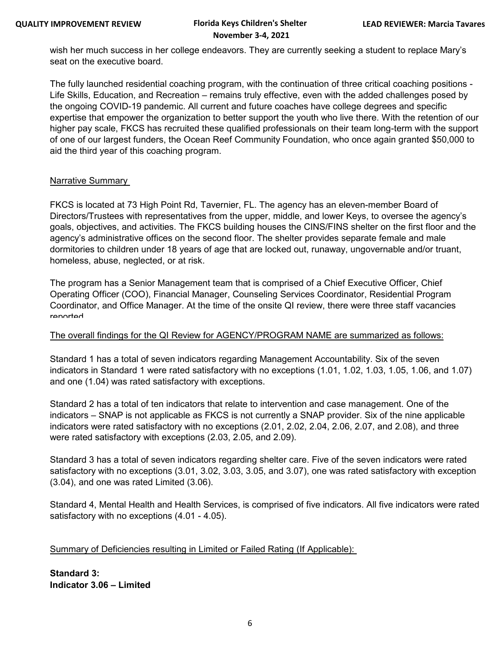# **November 3-4, 2021**

wish her much success in her college endeavors. They are currently seeking a student to replace Mary's seat on the executive board.

The fully launched residential coaching program, with the continuation of three critical coaching positions - Life Skills, Education, and Recreation – remains truly effective, even with the added challenges posed by the ongoing COVID-19 pandemic. All current and future coaches have college degrees and specific expertise that empower the organization to better support the youth who live there. With the retention of our higher pay scale, FKCS has recruited these qualified professionals on their team long-term with the support of one of our largest funders, the Ocean Reef Community Foundation, who once again granted \$50,000 to aid the third year of this coaching program.

#### Narrative Summary

FKCS is located at 73 High Point Rd, Tavernier, FL. The agency has an eleven-member Board of Directors/Trustees with representatives from the upper, middle, and lower Keys, to oversee the agency's goals, objectives, and activities. The FKCS building houses the CINS/FINS shelter on the first floor and the agency's administrative offices on the second floor. The shelter provides separate female and male dormitories to children under 18 years of age that are locked out, runaway, ungovernable and/or truant, homeless, abuse, neglected, or at risk.

The program has a Senior Management team that is comprised of a Chief Executive Officer, Chief Operating Officer (COO), Financial Manager, Counseling Services Coordinator, Residential Program Coordinator, and Office Manager. At the time of the onsite QI review, there were three staff vacancies reported

#### The overall findings for the QI Review for AGENCY/PROGRAM NAME are summarized as follows:

Standard 1 has a total of seven indicators regarding Management Accountability. Six of the seven indicators in Standard 1 were rated satisfactory with no exceptions (1.01, 1.02, 1.03, 1.05, 1.06, and 1.07) and one (1.04) was rated satisfactory with exceptions.

Standard 2 has a total of ten indicators that relate to intervention and case management. One of the indicators – SNAP is not applicable as FKCS is not currently a SNAP provider. Six of the nine applicable indicators were rated satisfactory with no exceptions (2.01, 2.02, 2.04, 2.06, 2.07, and 2.08), and three were rated satisfactory with exceptions (2.03, 2.05, and 2.09).

Standard 3 has a total of seven indicators regarding shelter care. Five of the seven indicators were rated satisfactory with no exceptions (3.01, 3.02, 3.03, 3.05, and 3.07), one was rated satisfactory with exception (3.04), and one was rated Limited (3.06).

Standard 4, Mental Health and Health Services, is comprised of five indicators. All five indicators were rated satisfactory with no exceptions (4.01 - 4.05).

### Summary of Deficiencies resulting in Limited or Failed Rating (If Applicable):

**Standard 3: Indicator 3.06 – Limited**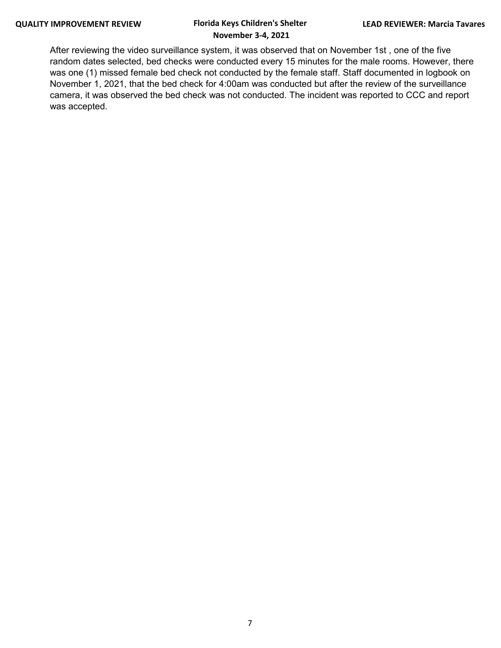After reviewing the video surveillance system, it was observed that on November 1st , one of the five random dates selected, bed checks were conducted every 15 minutes for the male rooms. However, there was one (1) missed female bed check not conducted by the female staff. Staff documented in logbook on November 1, 2021, that the bed check for 4:00am was conducted but after the review of the surveillance camera, it was observed the bed check was not conducted. The incident was reported to CCC and report was accepted.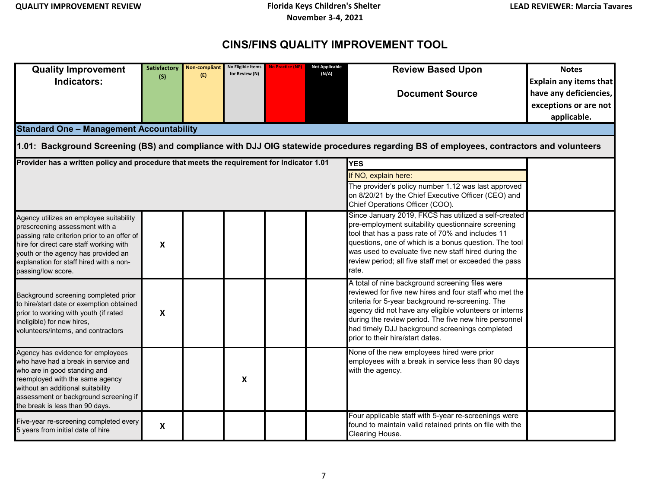## **CINS/FINS QUALITY IMPROVEMENT TOOL**

| <b>Quality Improvement</b><br>Indicators:<br><b>Standard One - Management Accountability</b>                                                                                                                                                                                     | <b>Satisfactory</b><br>(S) | Non-compliant<br>(E) | No Eligible Items<br>for Review (N) | <b>No Practice (NP)</b> | <b>Not Applicable</b><br>(N/A) | <b>Review Based Upon</b><br><b>Document Source</b><br>1.01: Background Screening (BS) and compliance with DJJ OIG statewide procedures regarding BS of employees, contractors and volunteers                                                                                                                                                                           | <b>Notes</b><br><b>Explain any items that</b><br>have any deficiencies,<br>exceptions or are not<br>applicable. |  |  |
|----------------------------------------------------------------------------------------------------------------------------------------------------------------------------------------------------------------------------------------------------------------------------------|----------------------------|----------------------|-------------------------------------|-------------------------|--------------------------------|------------------------------------------------------------------------------------------------------------------------------------------------------------------------------------------------------------------------------------------------------------------------------------------------------------------------------------------------------------------------|-----------------------------------------------------------------------------------------------------------------|--|--|
| Provider has a written policy and procedure that meets the requirement for Indicator 1.01<br><b>YES</b><br>If NO, explain here:<br>The provider's policy number 1.12 was last approved<br>on 8/20/21 by the Chief Executive Officer (CEO) and<br>Chief Operations Officer (COO). |                            |                      |                                     |                         |                                |                                                                                                                                                                                                                                                                                                                                                                        |                                                                                                                 |  |  |
| Agency utilizes an employee suitability<br>prescreening assessment with a<br>passing rate criterion prior to an offer of<br>hire for direct care staff working with<br>youth or the agency has provided an<br>explanation for staff hired with a non-<br>passing/low score.      | $\boldsymbol{\mathsf{x}}$  |                      |                                     |                         |                                | Since January 2019, FKCS has utilized a self-created<br>pre-employment suitability questionnaire screening<br>tool that has a pass rate of 70% and includes 11<br>questions, one of which is a bonus question. The tool<br>was used to evaluate five new staff hired during the<br>review period; all five staff met or exceeded the pass<br>rate.                     |                                                                                                                 |  |  |
| Background screening completed prior<br>o hire/start date or exemption obtained<br>prior to working with youth (if rated<br>neligible) for new hires,<br>volunteers/interns, and contractors                                                                                     | $\pmb{\mathsf{X}}$         |                      |                                     |                         |                                | A total of nine background screening files were<br>reviewed for five new hires and four staff who met the<br>criteria for 5-year background re-screening. The<br>agency did not have any eligible volunteers or interns<br>during the review period. The five new hire personnel<br>had timely DJJ background screenings completed<br>prior to their hire/start dates. |                                                                                                                 |  |  |
| Agency has evidence for employees<br>who have had a break in service and<br>who are in good standing and<br>reemployed with the same agency<br>without an additional suitability<br>assessment or background screening if<br>the break is less than 90 days.                     |                            |                      | X                                   |                         |                                | None of the new employees hired were prior<br>employees with a break in service less than 90 days<br>with the agency.                                                                                                                                                                                                                                                  |                                                                                                                 |  |  |
| Five-year re-screening completed every<br>5 years from initial date of hire                                                                                                                                                                                                      | $\pmb{\mathsf{X}}$         |                      |                                     |                         |                                | Four applicable staff with 5-year re-screenings were<br>found to maintain valid retained prints on file with the<br>Clearing House.                                                                                                                                                                                                                                    |                                                                                                                 |  |  |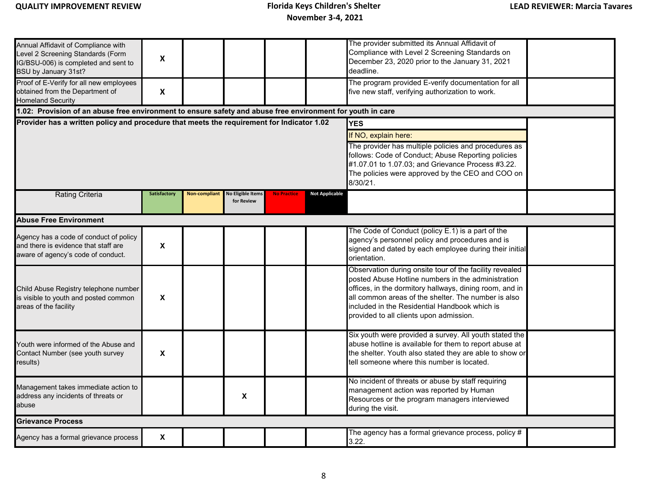| Annual Affidavit of Compliance with<br>Level 2 Screening Standards (Form<br>IG/BSU-006) is completed and sent to<br>BSU by January 31st?<br>Proof of E-Verify for all new employees | X                         |               |                                                                                                                                                                                                                                                                       |                    |                       | The provider submitted its Annual Affidavit of<br>Compliance with Level 2 Screening Standards on<br>December 23, 2020 prior to the January 31, 2021<br>deadline.<br>The program provided E-verify documentation for all                                                                                                     |  |  |  |  |
|-------------------------------------------------------------------------------------------------------------------------------------------------------------------------------------|---------------------------|---------------|-----------------------------------------------------------------------------------------------------------------------------------------------------------------------------------------------------------------------------------------------------------------------|--------------------|-----------------------|-----------------------------------------------------------------------------------------------------------------------------------------------------------------------------------------------------------------------------------------------------------------------------------------------------------------------------|--|--|--|--|
| obtained from the Department of<br><b>Homeland Security</b>                                                                                                                         | $\boldsymbol{\mathsf{X}}$ |               |                                                                                                                                                                                                                                                                       |                    |                       | five new staff, verifying authorization to work.                                                                                                                                                                                                                                                                            |  |  |  |  |
| 1.02: Provision of an abuse free environment to ensure safety and abuse free environment for youth in care                                                                          |                           |               |                                                                                                                                                                                                                                                                       |                    |                       |                                                                                                                                                                                                                                                                                                                             |  |  |  |  |
| Provider has a written policy and procedure that meets the requirement for Indicator 1.02                                                                                           |                           |               | <b>YES</b><br>If NO, explain here:<br>The provider has multiple policies and procedures as<br>follows: Code of Conduct; Abuse Reporting policies<br>#1.07.01 to 1.07.03; and Grievance Process #3.22.<br>The policies were approved by the CEO and COO on<br>8/30/21. |                    |                       |                                                                                                                                                                                                                                                                                                                             |  |  |  |  |
| <b>Rating Criteria</b>                                                                                                                                                              | Satisfactory              | Non-compliant | <b>No Eligible Items</b><br>for Review                                                                                                                                                                                                                                | <b>No Practice</b> | <b>Not Applicable</b> |                                                                                                                                                                                                                                                                                                                             |  |  |  |  |
| <b>Abuse Free Environment</b>                                                                                                                                                       |                           |               |                                                                                                                                                                                                                                                                       |                    |                       |                                                                                                                                                                                                                                                                                                                             |  |  |  |  |
| Agency has a code of conduct of policy<br>and there is evidence that staff are<br>aware of agency's code of conduct.                                                                | X                         |               |                                                                                                                                                                                                                                                                       |                    |                       | The Code of Conduct (policy E.1) is a part of the<br>agency's personnel policy and procedures and is<br>signed and dated by each employee during their initial<br>orientation.                                                                                                                                              |  |  |  |  |
| Child Abuse Registry telephone number<br>is visible to youth and posted common<br>areas of the facility                                                                             | X                         |               |                                                                                                                                                                                                                                                                       |                    |                       | Observation during onsite tour of the facility revealed<br>posted Abuse Hotline numbers in the administration<br>offices, in the dormitory hallways, dining room, and in<br>all common areas of the shelter. The number is also<br>included in the Residential Handbook which is<br>provided to all clients upon admission. |  |  |  |  |
| Youth were informed of the Abuse and<br>Contact Number (see youth survey<br>results)                                                                                                | X                         |               |                                                                                                                                                                                                                                                                       |                    |                       | Six youth were provided a survey. All youth stated the<br>abuse hotline is available for them to report abuse at<br>the shelter. Youth also stated they are able to show or<br>tell someone where this number is located.                                                                                                   |  |  |  |  |
| Management takes immediate action to<br>address any incidents of threats or<br>abuse                                                                                                |                           |               | X                                                                                                                                                                                                                                                                     |                    |                       | No incident of threats or abuse by staff requiring<br>management action was reported by Human<br>Resources or the program managers interviewed<br>during the visit.                                                                                                                                                         |  |  |  |  |
| <b>Grievance Process</b>                                                                                                                                                            |                           |               |                                                                                                                                                                                                                                                                       |                    |                       |                                                                                                                                                                                                                                                                                                                             |  |  |  |  |
| Agency has a formal grievance process                                                                                                                                               | X                         |               |                                                                                                                                                                                                                                                                       |                    |                       | The agency has a formal grievance process, policy $#$<br>3.22.                                                                                                                                                                                                                                                              |  |  |  |  |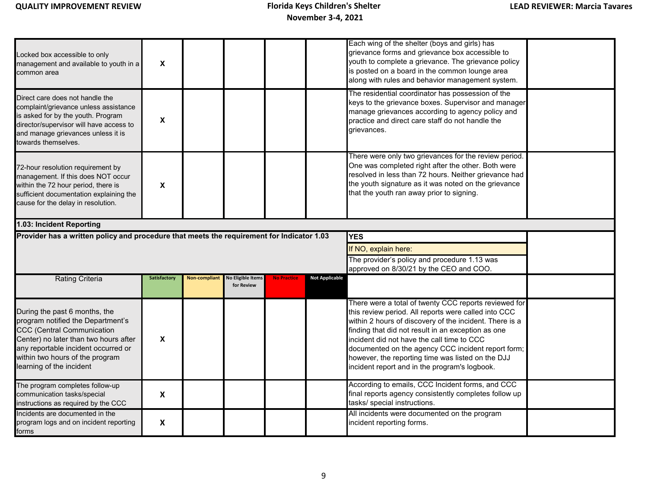| Locked box accessible to only<br>management and available to youth in a<br>common area                                                                                                                                                                 | X            |               |                                        |                    |                       | Each wing of the shelter (boys and girls) has<br>grievance forms and grievance box accessible to<br>youth to complete a grievance. The grievance policy<br>is posted on a board in the common lounge area<br>along with rules and behavior management system.                                                                                                                                                                            |  |  |  |
|--------------------------------------------------------------------------------------------------------------------------------------------------------------------------------------------------------------------------------------------------------|--------------|---------------|----------------------------------------|--------------------|-----------------------|------------------------------------------------------------------------------------------------------------------------------------------------------------------------------------------------------------------------------------------------------------------------------------------------------------------------------------------------------------------------------------------------------------------------------------------|--|--|--|
| Direct care does not handle the<br>complaint/grievance unless assistance<br>is asked for by the youth. Program<br>director/supervisor will have access to<br>and manage grievances unless it is<br>towards themselves.                                 | X            |               |                                        |                    |                       | The residential coordinator has possession of the<br>keys to the grievance boxes. Supervisor and manager<br>manage grievances according to agency policy and<br>practice and direct care staff do not handle the<br>grievances.                                                                                                                                                                                                          |  |  |  |
| 72-hour resolution requirement by<br>management. If this does NOT occur<br>within the 72 hour period, there is<br>sufficient documentation explaining the<br>cause for the delay in resolution.                                                        | X            |               |                                        |                    |                       | There were only two grievances for the review period.<br>One was completed right after the other. Both were<br>resolved in less than 72 hours. Neither grievance had<br>the youth signature as it was noted on the grievance<br>that the youth ran away prior to signing.                                                                                                                                                                |  |  |  |
| 1.03: Incident Reporting                                                                                                                                                                                                                               |              |               |                                        |                    |                       |                                                                                                                                                                                                                                                                                                                                                                                                                                          |  |  |  |
| Provider has a written policy and procedure that meets the requirement for Indicator 1.03<br><b>YES</b>                                                                                                                                                |              |               |                                        |                    |                       |                                                                                                                                                                                                                                                                                                                                                                                                                                          |  |  |  |
|                                                                                                                                                                                                                                                        |              |               |                                        |                    |                       | If NO, explain here:                                                                                                                                                                                                                                                                                                                                                                                                                     |  |  |  |
|                                                                                                                                                                                                                                                        |              |               |                                        |                    |                       | The provider's policy and procedure 1.13 was<br>approved on 8/30/21 by the CEO and COO.                                                                                                                                                                                                                                                                                                                                                  |  |  |  |
| <b>Rating Criteria</b>                                                                                                                                                                                                                                 | Satisfactory | Non-compliant | <b>No Eligible Items</b><br>for Review | <b>No Practice</b> | <b>Not Applicable</b> |                                                                                                                                                                                                                                                                                                                                                                                                                                          |  |  |  |
| During the past 6 months, the<br>program notified the Department's<br><b>CCC (Central Communication</b><br>Center) no later than two hours after<br>any reportable incident occurred or<br>within two hours of the program<br>learning of the incident | X            |               |                                        |                    |                       | There were a total of twenty CCC reports reviewed for<br>this review period. All reports were called into CCC<br>within 2 hours of discovery of the incident. There is a<br>finding that did not result in an exception as one<br>incident did not have the call time to CCC<br>documented on the agency CCC incident report form;<br>however, the reporting time was listed on the DJJ<br>incident report and in the program's logbook. |  |  |  |
| The program completes follow-up<br>communication tasks/special<br>instructions as required by the CCC                                                                                                                                                  | X            |               |                                        |                    |                       | According to emails, CCC Incident forms, and CCC<br>final reports agency consistently completes follow up<br>tasks/ special instructions.                                                                                                                                                                                                                                                                                                |  |  |  |
| Incidents are documented in the<br>program logs and on incident reporting<br>forms                                                                                                                                                                     | X            |               |                                        |                    |                       | All incidents were documented on the program<br>incident reporting forms.                                                                                                                                                                                                                                                                                                                                                                |  |  |  |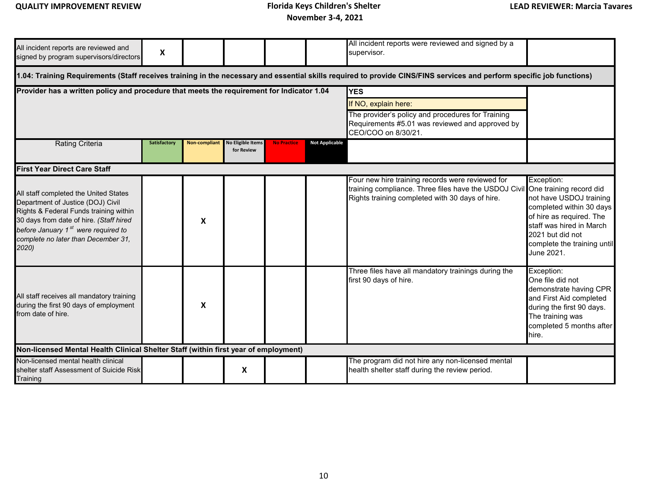## **QUALITY IMPROVEMENT REVIEW Florida Keys Children's Shelter**

 **November 3-4, 2021**

| All incident reports are reviewed and<br>signed by program supervisors/directors                                                                                                                                                                                      | X                                                                                                                                                                     |               |                                        |                                                                                                                                                                   |                       | All incident reports were reviewed and signed by a<br>supervisor.                                                                                                                    |                                                                                                                                                                                            |  |  |  |  |  |  |
|-----------------------------------------------------------------------------------------------------------------------------------------------------------------------------------------------------------------------------------------------------------------------|-----------------------------------------------------------------------------------------------------------------------------------------------------------------------|---------------|----------------------------------------|-------------------------------------------------------------------------------------------------------------------------------------------------------------------|-----------------------|--------------------------------------------------------------------------------------------------------------------------------------------------------------------------------------|--------------------------------------------------------------------------------------------------------------------------------------------------------------------------------------------|--|--|--|--|--|--|
|                                                                                                                                                                                                                                                                       | 1.04: Training Requirements (Staff receives training in the necessary and essential skills required to provide CINS/FINS services and perform specific job functions) |               |                                        |                                                                                                                                                                   |                       |                                                                                                                                                                                      |                                                                                                                                                                                            |  |  |  |  |  |  |
| Provider has a written policy and procedure that meets the requirement for Indicator 1.04                                                                                                                                                                             |                                                                                                                                                                       |               |                                        | <b>YES</b><br>If NO, explain here:<br>The provider's policy and procedures for Training<br>Requirements #5.01 was reviewed and approved by<br>CEO/COO on 8/30/21. |                       |                                                                                                                                                                                      |                                                                                                                                                                                            |  |  |  |  |  |  |
| <b>Rating Criteria</b>                                                                                                                                                                                                                                                | Satisfactory                                                                                                                                                          | Non-compliant | <b>No Eligible Items</b><br>for Review | <b>No Practice</b>                                                                                                                                                | <b>Not Applicable</b> |                                                                                                                                                                                      |                                                                                                                                                                                            |  |  |  |  |  |  |
| <b>First Year Direct Care Staff</b>                                                                                                                                                                                                                                   |                                                                                                                                                                       |               |                                        |                                                                                                                                                                   |                       |                                                                                                                                                                                      |                                                                                                                                                                                            |  |  |  |  |  |  |
| All staff completed the United States<br>Department of Justice (DOJ) Civil<br>Rights & Federal Funds training within<br>30 days from date of hire. (Staff hired<br>before January 1 <sup>st</sup> were required to<br>complete no later than December 31,<br>$2020$ ) |                                                                                                                                                                       | X             |                                        |                                                                                                                                                                   |                       | Four new hire training records were reviewed for<br>training compliance. Three files have the USDOJ Civil One training record did<br>Rights training completed with 30 days of hire. | Exception:<br>not have USDOJ training<br>completed within 30 days<br>of hire as required. The<br>staff was hired in March<br>2021 but did not<br>complete the training until<br>June 2021. |  |  |  |  |  |  |
| All staff receives all mandatory training<br>during the first 90 days of employment<br>from date of hire.                                                                                                                                                             |                                                                                                                                                                       | X             |                                        |                                                                                                                                                                   |                       | Three files have all mandatory trainings during the<br>first 90 days of hire.                                                                                                        | Exception:<br>One file did not<br>demonstrate having CPR<br>and First Aid completed<br>during the first 90 days.<br>The training was<br>completed 5 months after<br>hire.                  |  |  |  |  |  |  |
| Non-licensed Mental Health Clinical Shelter Staff (within first year of employment)                                                                                                                                                                                   |                                                                                                                                                                       |               |                                        |                                                                                                                                                                   |                       |                                                                                                                                                                                      |                                                                                                                                                                                            |  |  |  |  |  |  |
| Non-licensed mental health clinical<br>shelter staff Assessment of Suicide Risk<br>Training                                                                                                                                                                           |                                                                                                                                                                       |               | X                                      |                                                                                                                                                                   |                       | The program did not hire any non-licensed mental<br>health shelter staff during the review period.                                                                                   |                                                                                                                                                                                            |  |  |  |  |  |  |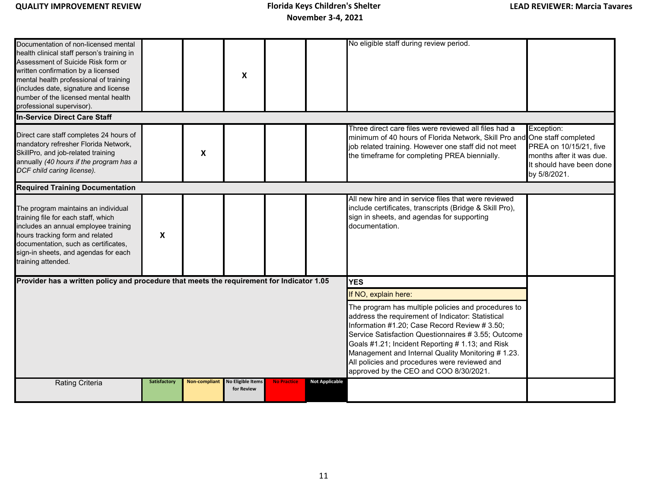| Documentation of non-licensed mental<br>health clinical staff person's training in<br>Assessment of Suicide Risk form or<br>written confirmation by a licensed<br>mental health professional of training<br>(includes date, signature and license<br>number of the licensed mental health<br>professional supervisor). |                     |               | $\boldsymbol{\mathsf{X}}$              |                    |                                                                                                                                                                                                                                                                                                                                                                                                                      | No eligible staff during review period.                                                                                                                                                                                                     |                                                                                                              |
|------------------------------------------------------------------------------------------------------------------------------------------------------------------------------------------------------------------------------------------------------------------------------------------------------------------------|---------------------|---------------|----------------------------------------|--------------------|----------------------------------------------------------------------------------------------------------------------------------------------------------------------------------------------------------------------------------------------------------------------------------------------------------------------------------------------------------------------------------------------------------------------|---------------------------------------------------------------------------------------------------------------------------------------------------------------------------------------------------------------------------------------------|--------------------------------------------------------------------------------------------------------------|
| <b>In-Service Direct Care Staff</b>                                                                                                                                                                                                                                                                                    |                     |               |                                        |                    |                                                                                                                                                                                                                                                                                                                                                                                                                      |                                                                                                                                                                                                                                             |                                                                                                              |
| Direct care staff completes 24 hours of<br>mandatory refresher Florida Network,<br>SkillPro, and job-related training<br>annually (40 hours if the program has a<br>DCF child caring license).                                                                                                                         |                     | X             |                                        |                    |                                                                                                                                                                                                                                                                                                                                                                                                                      | Three direct care files were reviewed all files had a<br>minimum of 40 hours of Florida Network, Skill Pro and One staff completed<br>job related training. However one staff did not meet<br>the timeframe for completing PREA biennially. | Exception:<br>PREA on 10/15/21, five<br>months after it was due.<br>It should have been done<br>by 5/8/2021. |
| <b>Required Training Documentation</b>                                                                                                                                                                                                                                                                                 |                     |               |                                        |                    |                                                                                                                                                                                                                                                                                                                                                                                                                      |                                                                                                                                                                                                                                             |                                                                                                              |
| The program maintains an individual<br>training file for each staff, which<br>includes an annual employee training<br>hours tracking form and related<br>documentation, such as certificates,<br>sign-in sheets, and agendas for each<br>training attended.                                                            | X                   |               |                                        |                    |                                                                                                                                                                                                                                                                                                                                                                                                                      | All new hire and in service files that were reviewed<br>include certificates, transcripts (Bridge & Skill Pro),<br>sign in sheets, and agendas for supporting<br>documentation.                                                             |                                                                                                              |
| Provider has a written policy and procedure that meets the requirement for Indicator 1.05                                                                                                                                                                                                                              |                     |               |                                        |                    |                                                                                                                                                                                                                                                                                                                                                                                                                      | <b>YES</b>                                                                                                                                                                                                                                  |                                                                                                              |
|                                                                                                                                                                                                                                                                                                                        |                     |               |                                        |                    |                                                                                                                                                                                                                                                                                                                                                                                                                      | If NO, explain here:                                                                                                                                                                                                                        |                                                                                                              |
|                                                                                                                                                                                                                                                                                                                        |                     |               |                                        |                    | The program has multiple policies and procedures to<br>address the requirement of Indicator: Statistical<br>Information #1.20; Case Record Review # 3.50;<br>Service Satisfaction Questionnaires # 3.55; Outcome<br>Goals #1.21; Incident Reporting # 1.13; and Risk<br>Management and Internal Quality Monitoring #1.23.<br>All policies and procedures were reviewed and<br>approved by the CEO and COO 8/30/2021. |                                                                                                                                                                                                                                             |                                                                                                              |
| <b>Rating Criteria</b>                                                                                                                                                                                                                                                                                                 | <b>Satisfactory</b> | Non-compliant | <b>No Eligible Items</b><br>for Review | <b>No Practice</b> | <b>Not Applicable</b>                                                                                                                                                                                                                                                                                                                                                                                                |                                                                                                                                                                                                                                             |                                                                                                              |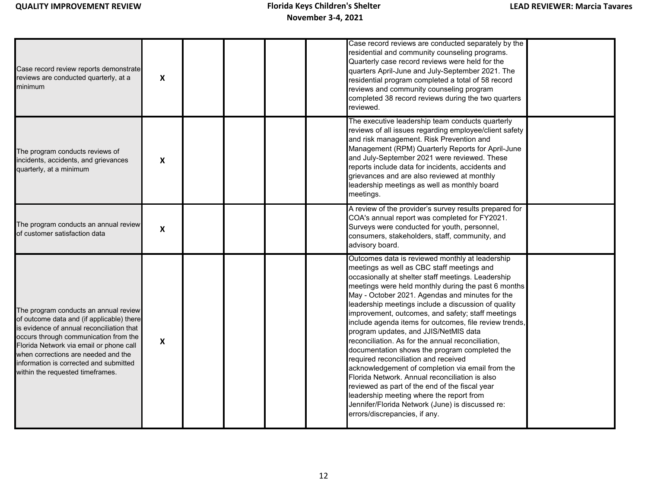| Case record review reports demonstrate<br>reviews are conducted quarterly, at a<br>minimum                                                                                                                                                                                                                                             | $\boldsymbol{\mathsf{X}}$ |  |  | Case record reviews are conducted separately by the<br>residential and community counseling programs.<br>Quarterly case record reviews were held for the<br>quarters April-June and July-September 2021. The<br>residential program completed a total of 58 record<br>reviews and community counseling program<br>completed 38 record reviews during the two quarters<br>reviewed.                                                                                                                                                                                                                                                                                                                                                                                                                                                                                                                                  |  |
|----------------------------------------------------------------------------------------------------------------------------------------------------------------------------------------------------------------------------------------------------------------------------------------------------------------------------------------|---------------------------|--|--|---------------------------------------------------------------------------------------------------------------------------------------------------------------------------------------------------------------------------------------------------------------------------------------------------------------------------------------------------------------------------------------------------------------------------------------------------------------------------------------------------------------------------------------------------------------------------------------------------------------------------------------------------------------------------------------------------------------------------------------------------------------------------------------------------------------------------------------------------------------------------------------------------------------------|--|
| The program conducts reviews of<br>incidents, accidents, and grievances<br>quarterly, at a minimum                                                                                                                                                                                                                                     | X                         |  |  | The executive leadership team conducts quarterly<br>reviews of all issues regarding employee/client safety<br>and risk management. Risk Prevention and<br>Management (RPM) Quarterly Reports for April-June<br>and July-September 2021 were reviewed. These<br>reports include data for incidents, accidents and<br>grievances and are also reviewed at monthly<br>leadership meetings as well as monthly board<br>meetings.                                                                                                                                                                                                                                                                                                                                                                                                                                                                                        |  |
| The program conducts an annual review<br>of customer satisfaction data                                                                                                                                                                                                                                                                 | $\boldsymbol{\mathsf{x}}$ |  |  | A review of the provider's survey results prepared for<br>COA's annual report was completed for FY2021.<br>Surveys were conducted for youth, personnel,<br>consumers, stakeholders, staff, community, and<br>advisory board.                                                                                                                                                                                                                                                                                                                                                                                                                                                                                                                                                                                                                                                                                        |  |
| The program conducts an annual review<br>of outcome data and (if applicable) there<br>s evidence of annual reconciliation that<br>occurs through communication from the<br>Florida Network via email or phone call<br>when corrections are needed and the<br>nformation is corrected and submitted<br>within the requested timeframes. | $\boldsymbol{\mathsf{X}}$ |  |  | Outcomes data is reviewed monthly at leadership<br>meetings as well as CBC staff meetings and<br>occasionally at shelter staff meetings. Leadership<br>meetings were held monthly during the past 6 months<br>May - October 2021. Agendas and minutes for the<br>leadership meetings include a discussion of quality<br>improvement, outcomes, and safety; staff meetings<br>include agenda items for outcomes, file review trends,<br>program updates, and JJIS/NetMIS data<br>reconciliation. As for the annual reconciliation,<br>documentation shows the program completed the<br>required reconciliation and received<br>acknowledgement of completion via email from the<br>Florida Network. Annual reconciliation is also<br>reviewed as part of the end of the fiscal year<br>leadership meeting where the report from<br>Jennifer/Florida Network (June) is discussed re:<br>errors/discrepancies, if any. |  |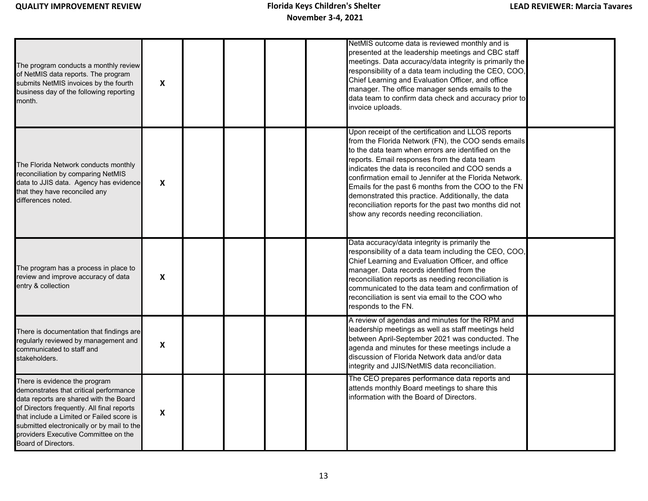| The program conducts a monthly review<br>of NetMIS data reports. The program<br>submits NetMIS invoices by the fourth<br>business day of the following reporting<br>month.                                                                                                                                                | $\boldsymbol{\mathsf{X}}$ |  |  | NetMIS outcome data is reviewed monthly and is<br>presented at the leadership meetings and CBC staff<br>meetings. Data accuracy/data integrity is primarily the<br>responsibility of a data team including the CEO, COO,<br>Chief Learning and Evaluation Officer, and office<br>manager. The office manager sends emails to the<br>data team to confirm data check and accuracy prior to<br>invoice uploads.                                                                                                                                   |  |
|---------------------------------------------------------------------------------------------------------------------------------------------------------------------------------------------------------------------------------------------------------------------------------------------------------------------------|---------------------------|--|--|-------------------------------------------------------------------------------------------------------------------------------------------------------------------------------------------------------------------------------------------------------------------------------------------------------------------------------------------------------------------------------------------------------------------------------------------------------------------------------------------------------------------------------------------------|--|
| The Florida Network conducts monthly<br>reconciliation by comparing NetMIS<br>data to JJIS data. Agency has evidence<br>that they have reconciled any<br>differences noted.                                                                                                                                               | $\boldsymbol{\mathsf{X}}$ |  |  | Upon receipt of the certification and LLOS reports<br>from the Florida Network (FN), the COO sends emails<br>to the data team when errors are identified on the<br>reports. Email responses from the data team<br>indicates the data is reconciled and COO sends a<br>confirmation email to Jennifer at the Florida Network.<br>Emails for the past 6 months from the COO to the FN<br>demonstrated this practice. Additionally, the data<br>reconciliation reports for the past two months did not<br>show any records needing reconciliation. |  |
| The program has a process in place to<br>review and improve accuracy of data<br>entry & collection                                                                                                                                                                                                                        | $\boldsymbol{\mathsf{X}}$ |  |  | Data accuracy/data integrity is primarily the<br>responsibility of a data team including the CEO, COO,<br>Chief Learning and Evaluation Officer, and office<br>manager. Data records identified from the<br>reconciliation reports as needing reconciliation is<br>communicated to the data team and confirmation of<br>reconciliation is sent via email to the COO who<br>responds to the FN.                                                                                                                                                  |  |
| There is documentation that findings are<br>regularly reviewed by management and<br>communicated to staff and<br>stakeholders.                                                                                                                                                                                            | $\boldsymbol{\mathsf{x}}$ |  |  | A review of agendas and minutes for the RPM and<br>leadership meetings as well as staff meetings held<br>between April-September 2021 was conducted. The<br>agenda and minutes for these meetings include a<br>discussion of Florida Network data and/or data<br>integrity and JJIS/NetMIS data reconciliation.                                                                                                                                                                                                                                 |  |
| There is evidence the program<br>demonstrates that critical performance<br>data reports are shared with the Board<br>of Directors frequently. All final reports<br>that include a Limited or Failed score is<br>submitted electronically or by mail to the<br>providers Executive Committee on the<br>Board of Directors. | $\boldsymbol{\mathsf{X}}$ |  |  | The CEO prepares performance data reports and<br>attends monthly Board meetings to share this<br>information with the Board of Directors.                                                                                                                                                                                                                                                                                                                                                                                                       |  |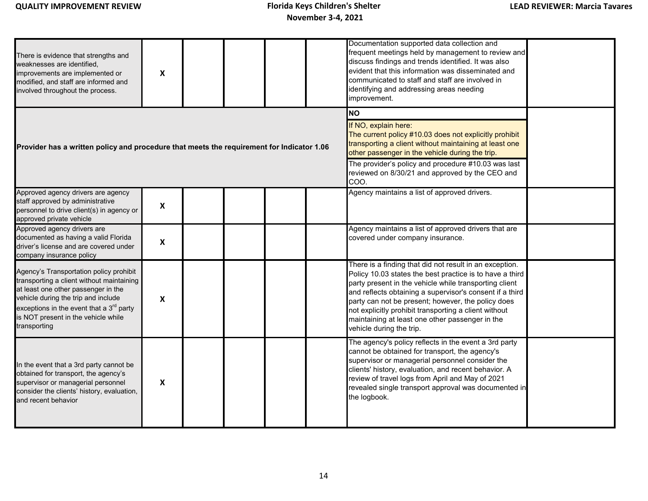| There is evidence that strengths and<br>weaknesses are identified.<br>improvements are implemented or<br>modified, and staff are informed and<br>involved throughout the process.                                                                                                 | $\boldsymbol{x}$          |  |  | Documentation supported data collection and<br>frequent meetings held by management to review and<br>discuss findings and trends identified. It was also<br>evident that this information was disseminated and<br>communicated to staff and staff are involved in<br>identifying and addressing areas needing<br>improvement.                                                                                                           |  |
|-----------------------------------------------------------------------------------------------------------------------------------------------------------------------------------------------------------------------------------------------------------------------------------|---------------------------|--|--|-----------------------------------------------------------------------------------------------------------------------------------------------------------------------------------------------------------------------------------------------------------------------------------------------------------------------------------------------------------------------------------------------------------------------------------------|--|
| Provider has a written policy and procedure that meets the requirement for Indicator 1.06                                                                                                                                                                                         |                           |  |  | <b>NO</b><br>If NO, explain here:<br>The current policy #10.03 does not explicitly prohibit<br>transporting a client without maintaining at least one<br>other passenger in the vehicle during the trip.<br>The provider's policy and procedure #10.03 was last<br>reviewed on 8/30/21 and approved by the CEO and<br>COO.                                                                                                              |  |
| Approved agency drivers are agency<br>staff approved by administrative<br>personnel to drive client(s) in agency or<br>approved private vehicle                                                                                                                                   | $\boldsymbol{\mathsf{x}}$ |  |  | Agency maintains a list of approved drivers.                                                                                                                                                                                                                                                                                                                                                                                            |  |
| Approved agency drivers are<br>documented as having a valid Florida<br>driver's license and are covered under<br>company insurance policy                                                                                                                                         | $\boldsymbol{\mathsf{X}}$ |  |  | Agency maintains a list of approved drivers that are<br>covered under company insurance.                                                                                                                                                                                                                                                                                                                                                |  |
| Agency's Transportation policy prohibit<br>transporting a client without maintaining<br>at least one other passenger in the<br>vehicle during the trip and include<br>exceptions in the event that a $3^{\text{rd}}$ party<br>is NOT present in the vehicle while<br>transporting | $\boldsymbol{\mathsf{X}}$ |  |  | There is a finding that did not result in an exception.<br>Policy 10.03 states the best practice is to have a third<br>party present in the vehicle while transporting client<br>and reflects obtaining a supervisor's consent if a third<br>party can not be present; however, the policy does<br>not explicitly prohibit transporting a client without<br>maintaining at least one other passenger in the<br>vehicle during the trip. |  |
| In the event that a 3rd party cannot be<br>obtained for transport, the agency's<br>supervisor or managerial personnel<br>consider the clients' history, evaluation,<br>and recent behavior                                                                                        | $\boldsymbol{\mathsf{X}}$ |  |  | The agency's policy reflects in the event a 3rd party<br>cannot be obtained for transport, the agency's<br>supervisor or managerial personnel consider the<br>clients' history, evaluation, and recent behavior. A<br>review of travel logs from April and May of 2021<br>revealed single transport approval was documented in<br>the logbook.                                                                                          |  |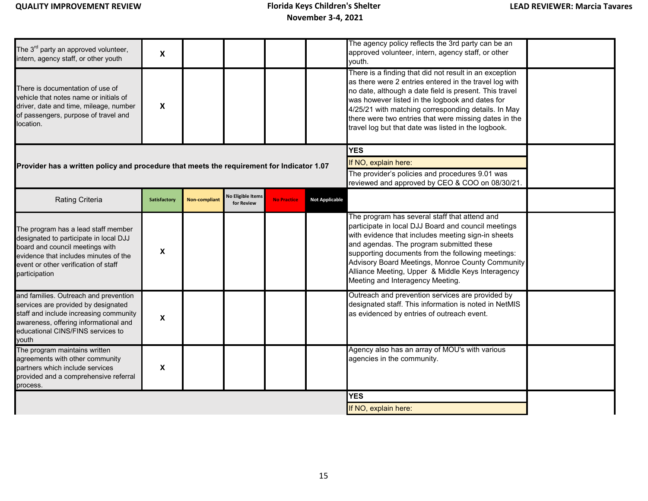| The 3 <sup>rd</sup> party an approved volunteer,<br>intern, agency staff, or other youth                                                                                                                           | X            |                      |                                        |                    |                       | The agency policy reflects the 3rd party can be an<br>approved volunteer, intern, agency staff, or other<br>vouth.                                                                                                                                                                                                                                                                                      |  |
|--------------------------------------------------------------------------------------------------------------------------------------------------------------------------------------------------------------------|--------------|----------------------|----------------------------------------|--------------------|-----------------------|---------------------------------------------------------------------------------------------------------------------------------------------------------------------------------------------------------------------------------------------------------------------------------------------------------------------------------------------------------------------------------------------------------|--|
| There is documentation of use of<br>vehicle that notes name or initials of<br>driver, date and time, mileage, number<br>of passengers, purpose of travel and<br>location.                                          | X            |                      |                                        |                    |                       | There is a finding that did not result in an exception<br>as there were 2 entries entered in the travel log with<br>no date, although a date field is present. This travel<br>was however listed in the logbook and dates for<br>4/25/21 with matching corresponding details. In May<br>there were two entries that were missing dates in the<br>travel log but that date was listed in the logbook.    |  |
|                                                                                                                                                                                                                    |              |                      |                                        |                    |                       | <b>YES</b>                                                                                                                                                                                                                                                                                                                                                                                              |  |
| Provider has a written policy and procedure that meets the requirement for Indicator 1.07                                                                                                                          |              |                      |                                        |                    |                       | If NO, explain here:                                                                                                                                                                                                                                                                                                                                                                                    |  |
|                                                                                                                                                                                                                    |              |                      |                                        |                    |                       | The provider's policies and procedures 9.01 was<br>reviewed and approved by CEO & COO on 08/30/21.                                                                                                                                                                                                                                                                                                      |  |
| Rating Criteria                                                                                                                                                                                                    | Satisfactory | <b>Non-compliant</b> | <b>No Eligible Items</b><br>for Review | <b>No Practice</b> | <b>Not Applicable</b> |                                                                                                                                                                                                                                                                                                                                                                                                         |  |
| The program has a lead staff member<br>designated to participate in local DJJ<br>board and council meetings with<br>evidence that includes minutes of the<br>event or other verification of staff<br>participation | X            |                      |                                        |                    |                       | The program has several staff that attend and<br>participate in local DJJ Board and council meetings<br>with evidence that includes meeting sign-in sheets<br>and agendas. The program submitted these<br>supporting documents from the following meetings:<br>Advisory Board Meetings, Monroe County Community<br>Alliance Meeting, Upper & Middle Keys Interagency<br>Meeting and Interagency Meeting |  |
| and families. Outreach and prevention<br>services are provided by designated<br>staff and include increasing community<br>awareness, offering informational and<br>educational CINS/FINS services to<br>vouth      | X            |                      |                                        |                    |                       | Outreach and prevention services are provided by<br>designated staff. This information is noted in NetMIS<br>as evidenced by entries of outreach event.                                                                                                                                                                                                                                                 |  |
| The program maintains written<br>agreements with other community<br>partners which include services<br>provided and a comprehensive referral<br>process.                                                           | X            |                      |                                        |                    |                       | Agency also has an array of MOU's with various<br>agencies in the community.                                                                                                                                                                                                                                                                                                                            |  |
|                                                                                                                                                                                                                    |              |                      |                                        |                    |                       | <b>YES</b>                                                                                                                                                                                                                                                                                                                                                                                              |  |
|                                                                                                                                                                                                                    |              |                      |                                        |                    |                       | If NO, explain here:                                                                                                                                                                                                                                                                                                                                                                                    |  |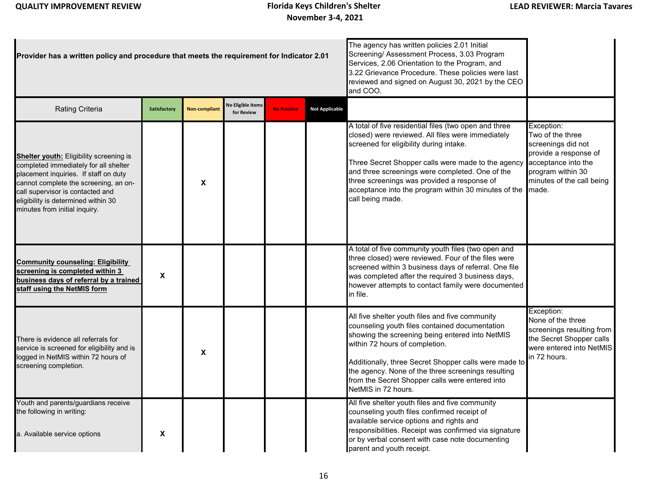| Provider has a written policy and procedure that meets the requirement for Indicator 2.01                                                                                                                                                                                      |                           |                      |                                 |                    | The agency has written policies 2.01 Initial<br>Screening/Assessment Process, 3.03 Program<br>Services, 2.06 Orientation to the Program, and<br>3.22 Grievance Procedure. These policies were last<br>reviewed and signed on August 30, 2021 by the CEO<br>and COO. |                                                                                                                                                                                                                                                                                                                                                                                           |                                                                                                                                                                 |
|--------------------------------------------------------------------------------------------------------------------------------------------------------------------------------------------------------------------------------------------------------------------------------|---------------------------|----------------------|---------------------------------|--------------------|---------------------------------------------------------------------------------------------------------------------------------------------------------------------------------------------------------------------------------------------------------------------|-------------------------------------------------------------------------------------------------------------------------------------------------------------------------------------------------------------------------------------------------------------------------------------------------------------------------------------------------------------------------------------------|-----------------------------------------------------------------------------------------------------------------------------------------------------------------|
| <b>Rating Criteria</b>                                                                                                                                                                                                                                                         | Satisfactory              | <b>Non-compliant</b> | No Eligible Items<br>for Review | <b>No Practice</b> | <b>Not Applicable</b>                                                                                                                                                                                                                                               |                                                                                                                                                                                                                                                                                                                                                                                           |                                                                                                                                                                 |
| Shelter youth: Eligibility screening is<br>completed immediately for all shelter<br>placement inquiries. If staff on duty<br>cannot complete the screening, an on-<br>call supervisor is contacted and<br>eligibility is determined within 30<br>minutes from initial inquiry. |                           | X                    |                                 |                    |                                                                                                                                                                                                                                                                     | A total of five residential files (two open and three<br>closed) were reviewed. All files were immediately<br>screened for eligibility during intake.<br>Three Secret Shopper calls were made to the agency<br>and three screenings were completed. One of the<br>three screenings was provided a response of<br>acceptance into the program within 30 minutes of the<br>call being made. | Exception:<br>Two of the three<br>screenings did not<br>provide a response of<br>acceptance into the<br>program within 30<br>minutes of the call being<br>made. |
| <b>Community counseling: Eligibility</b><br>screening is completed within 3<br>business days of referral by a trained<br>staff using the NetMIS form                                                                                                                           | $\boldsymbol{\mathsf{x}}$ |                      |                                 |                    |                                                                                                                                                                                                                                                                     | A total of five community youth files (two open and<br>three closed) were reviewed. Four of the files were<br>screened within 3 business days of referral. One file<br>was completed after the required 3 business days,<br>however attempts to contact family were documented<br>in file.                                                                                                |                                                                                                                                                                 |
| There is evidence all referrals for<br>service is screened for eligibility and is<br>logged in NetMIS within 72 hours of<br>screening completion.                                                                                                                              |                           | X                    |                                 |                    |                                                                                                                                                                                                                                                                     | All five shelter youth files and five community<br>counseling youth files contained documentation<br>showing the screening being entered into NetMIS<br>within 72 hours of completion.<br>Additionally, three Secret Shopper calls were made to<br>the agency. None of the three screenings resulting<br>from the Secret Shopper calls were entered into<br>NetMIS in 72 hours.           | Exception:<br>None of the three<br>screenings resulting from<br>the Secret Shopper calls<br>were entered into NetMIS<br>in 72 hours.                            |
| Youth and parents/guardians receive<br>the following in writing:<br>a. Available service options                                                                                                                                                                               | X                         |                      |                                 |                    |                                                                                                                                                                                                                                                                     | All five shelter youth files and five community<br>counseling youth files confirmed receipt of<br>available service options and rights and<br>responsibilities. Receipt was confirmed via signature<br>or by verbal consent with case note documenting<br>parent and youth receipt.                                                                                                       |                                                                                                                                                                 |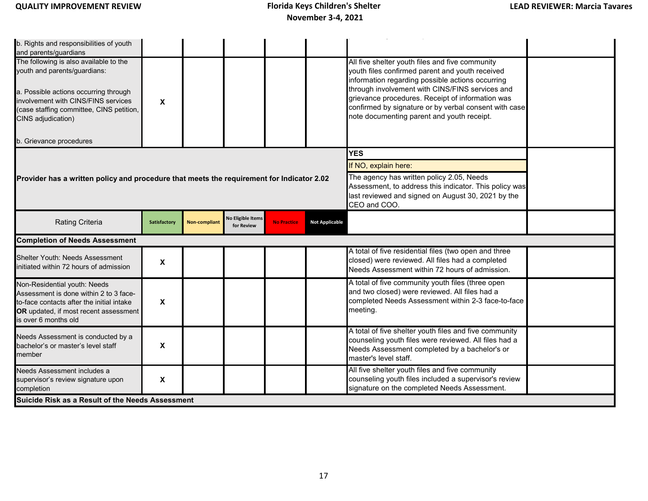b. Rights and responsibilities of youth and parents/guardians The following is also available to the youth and parents/guardians: a. Possible actions occurring through involvement with CINS/FINS services (case staffing committee, CINS petition, CINS adjudication) b. Grievance procedures **YES** If NO, explain here: The agency has written policy 2.05, Needs Assessment, to address this indicator. This policy was last reviewed and signed on August 30, 2021 by the CEO and COO. Shelter Youth: Needs Assessment initiated within 72 hours of admission **<sup>X</sup>** A total of five residential files (two open and three closed) were reviewed. All files had a completed Needs Assessment within 72 hours of admission. Non-Residential youth: Needs Assessment is done within 2 to 3 faceto-face contacts after the initial intake **OR** updated, if most recent assessment s over 6 months old **X** A total of five community youth files (three open and two closed) were reviewed. All files had a completed Needs Assessment within 2-3 face-to-face meeting. Needs Assessment is conducted by a bachelor's or master's level staff member **X** A total of five shelter youth files and five community counseling youth files were reviewed. All files had a Needs Assessment completed by a bachelor's or master's level staff. Needs Assessment includes a supervisor's review signature upon completion **X** All five shelter youth files and five community counseling youth files included a supervisor's review signature on the completed Needs Assessment. **X** All five shelter youth files and five community youth files confirmed parent and youth received information regarding possible actions occurring through involvement with CINS/FINS services and grievance procedures. Receipt of information was confirmed by signature or by verbal consent with case note documenting parent and youth receipt. p y provincia de la provincia de la provincia de la provincia de la provincia de la provincia de la provincia<br>En 1930, en 1930, en 1930, en 1930, en 1930, en 1930, en 1930, en 1930, en 1930, en 1930, en 1930, en 1930, en **Provider has a written policy and procedure that meets the requirement for Indicator 2.02 Rating Criteria Satisfactory No Eligible Items Criterial Satisfactory No Eligible Items for Review No Practice Not Applicable Suicide Risk as a Result of the Needs Assessment Completion of Needs Assessment**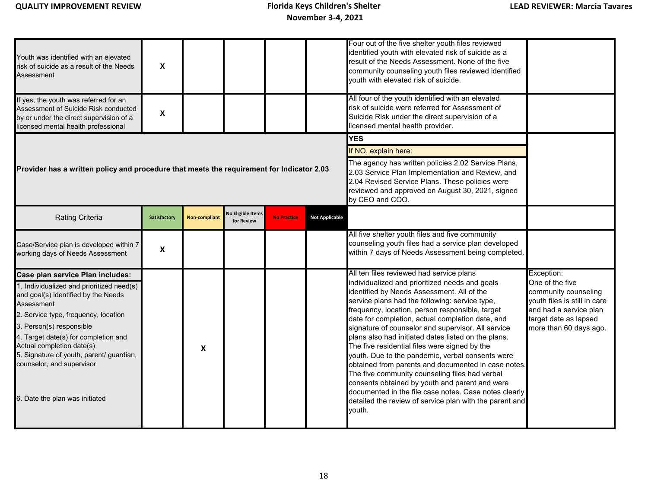| Youth was identified with an elevated<br>risk of suicide as a result of the Needs<br>Assessment<br>If yes, the youth was referred for an<br>Assessment of Suicide Risk conducted<br>by or under the direct supervision of a<br>licensed mental health professional                                                                                                                     | X<br>$\mathsf{x}$   |                      |                                                                                                                                                                                                                                                                         |                    |                       | Four out of the five shelter youth files reviewed<br>identified youth with elevated risk of suicide as a<br>result of the Needs Assessment. None of the five<br>community counseling youth files reviewed identified<br>youth with elevated risk of suicide.<br>All four of the youth identified with an elevated<br>risk of suicide were referred for Assessment of<br>Suicide Risk under the direct supervision of a<br>licensed mental health provider.                                                                                                                                                                                                                                                                                                                                                   |                                                                                                                                                                    |
|----------------------------------------------------------------------------------------------------------------------------------------------------------------------------------------------------------------------------------------------------------------------------------------------------------------------------------------------------------------------------------------|---------------------|----------------------|-------------------------------------------------------------------------------------------------------------------------------------------------------------------------------------------------------------------------------------------------------------------------|--------------------|-----------------------|--------------------------------------------------------------------------------------------------------------------------------------------------------------------------------------------------------------------------------------------------------------------------------------------------------------------------------------------------------------------------------------------------------------------------------------------------------------------------------------------------------------------------------------------------------------------------------------------------------------------------------------------------------------------------------------------------------------------------------------------------------------------------------------------------------------|--------------------------------------------------------------------------------------------------------------------------------------------------------------------|
| Provider has a written policy and procedure that meets the requirement for Indicator 2.03                                                                                                                                                                                                                                                                                              |                     |                      | <b>YES</b><br>If NO, explain here:<br>The agency has written policies 2.02 Service Plans,<br>2.03 Service Plan Implementation and Review, and<br>2.04 Revised Service Plans. These policies were<br>reviewed and approved on August 30, 2021, signed<br>by CEO and COO. |                    |                       |                                                                                                                                                                                                                                                                                                                                                                                                                                                                                                                                                                                                                                                                                                                                                                                                              |                                                                                                                                                                    |
| Rating Criteria                                                                                                                                                                                                                                                                                                                                                                        | <b>Satisfactory</b> | <b>Non-compliant</b> | <b>No Eligible Items</b><br>for Review                                                                                                                                                                                                                                  | <b>No Practice</b> | <b>Not Applicable</b> |                                                                                                                                                                                                                                                                                                                                                                                                                                                                                                                                                                                                                                                                                                                                                                                                              |                                                                                                                                                                    |
| Case/Service plan is developed within 7<br>working days of Needs Assessment                                                                                                                                                                                                                                                                                                            | X                   |                      |                                                                                                                                                                                                                                                                         |                    |                       | All five shelter youth files and five community<br>counseling youth files had a service plan developed<br>within 7 days of Needs Assessment being completed.                                                                                                                                                                                                                                                                                                                                                                                                                                                                                                                                                                                                                                                 |                                                                                                                                                                    |
| Case plan service Plan includes:<br>1. Individualized and prioritized need(s)<br>and goal(s) identified by the Needs<br>Assessment<br>2. Service type, frequency, location<br>3. Person(s) responsible<br>4. Target date(s) for completion and<br>Actual completion date(s)<br>5. Signature of youth, parent/ guardian,<br>counselor, and supervisor<br>6. Date the plan was initiated |                     | X                    |                                                                                                                                                                                                                                                                         |                    |                       | All ten files reviewed had service plans<br>individualized and prioritized needs and goals<br>identified by Needs Assessment. All of the<br>service plans had the following: service type,<br>frequency, location, person responsible, target<br>date for completion, actual completion date, and<br>signature of counselor and supervisor. All service<br>plans also had initiated dates listed on the plans.<br>The five residential files were signed by the<br>youth. Due to the pandemic, verbal consents were<br>obtained from parents and documented in case notes.<br>The five community counseling files had verbal<br>consents obtained by youth and parent and were<br>documented in the file case notes. Case notes clearly<br>detailed the review of service plan with the parent and<br>youth. | Exception:<br>One of the five<br>community counseling<br>youth files is still in care<br>and had a service plan<br>target date as lapsed<br>more than 60 days ago. |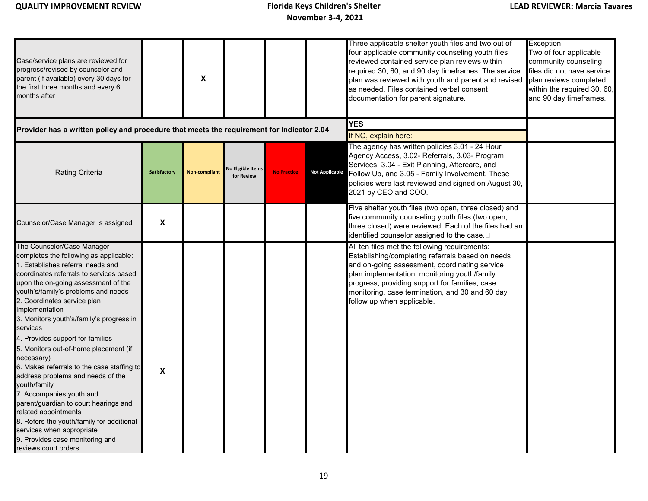| Case/service plans are reviewed for<br>progress/revised by counselor and<br>parent (if available) every 30 days for<br>the first three months and every 6<br>months after                                                                                                                                                                                                                                                                                                                                                                                                                                                                                                                                                                                                   |              | $\boldsymbol{\mathsf{X}}$ |                                        |                                    |                       | Three applicable shelter youth files and two out of<br>four applicable community counseling youth files<br>reviewed contained service plan reviews within<br>required 30, 60, and 90 day timeframes. The service<br>plan was reviewed with youth and parent and revised<br>as needed. Files contained verbal consent<br>documentation for parent signature. | Exception:<br>Two of four applicable<br>community counseling<br>files did not have service<br>plan reviews completed<br>within the required 30, 60,<br>and 90 day timeframes. |
|-----------------------------------------------------------------------------------------------------------------------------------------------------------------------------------------------------------------------------------------------------------------------------------------------------------------------------------------------------------------------------------------------------------------------------------------------------------------------------------------------------------------------------------------------------------------------------------------------------------------------------------------------------------------------------------------------------------------------------------------------------------------------------|--------------|---------------------------|----------------------------------------|------------------------------------|-----------------------|-------------------------------------------------------------------------------------------------------------------------------------------------------------------------------------------------------------------------------------------------------------------------------------------------------------------------------------------------------------|-------------------------------------------------------------------------------------------------------------------------------------------------------------------------------|
| Provider has a written policy and procedure that meets the requirement for Indicator 2.04                                                                                                                                                                                                                                                                                                                                                                                                                                                                                                                                                                                                                                                                                   |              |                           |                                        | <b>YES</b><br>If NO, explain here: |                       |                                                                                                                                                                                                                                                                                                                                                             |                                                                                                                                                                               |
| <b>Rating Criteria</b>                                                                                                                                                                                                                                                                                                                                                                                                                                                                                                                                                                                                                                                                                                                                                      | Satisfactory | <b>Non-compliant</b>      | <b>Jo Eligible Items</b><br>for Review | <b>No Practice</b>                 | <b>Not Applicable</b> | The agency has written policies 3.01 - 24 Hour<br>Agency Access, 3.02- Referrals, 3.03- Program<br>Services, 3.04 - Exit Planning, Aftercare, and<br>Follow Up, and 3.05 - Family Involvement. These<br>policies were last reviewed and signed on August 30,<br>2021 by CEO and COO.                                                                        |                                                                                                                                                                               |
| Counselor/Case Manager is assigned                                                                                                                                                                                                                                                                                                                                                                                                                                                                                                                                                                                                                                                                                                                                          | X            |                           |                                        |                                    |                       | Five shelter youth files (two open, three closed) and<br>five community counseling youth files (two open,<br>three closed) were reviewed. Each of the files had an<br>identified counselor assigned to the case.                                                                                                                                            |                                                                                                                                                                               |
| The Counselor/Case Manager<br>completes the following as applicable:<br>1. Establishes referral needs and<br>coordinates referrals to services based<br>upon the on-going assessment of the<br>youth's/family's problems and needs<br>2. Coordinates service plan<br>implementation<br>3. Monitors youth's/family's progress in<br>services<br>4. Provides support for families<br>5. Monitors out-of-home placement (if<br>necessary)<br>6. Makes referrals to the case staffing to<br>address problems and needs of the<br>youth/family<br>7. Accompanies youth and<br>parent/guardian to court hearings and<br>related appointments<br>8. Refers the youth/family for additional<br>services when appropriate<br>9. Provides case monitoring and<br>reviews court orders | X            |                           |                                        |                                    |                       | All ten files met the following requirements:<br>Establishing/completing referrals based on needs<br>and on-going assessment, coordinating service<br>plan implementation, monitoring youth/family<br>progress, providing support for families, case<br>monitoring, case termination, and 30 and 60 day<br>follow up when applicable.                       |                                                                                                                                                                               |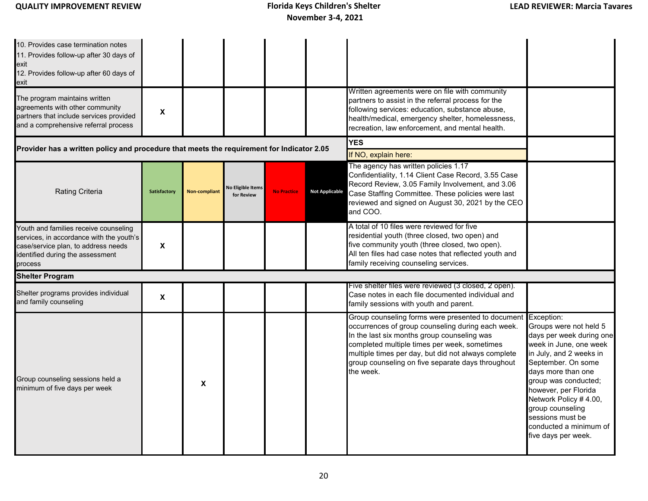10. Provides case termination notes 11. Provides follow-up after 30 days of exit 12. Provides follow-up after 60 days of exit The program maintains written agreements with other community partners that include services provided and a comprehensive referral process **X** Written agreements were on file with community partners to assist in the referral process for the following services: education, substance abuse, health/medical, emergency shelter, homelessness, recreation, law enforcement, and mental health. **YES** If NO, explain here: Youth and families receive counseling services, in accordance with the youth's case/service plan, to address needs identified during the assessment process **X** A total of 10 files were reviewed for five residential youth (three closed, two open) and five community youth (three closed, two open). All ten files had case notes that reflected youth and family receiving counseling services. Shelter programs provides individual and family counseling **<sup>X</sup>** Five shelter files were reviewed (3 closed, 2 open). Case notes in each file documented individual and family sessions with youth and parent. Group counseling sessions held a minimum of five days per week **<sup>X</sup>** Group counseling forms were presented to document Exception: occurrences of group counseling during each week. In the last six months group counseling was completed multiple times per week, sometimes multiple times per day, but did not always complete group counseling on five separate days throughout the week. Groups were not held 5 days per week during one week in June, one week in July, and 2 weeks in September. On some days more than one group was conducted; however, per Florida Network Policy # 4.00, group counseling sessions must be conducted a minimum of five days per week. **Not Applicable** The agency has written policies 1.17 Confidentiality, 1.14 Client Case Record, 3.55 Case Record Review, 3.05 Family Involvement, and 3.06 Case Staffing Committee. These policies were last reviewed and signed on August 30, 2021 by the CEO and COO. **Shelter Program Provider has a written policy and procedure that meets the requirement for Indicator 2.05 Rating Criteria Satisfactory Non-compliant No Eligible Items CREVIEW for Review No Practice**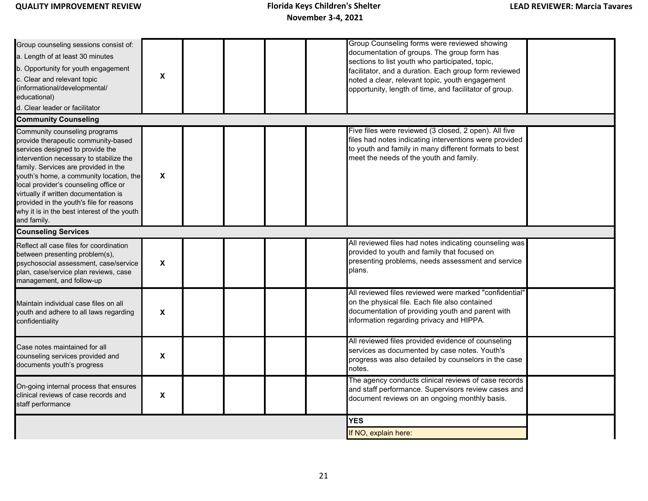| Group counseling sessions consist of:<br>a. Length of at least 30 minutes<br>b. Opportunity for youth engagement<br>c. Clear and relevant topic<br>(informational/developmental/<br>educational)<br>d. Clear leader or facilitator                                                                                                                                                                                                 | $\boldsymbol{\mathsf{X}}$ |  |  | Group Counseling forms were reviewed showing<br>documentation of groups. The group form has<br>sections to list youth who participated, topic,<br>facilitator, and a duration. Each group form reviewed<br>noted a clear, relevant topic, youth engagement<br>opportunity, length of time, and facilitator of group. |  |
|------------------------------------------------------------------------------------------------------------------------------------------------------------------------------------------------------------------------------------------------------------------------------------------------------------------------------------------------------------------------------------------------------------------------------------|---------------------------|--|--|----------------------------------------------------------------------------------------------------------------------------------------------------------------------------------------------------------------------------------------------------------------------------------------------------------------------|--|
| <b>Community Counseling</b>                                                                                                                                                                                                                                                                                                                                                                                                        |                           |  |  |                                                                                                                                                                                                                                                                                                                      |  |
| Community counseling programs<br>provide therapeutic community-based<br>services designed to provide the<br>intervention necessary to stabilize the<br>family. Services are provided in the<br>youth's home, a community location, the<br>local provider's counseling office or<br>virtually if written documentation is<br>provided in the youth's file for reasons<br>why it is in the best interest of the youth<br>and family. | $\boldsymbol{\mathsf{X}}$ |  |  | Five files were reviewed (3 closed, 2 open). All five<br>files had notes indicating interventions were provided<br>to youth and family in many different formats to best<br>meet the needs of the youth and family.                                                                                                  |  |
| <b>Counseling Services</b>                                                                                                                                                                                                                                                                                                                                                                                                         |                           |  |  |                                                                                                                                                                                                                                                                                                                      |  |
| Reflect all case files for coordination<br>between presenting problem(s),<br>psychosocial assessment, case/service<br>plan, case/service plan reviews, case<br>management, and follow-up                                                                                                                                                                                                                                           | X                         |  |  | All reviewed files had notes indicating counseling was<br>provided to youth and family that focused on<br>presenting problems, needs assessment and service<br>plans.                                                                                                                                                |  |
| Maintain individual case files on all<br>youth and adhere to all laws regarding<br>confidentiality                                                                                                                                                                                                                                                                                                                                 | $\boldsymbol{\mathsf{X}}$ |  |  | All reviewed files reviewed were marked "confidential"<br>on the physical file. Each file also contained<br>documentation of providing youth and parent with<br>information regarding privacy and HIPPA.                                                                                                             |  |
| Case notes maintained for all<br>counseling services provided and<br>documents youth's progress                                                                                                                                                                                                                                                                                                                                    | X                         |  |  | All reviewed files provided evidence of counseling<br>services as documented by case notes. Youth's<br>progress was also detailed by counselors in the case<br>notes.                                                                                                                                                |  |
| On-going internal process that ensures<br>clinical reviews of case records and<br>staff performance                                                                                                                                                                                                                                                                                                                                | X                         |  |  | The agency conducts clinical reviews of case records<br>and staff performance. Supervisors review cases and<br>document reviews on an ongoing monthly basis.                                                                                                                                                         |  |
|                                                                                                                                                                                                                                                                                                                                                                                                                                    |                           |  |  | <b>YES</b>                                                                                                                                                                                                                                                                                                           |  |
|                                                                                                                                                                                                                                                                                                                                                                                                                                    |                           |  |  | If NO, explain here:                                                                                                                                                                                                                                                                                                 |  |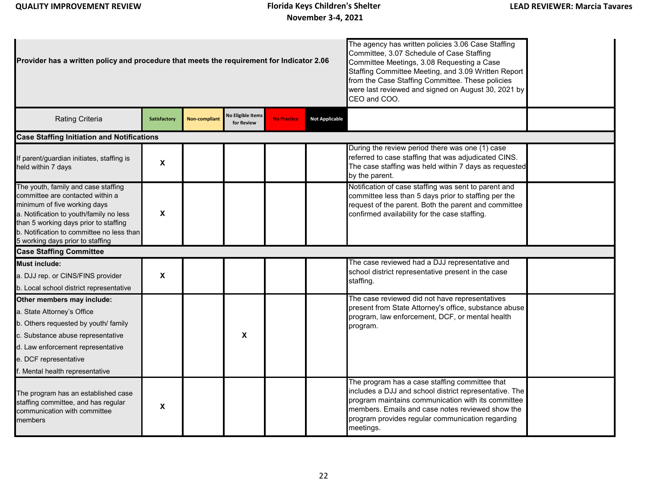| Provider has a written policy and procedure that meets the requirement for Indicator 2.06                                                                                                                                                                                    |                           |               |                                 | The agency has written policies 3.06 Case Staffing<br>Committee, 3.07 Schedule of Case Staffing<br>Committee Meetings, 3.08 Requesting a Case<br>Staffing Committee Meeting, and 3.09 Written Report<br>from the Case Staffing Committee. These policies<br>were last reviewed and signed on August 30, 2021 by<br>CEO and COO. |                       |                                                                                                                                                                                                                                                                                     |  |  |  |  |  |
|------------------------------------------------------------------------------------------------------------------------------------------------------------------------------------------------------------------------------------------------------------------------------|---------------------------|---------------|---------------------------------|---------------------------------------------------------------------------------------------------------------------------------------------------------------------------------------------------------------------------------------------------------------------------------------------------------------------------------|-----------------------|-------------------------------------------------------------------------------------------------------------------------------------------------------------------------------------------------------------------------------------------------------------------------------------|--|--|--|--|--|
| Rating Criteria                                                                                                                                                                                                                                                              | <b>Satisfactory</b>       | Non-compliant | No Eligible Items<br>for Review | <b>No Practice</b>                                                                                                                                                                                                                                                                                                              | <b>Not Applicable</b> |                                                                                                                                                                                                                                                                                     |  |  |  |  |  |
| <b>Case Staffing Initiation and Notifications</b>                                                                                                                                                                                                                            |                           |               |                                 |                                                                                                                                                                                                                                                                                                                                 |                       |                                                                                                                                                                                                                                                                                     |  |  |  |  |  |
| f parent/guardian initiates, staffing is<br>eld within 7 days                                                                                                                                                                                                                | X                         |               |                                 |                                                                                                                                                                                                                                                                                                                                 |                       | During the review period there was one (1) case<br>referred to case staffing that was adjudicated CINS.<br>The case staffing was held within 7 days as requested<br>by the parent.                                                                                                  |  |  |  |  |  |
| The youth, family and case staffing<br>committee are contacted within a<br>minimum of five working days<br>a. Notification to youth/family no less<br>than 5 working days prior to staffing<br>b. Notification to committee no less than<br>5 working days prior to staffing | $\boldsymbol{x}$          |               |                                 |                                                                                                                                                                                                                                                                                                                                 |                       | Notification of case staffing was sent to parent and<br>committee less than 5 days prior to staffing per the<br>request of the parent. Both the parent and committee<br>confirmed availability for the case staffing.                                                               |  |  |  |  |  |
| <b>Case Staffing Committee</b>                                                                                                                                                                                                                                               |                           |               |                                 |                                                                                                                                                                                                                                                                                                                                 |                       |                                                                                                                                                                                                                                                                                     |  |  |  |  |  |
| <b>Must include:</b><br>a. DJJ rep. or CINS/FINS provider<br>b. Local school district representative                                                                                                                                                                         | $\boldsymbol{\mathsf{x}}$ |               |                                 |                                                                                                                                                                                                                                                                                                                                 |                       | The case reviewed had a DJJ representative and<br>school district representative present in the case<br>staffing.                                                                                                                                                                   |  |  |  |  |  |
| Other members may include:<br>a. State Attorney's Office<br>b. Others requested by youth/ family<br>c. Substance abuse representative<br>d. Law enforcement representative<br>e. DCF representative<br>Mental health representative                                          |                           |               | X                               |                                                                                                                                                                                                                                                                                                                                 |                       | The case reviewed did not have representatives<br>present from State Attorney's office, substance abuse<br>program, law enforcement, DCF, or mental health<br>program.                                                                                                              |  |  |  |  |  |
| The program has an established case<br>staffing committee, and has regular<br>communication with committee<br>members                                                                                                                                                        | X                         |               |                                 |                                                                                                                                                                                                                                                                                                                                 |                       | The program has a case staffing committee that<br>includes a DJJ and school district representative. The<br>program maintains communication with its committee<br>members. Emails and case notes reviewed show the<br>program provides regular communication regarding<br>meetings. |  |  |  |  |  |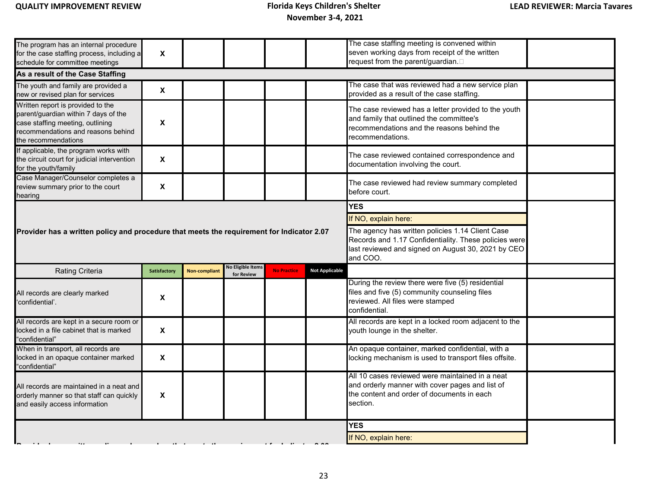| The program has an internal procedure<br>for the case staffing process, including a<br>schedule for committee meetings                                                     | $\boldsymbol{\mathsf{X}}$ |                      |                                        |                    |                       | The case staffing meeting is convened within<br>seven working days from receipt of the written<br>request from the parent/guardian.                                         |  |
|----------------------------------------------------------------------------------------------------------------------------------------------------------------------------|---------------------------|----------------------|----------------------------------------|--------------------|-----------------------|-----------------------------------------------------------------------------------------------------------------------------------------------------------------------------|--|
| As a result of the Case Staffing                                                                                                                                           |                           |                      |                                        |                    |                       |                                                                                                                                                                             |  |
| The youth and family are provided a<br>new or revised plan for services                                                                                                    | $\pmb{\chi}$              |                      |                                        |                    |                       | The case that was reviewed had a new service plan<br>provided as a result of the case staffing.                                                                             |  |
| Written report is provided to the<br>parent/guardian within 7 days of the<br>case staffing meeting, outlining<br>recommendations and reasons behind<br>the recommendations | $\pmb{\chi}$              |                      |                                        |                    |                       | The case reviewed has a letter provided to the youth<br>and family that outlined the committee's<br>recommendations and the reasons behind the<br>recommendations.          |  |
| If applicable, the program works with<br>the circuit court for judicial intervention<br>for the youth/family                                                               | $\boldsymbol{\mathsf{X}}$ |                      |                                        |                    |                       | The case reviewed contained correspondence and<br>documentation involving the court.                                                                                        |  |
| Case Manager/Counselor completes a<br>review summary prior to the court<br>hearing                                                                                         | $\boldsymbol{\mathsf{X}}$ |                      |                                        |                    |                       | The case reviewed had review summary completed<br>before court.                                                                                                             |  |
|                                                                                                                                                                            |                           |                      |                                        |                    |                       | <b>YES</b>                                                                                                                                                                  |  |
|                                                                                                                                                                            |                           |                      |                                        |                    |                       | If NO, explain here:                                                                                                                                                        |  |
| Provider has a written policy and procedure that meets the requirement for Indicator 2.07                                                                                  |                           |                      |                                        |                    |                       | The agency has written policies 1.14 Client Case<br>Records and 1.17 Confidentiality. These policies were<br>last reviewed and signed on August 30, 2021 by CEO<br>and COO. |  |
| Rating Criteria                                                                                                                                                            | Satisfactory              | <b>Non-compliant</b> | <b>No Eligible Items</b><br>for Review | <b>No Practice</b> | <b>Not Applicable</b> |                                                                                                                                                                             |  |
| All records are clearly marked<br>confidential'.                                                                                                                           | X                         |                      |                                        |                    |                       | During the review there were five (5) residential<br>files and five (5) community counseling files<br>reviewed. All files were stamped<br>confidential.                     |  |
| All records are kept in a secure room or<br>ocked in a file cabinet that is marked<br>'confidential"                                                                       | $\boldsymbol{\mathsf{x}}$ |                      |                                        |                    |                       | All records are kept in a locked room adjacent to the<br>youth lounge in the shelter.                                                                                       |  |
| When in transport, all records are                                                                                                                                         |                           |                      |                                        |                    |                       | An opaque container, marked confidential, with a                                                                                                                            |  |
| ocked in an opaque container marked<br>'confidential"                                                                                                                      | $\boldsymbol{\mathsf{X}}$ |                      |                                        |                    |                       | locking mechanism is used to transport files offsite.                                                                                                                       |  |
| All records are maintained in a neat and<br>orderly manner so that staff can quickly<br>and easily access information                                                      | X                         |                      |                                        |                    |                       | All 10 cases reviewed were maintained in a neat<br>and orderly manner with cover pages and list of<br>the content and order of documents in each<br>section.                |  |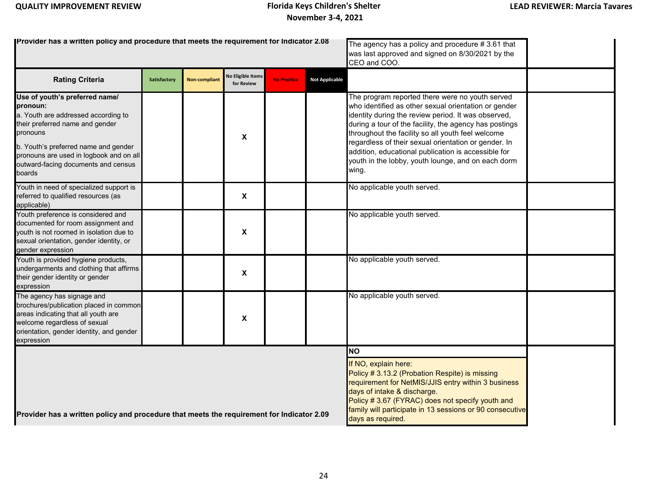| Provider has a written policy and procedure that meets the requirement for Indicator 2.08                                                                                                                                                                            |              |                      |                                        | The agency has a policy and procedure $# 3.61$ that<br>was last approved and signed on 8/30/2021 by the<br>CEO and COO.                                                                                                                                                                                        |                       |                                                                                                                                                                                                                                                                                                                                                                                                                                                             |  |
|----------------------------------------------------------------------------------------------------------------------------------------------------------------------------------------------------------------------------------------------------------------------|--------------|----------------------|----------------------------------------|----------------------------------------------------------------------------------------------------------------------------------------------------------------------------------------------------------------------------------------------------------------------------------------------------------------|-----------------------|-------------------------------------------------------------------------------------------------------------------------------------------------------------------------------------------------------------------------------------------------------------------------------------------------------------------------------------------------------------------------------------------------------------------------------------------------------------|--|
| <b>Rating Criteria</b>                                                                                                                                                                                                                                               | Satisfactory | <b>Non-compliant</b> | <b>No Eligible Items</b><br>for Review | <b>No Practice</b>                                                                                                                                                                                                                                                                                             | <b>Not Applicable</b> |                                                                                                                                                                                                                                                                                                                                                                                                                                                             |  |
| Use of youth's preferred name/<br>pronoun:<br>a. Youth are addressed according to<br>their preferred name and gender<br>pronouns<br>b. Youth's preferred name and gender<br>pronouns are used in logbook and on all<br>outward-facing documents and census<br>boards |              |                      | X                                      |                                                                                                                                                                                                                                                                                                                |                       | The program reported there were no youth served<br>who identified as other sexual orientation or gender<br>identity during the review period. It was observed,<br>during a tour of the facility, the agency has postings<br>throughout the facility so all youth feel welcome<br>regardless of their sexual orientation or gender. In<br>addition, educational publication is accessible for<br>youth in the lobby, youth lounge, and on each dorm<br>wing. |  |
| Youth in need of specialized support is<br>referred to qualified resources (as<br>applicable)                                                                                                                                                                        |              |                      | $\boldsymbol{\mathsf{X}}$              |                                                                                                                                                                                                                                                                                                                |                       | No applicable youth served.                                                                                                                                                                                                                                                                                                                                                                                                                                 |  |
| Youth preference is considered and<br>documented for room assignment and<br>youth is not roomed in isolation due to<br>sexual orientation, gender identity, or<br>gender expression                                                                                  |              |                      | X                                      |                                                                                                                                                                                                                                                                                                                |                       | No applicable youth served.                                                                                                                                                                                                                                                                                                                                                                                                                                 |  |
| Youth is provided hygiene products,<br>undergarments and clothing that affirms<br>their gender identity or gender<br>expression                                                                                                                                      |              |                      | $\mathbf x$                            |                                                                                                                                                                                                                                                                                                                |                       | No applicable youth served.                                                                                                                                                                                                                                                                                                                                                                                                                                 |  |
| The agency has signage and<br>brochures/publication placed in common<br>areas indicating that all youth are<br>welcome regardless of sexual<br>orientation, gender identity, and gender<br>expression                                                                |              |                      | X                                      |                                                                                                                                                                                                                                                                                                                |                       | No applicable youth served.                                                                                                                                                                                                                                                                                                                                                                                                                                 |  |
| Provider has a written policy and procedure that meets the requirement for Indicator 2.09                                                                                                                                                                            |              |                      |                                        | <b>NO</b><br>If NO, explain here:<br>Policy # 3.13.2 (Probation Respite) is missing<br>requirement for NetMIS/JJIS entry within 3 business<br>days of intake & discharge.<br>Policy # 3.67 (FYRAC) does not specify youth and<br>family will participate in 13 sessions or 90 consecutive<br>days as required. |                       |                                                                                                                                                                                                                                                                                                                                                                                                                                                             |  |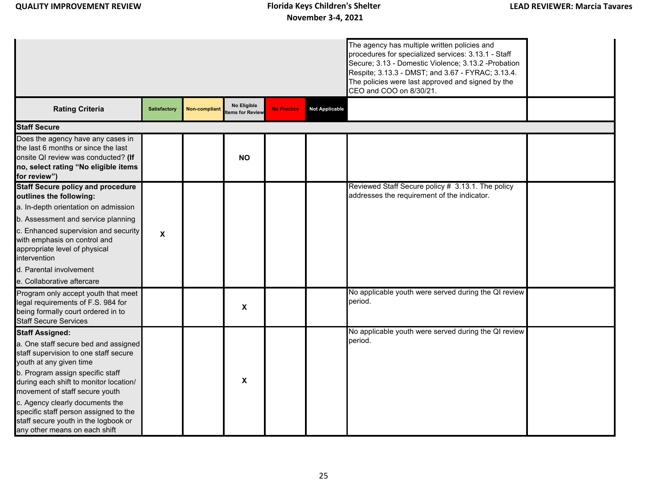|                                                                                                                                                                         |                           |                      |                                        |                    |                       | The agency has multiple written policies and<br>procedures for specialized services: 3.13.1 - Staff<br>Secure; 3.13 - Domestic Violence; 3.13.2 - Probation<br>Respite; 3.13.3 - DMST; and 3.67 - FYRAC; 3.13.4.<br>The policies were last approved and signed by the<br>CEO and COO on 8/30/21. |  |
|-------------------------------------------------------------------------------------------------------------------------------------------------------------------------|---------------------------|----------------------|----------------------------------------|--------------------|-----------------------|--------------------------------------------------------------------------------------------------------------------------------------------------------------------------------------------------------------------------------------------------------------------------------------------------|--|
| <b>Rating Criteria</b>                                                                                                                                                  | <b>Satisfactory</b>       | <b>Non-compliant</b> | No Eligible<br><b>Items for Review</b> | <b>No Practice</b> | <b>Not Applicable</b> |                                                                                                                                                                                                                                                                                                  |  |
| <b>Staff Secure</b>                                                                                                                                                     |                           |                      |                                        |                    |                       |                                                                                                                                                                                                                                                                                                  |  |
| Does the agency have any cases in<br>the last 6 months or since the last<br>onsite QI review was conducted? (If<br>no, select rating "No eligible items<br>for review") |                           |                      | <b>NO</b>                              |                    |                       |                                                                                                                                                                                                                                                                                                  |  |
| <b>Staff Secure policy and procedure</b>                                                                                                                                |                           |                      |                                        |                    |                       | Reviewed Staff Secure policy # 3.13.1. The policy                                                                                                                                                                                                                                                |  |
| outlines the following:                                                                                                                                                 |                           |                      |                                        |                    |                       | addresses the requirement of the indicator.                                                                                                                                                                                                                                                      |  |
| a. In-depth orientation on admission                                                                                                                                    |                           |                      |                                        |                    |                       |                                                                                                                                                                                                                                                                                                  |  |
| b. Assessment and service planning                                                                                                                                      |                           |                      |                                        |                    |                       |                                                                                                                                                                                                                                                                                                  |  |
| c. Enhanced supervision and security<br>with emphasis on control and<br>appropriate level of physical<br>intervention                                                   | $\boldsymbol{\mathsf{X}}$ |                      |                                        |                    |                       |                                                                                                                                                                                                                                                                                                  |  |
| d. Parental involvement                                                                                                                                                 |                           |                      |                                        |                    |                       |                                                                                                                                                                                                                                                                                                  |  |
| e. Collaborative aftercare                                                                                                                                              |                           |                      |                                        |                    |                       |                                                                                                                                                                                                                                                                                                  |  |
| Program only accept youth that meet<br>legal requirements of F.S. 984 for<br>being formally court ordered in to<br><b>Staff Secure Services</b>                         |                           |                      | X                                      |                    |                       | No applicable youth were served during the QI review<br>period.                                                                                                                                                                                                                                  |  |
| <b>Staff Assigned:</b>                                                                                                                                                  |                           |                      |                                        |                    |                       | No applicable youth were served during the QI review                                                                                                                                                                                                                                             |  |
| a. One staff secure bed and assigned<br>staff supervision to one staff secure<br>youth at any given time                                                                |                           |                      |                                        |                    |                       | beriod.                                                                                                                                                                                                                                                                                          |  |
| b. Program assign specific staff<br>during each shift to monitor location/<br>movement of staff secure youth                                                            |                           |                      | $\pmb{\chi}$                           |                    |                       |                                                                                                                                                                                                                                                                                                  |  |
| c. Agency clearly documents the<br>specific staff person assigned to the<br>staff secure youth in the logbook or<br>any other means on each shift                       |                           |                      |                                        |                    |                       |                                                                                                                                                                                                                                                                                                  |  |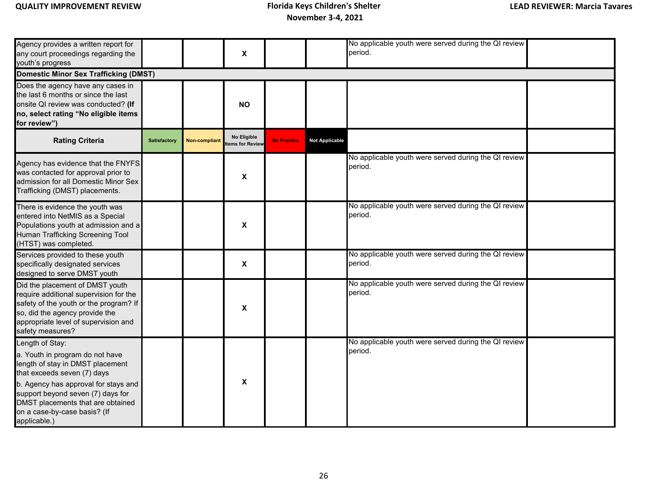Agency provides a written report for any court proceedings regarding the youth's progress **X** No applicable youth were served during the QI review period. Does the agency have any cases in the last 6 months or since the last onsite QI review was conducted? **(If no, select rating "No eligible items for review") NO** Agency has evidence that the FNYFS was contacted for approval prior to admission for all Domestic Minor Sex Trafficking (DMST) placements. **X** No applicable youth were served during the QI review period. There is evidence the youth was entered into NetMIS as a Special Populations youth at admission and a Human Trafficking Screening Tool (HTST) was completed. **X** No applicable youth were served during the QI review period. Services provided to these youth specifically designated services designed to serve DMST youth **X** No applicable youth were served during the QI review period. Did the placement of DMST youth require additional supervision for the safety of the youth or the program? If so, did the agency provide the appropriate level of supervision and safety measures? **X** No applicable youth were served during the QI review period. Length of Stay: a. Youth in program do not have length of stay in DMST placement that exceeds seven (7) days b. Agency has approval for stays and support beyond seven (7) days for DMST placements that are obtained on a case-by-case basis? (If applicable.) **Domestic Minor Sex Trafficking (DMST) Rating Criteria Satisfactory No Eligible Rating Criteria Items for Review No Practice Not Applicable** No applicable youth were served during the QI review period. **X**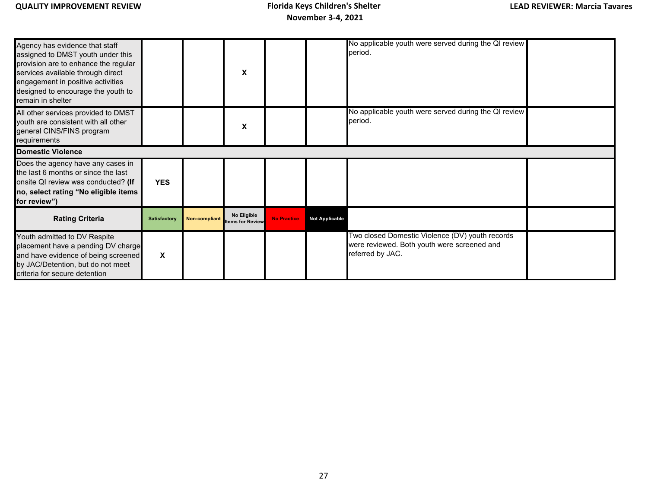| Agency has evidence that staff<br>assigned to DMST youth under this<br>provision are to enhance the regular<br>services available through direct<br>engagement in positive activities<br>designed to encourage the youth to<br>remain in shelter |                     |                      | X                                      |                    |                       | No applicable youth were served during the QI review<br>period.                                                    |  |
|--------------------------------------------------------------------------------------------------------------------------------------------------------------------------------------------------------------------------------------------------|---------------------|----------------------|----------------------------------------|--------------------|-----------------------|--------------------------------------------------------------------------------------------------------------------|--|
| All other services provided to DMST<br>youth are consistent with all other<br>general CINS/FINS program<br>requirements                                                                                                                          |                     |                      | X                                      |                    |                       | No applicable youth were served during the QI review<br>period.                                                    |  |
| <b>Domestic Violence</b>                                                                                                                                                                                                                         |                     |                      |                                        |                    |                       |                                                                                                                    |  |
| Does the agency have any cases in<br>the last 6 months or since the last<br>onsite QI review was conducted? (If<br>no, select rating "No eligible items<br>for review")                                                                          | <b>YES</b>          |                      |                                        |                    |                       |                                                                                                                    |  |
| <b>Rating Criteria</b>                                                                                                                                                                                                                           | <b>Satisfactory</b> | <b>Non-compliant</b> | No Eligible<br><b>Items for Review</b> | <b>No Practice</b> | <b>Not Applicable</b> |                                                                                                                    |  |
| Youth admitted to DV Respite<br>placement have a pending DV charge<br>and have evidence of being screened<br>by JAC/Detention, but do not meet<br>criteria for secure detention                                                                  | X                   |                      |                                        |                    |                       | Two closed Domestic Violence (DV) youth records<br>were reviewed. Both youth were screened and<br>referred by JAC. |  |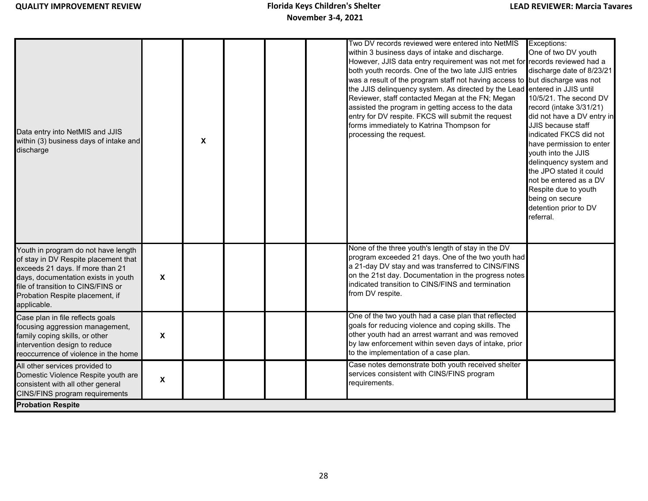| Data entry into NetMIS and JJIS<br>within (3) business days of intake and<br>discharge                                                                                                                                                         |                    | $\boldsymbol{\mathsf{x}}$ |  | Two DV records reviewed were entered into NetMIS<br>within 3 business days of intake and discharge.<br>However, JJIS data entry requirement was not met for records reviewed had a<br>both youth records. One of the two late JJIS entries<br>was a result of the program staff not having access to but discharge was not<br>the JJIS delinquency system. As directed by the Lead<br>Reviewer, staff contacted Megan at the FN; Megan<br>assisted the program in getting access to the data<br>entry for DV respite. FKCS will submit the request<br>forms immediately to Katrina Thompson for<br>processing the request. | Exceptions:<br>One of two DV youth<br>discharge date of 8/23/21<br>entered in JJIS until<br>10/5/21. The second DV<br>record (intake 3/31/21)<br>did not have a DV entry in<br><b>JJIS</b> because staff<br>indicated FKCS did not<br>have permission to enter<br>youth into the JJIS<br>delinquency system and<br>the JPO stated it could<br>not be entered as a DV<br>Respite due to youth<br>being on secure<br>detention prior to DV<br>referral. |
|------------------------------------------------------------------------------------------------------------------------------------------------------------------------------------------------------------------------------------------------|--------------------|---------------------------|--|----------------------------------------------------------------------------------------------------------------------------------------------------------------------------------------------------------------------------------------------------------------------------------------------------------------------------------------------------------------------------------------------------------------------------------------------------------------------------------------------------------------------------------------------------------------------------------------------------------------------------|-------------------------------------------------------------------------------------------------------------------------------------------------------------------------------------------------------------------------------------------------------------------------------------------------------------------------------------------------------------------------------------------------------------------------------------------------------|
| Youth in program do not have length<br>of stay in DV Respite placement that<br>exceeds 21 days. If more than 21<br>days, documentation exists in youth<br>file of transition to CINS/FINS or<br>Probation Respite placement, if<br>applicable. | X                  |                           |  | None of the three youth's length of stay in the DV<br>program exceeded 21 days. One of the two youth had<br>a 21-day DV stay and was transferred to CINS/FINS<br>on the 21st day. Documentation in the progress notes<br>indicated transition to CINS/FINS and termination<br>from DV respite.                                                                                                                                                                                                                                                                                                                             |                                                                                                                                                                                                                                                                                                                                                                                                                                                       |
| Case plan in file reflects goals<br>focusing aggression management,<br>family coping skills, or other<br>intervention design to reduce<br>reoccurrence of violence in the home                                                                 | X                  |                           |  | One of the two youth had a case plan that reflected<br>goals for reducing violence and coping skills. The<br>other youth had an arrest warrant and was removed<br>by law enforcement within seven days of intake, prior<br>to the implementation of a case plan.                                                                                                                                                                                                                                                                                                                                                           |                                                                                                                                                                                                                                                                                                                                                                                                                                                       |
| All other services provided to<br>Domestic Violence Respite youth are<br>consistent with all other general<br>CINS/FINS program requirements                                                                                                   | $\pmb{\mathsf{X}}$ |                           |  | Case notes demonstrate both youth received shelter<br>services consistent with CINS/FINS program<br>requirements.                                                                                                                                                                                                                                                                                                                                                                                                                                                                                                          |                                                                                                                                                                                                                                                                                                                                                                                                                                                       |
| <b>Probation Respite</b>                                                                                                                                                                                                                       |                    |                           |  |                                                                                                                                                                                                                                                                                                                                                                                                                                                                                                                                                                                                                            |                                                                                                                                                                                                                                                                                                                                                                                                                                                       |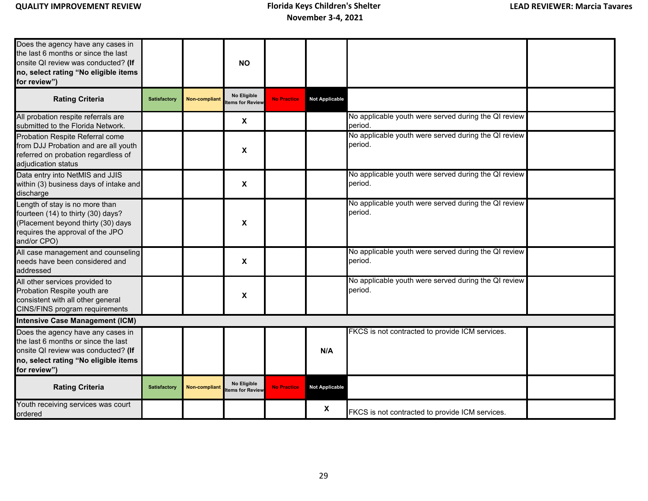| Does the agency have any cases in<br>the last 6 months or since the last<br>onsite QI review was conducted? (If<br>no, select rating "No eligible items<br>for review") |                     |                      | <b>NO</b>                             |                    |                       |                                                                 |
|-------------------------------------------------------------------------------------------------------------------------------------------------------------------------|---------------------|----------------------|---------------------------------------|--------------------|-----------------------|-----------------------------------------------------------------|
| <b>Rating Criteria</b>                                                                                                                                                  | Satisfactory        | <b>Non-compliant</b> | No Eligible<br>tems for Review        | <b>No Practice</b> | <b>Not Applicable</b> |                                                                 |
| All probation respite referrals are<br>submitted to the Florida Network.                                                                                                |                     |                      | $\boldsymbol{\mathsf{X}}$             |                    |                       | No applicable youth were served during the QI review<br>period. |
| Probation Respite Referral come<br>from DJJ Probation and are all youth<br>referred on probation regardless of<br>adjudication status                                   |                     |                      | $\pmb{\chi}$                          |                    |                       | No applicable youth were served during the QI review<br>period. |
| Data entry into NetMIS and JJIS<br>within (3) business days of intake and<br>discharge                                                                                  |                     |                      | $\boldsymbol{\mathsf{X}}$             |                    |                       | No applicable youth were served during the QI review<br>period. |
| Length of stay is no more than<br>fourteen (14) to thirty (30) days?<br>(Placement beyond thirty (30) days<br>requires the approval of the JPO<br>and/or CPO)           |                     |                      | X                                     |                    |                       | No applicable youth were served during the QI review<br>period. |
| All case management and counseling<br>needs have been considered and<br>addressed                                                                                       |                     |                      | $\boldsymbol{\mathsf{x}}$             |                    |                       | No applicable youth were served during the QI review<br>period. |
| All other services provided to<br>Probation Respite youth are<br>consistent with all other general<br>CINS/FINS program requirements                                    |                     |                      | X                                     |                    |                       | No applicable youth were served during the QI review<br>period. |
| <b>Intensive Case Management (ICM)</b>                                                                                                                                  |                     |                      |                                       |                    |                       |                                                                 |
| Does the agency have any cases in<br>the last 6 months or since the last<br>onsite QI review was conducted? (If<br>no, select rating "No eligible items<br>for review") |                     |                      |                                       |                    | N/A                   | FKCS is not contracted to provide ICM services.                 |
| <b>Rating Criteria</b>                                                                                                                                                  | <b>Satisfactory</b> | <b>Non-compliant</b> | <b>No Eligible</b><br>tems for Review | <b>No Practice</b> | <b>Not Applicable</b> |                                                                 |
| Youth receiving services was court<br>ordered                                                                                                                           |                     |                      |                                       |                    | X                     | FKCS is not contracted to provide ICM services.                 |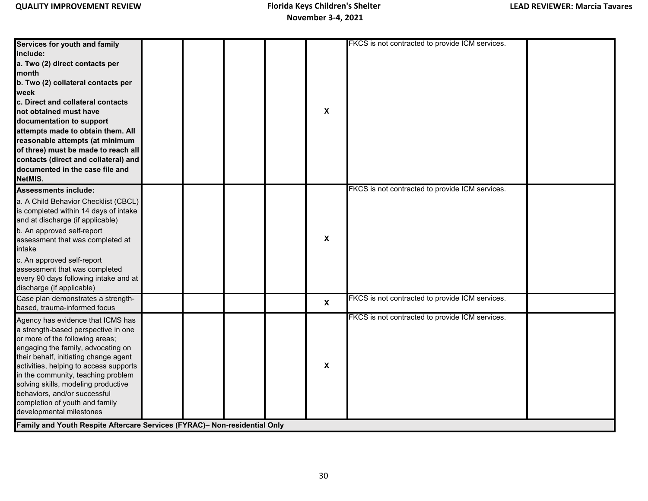**Services for youth and family include: a. Two (2) direct contacts per month b. Two (2) collateral contacts per week c. Direct and collateral contacts not obtained must have documentation to support attempts made to obtain them. All reasonable attempts (at minimum of three) must be made to reach all contacts (direct and collateral) and documented in the case file and NetMIS.** FKCS is not contracted to provide ICM services. **Assessments include:** a. A Child Behavior Checklist (CBCL) is completed within 14 days of intake and at discharge (if applicable) b. An approved self-report assessment that was completed at intake c. An approved self-report assessment that was completed every 90 days following intake and at discharge (if applicable) Case plan demonstrates a strengthbased, trauma-informed focus FKCS is not contracted to provide ICM services. Agency has evidence that ICMS has a strength-based perspective in one or more of the following areas; engaging the family, advocating on their behalf, initiating change agent activities, helping to access supports in the community, teaching problem solving skills, modeling productive behaviors, and/or successful completion of youth and family developmental milestones FKCS is not contracted to provide ICM services. **X X Family and Youth Respite Aftercare Services (FYRAC)– Non-residential Only X** FKCS is not contracted to provide ICM services. **X**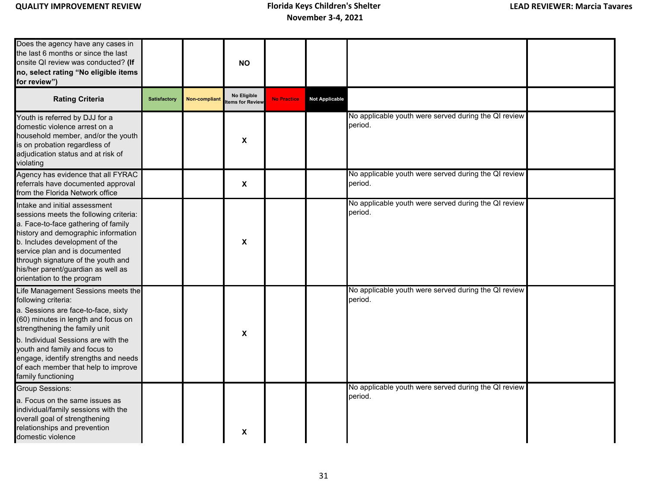# **November 3-4, 2021**

| Does the agency have any cases in<br>the last 6 months or since the last<br>onsite QI review was conducted? (If<br>no, select rating "No eligible items<br>for review")                                                                                                                                                                               |                     |                      | <b>NO</b>                      |                    |                       |                                                                 |  |
|-------------------------------------------------------------------------------------------------------------------------------------------------------------------------------------------------------------------------------------------------------------------------------------------------------------------------------------------------------|---------------------|----------------------|--------------------------------|--------------------|-----------------------|-----------------------------------------------------------------|--|
| <b>Rating Criteria</b>                                                                                                                                                                                                                                                                                                                                | <b>Satisfactory</b> | <b>Non-compliant</b> | No Eligible<br>tems for Review | <b>No Practice</b> | <b>Not Applicable</b> |                                                                 |  |
| Youth is referred by DJJ for a<br>domestic violence arrest on a<br>household member, and/or the youth<br>is on probation regardless of<br>adjudication status and at risk of<br>violating                                                                                                                                                             |                     |                      | $\boldsymbol{\mathsf{X}}$      |                    |                       | No applicable youth were served during the QI review<br>period. |  |
| Agency has evidence that all FYRAC<br>referrals have documented approval<br>from the Florida Network office                                                                                                                                                                                                                                           |                     |                      | $\boldsymbol{\mathsf{X}}$      |                    |                       | No applicable youth were served during the QI review<br>period. |  |
| Intake and initial assessment<br>sessions meets the following criteria:<br>a. Face-to-face gathering of family<br>history and demographic information<br>b. Includes development of the<br>service plan and is documented<br>through signature of the youth and<br>his/her parent/guardian as well as<br>orientation to the program                   |                     |                      | $\boldsymbol{\mathsf{X}}$      |                    |                       | No applicable youth were served during the QI review<br>period. |  |
| Life Management Sessions meets the<br>following criteria:<br>a. Sessions are face-to-face, sixty<br>(60) minutes in length and focus on<br>strengthening the family unit<br>b. Individual Sessions are with the<br>youth and family and focus to<br>engage, identify strengths and needs<br>of each member that help to improve<br>family functioning |                     |                      | $\boldsymbol{\mathsf{X}}$      |                    |                       | No applicable youth were served during the QI review<br>period. |  |
| <b>Group Sessions:</b><br>a. Focus on the same issues as<br>individual/family sessions with the<br>overall goal of strengthening<br>relationships and prevention<br>domestic violence                                                                                                                                                                 |                     |                      | X                              |                    |                       | No applicable youth were served during the QI review<br>period. |  |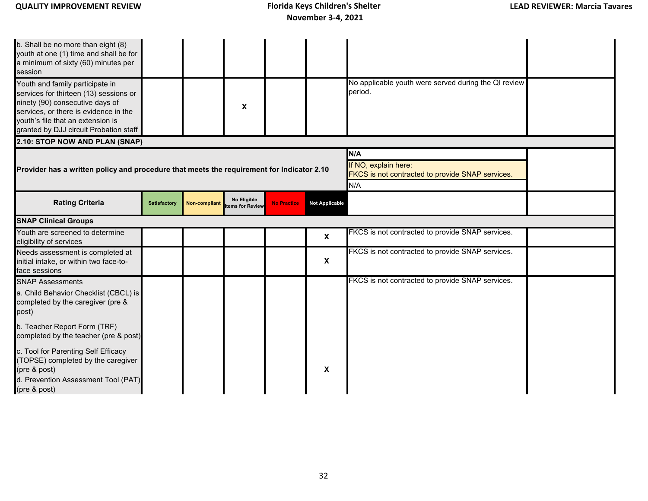| b. Shall be no more than eight (8)<br>youth at one (1) time and shall be for<br>a minimum of sixty (60) minutes per<br>session<br>Youth and family participate in<br>services for thirteen (13) sessions or<br>ninety (90) consecutive days of<br>services, or there is evidence in the<br>youth's file that an extension is<br>granted by DJJ circuit Probation staff |                     |                      | X                                                                                      |                    |                           | No applicable youth were served during the QI review<br>period. |  |
|------------------------------------------------------------------------------------------------------------------------------------------------------------------------------------------------------------------------------------------------------------------------------------------------------------------------------------------------------------------------|---------------------|----------------------|----------------------------------------------------------------------------------------|--------------------|---------------------------|-----------------------------------------------------------------|--|
| 2.10: STOP NOW AND PLAN (SNAP)                                                                                                                                                                                                                                                                                                                                         |                     |                      |                                                                                        |                    |                           |                                                                 |  |
| Provider has a written policy and procedure that meets the requirement for Indicator 2.10                                                                                                                                                                                                                                                                              |                     |                      | N/A<br>If NO, explain here:<br>FKCS is not contracted to provide SNAP services.<br>N/A |                    |                           |                                                                 |  |
| <b>Rating Criteria</b>                                                                                                                                                                                                                                                                                                                                                 | <b>Satisfactory</b> | <b>Non-compliant</b> | No Eligible<br>tems for Review                                                         | <b>No Practice</b> | <b>Not Applicable</b>     |                                                                 |  |
| <b>SNAP Clinical Groups</b>                                                                                                                                                                                                                                                                                                                                            |                     |                      |                                                                                        |                    |                           |                                                                 |  |
| Youth are screened to determine<br>eligibility of services                                                                                                                                                                                                                                                                                                             |                     |                      |                                                                                        |                    | $\boldsymbol{\mathsf{x}}$ | FKCS is not contracted to provide SNAP services.                |  |
| Needs assessment is completed at<br>initial intake, or within two face-to-<br>face sessions                                                                                                                                                                                                                                                                            |                     |                      |                                                                                        |                    | $\mathbf{x}$              | FKCS is not contracted to provide SNAP services.                |  |
| <b>SNAP Assessments</b>                                                                                                                                                                                                                                                                                                                                                |                     |                      |                                                                                        |                    |                           | FKCS is not contracted to provide SNAP services.                |  |
| a. Child Behavior Checklist (CBCL) is<br>completed by the caregiver (pre &<br>post)                                                                                                                                                                                                                                                                                    |                     |                      |                                                                                        |                    |                           |                                                                 |  |
| b. Teacher Report Form (TRF)<br>completed by the teacher (pre & post)                                                                                                                                                                                                                                                                                                  |                     |                      |                                                                                        |                    |                           |                                                                 |  |
| c. Tool for Parenting Self Efficacy<br>(TOPSE) completed by the caregiver<br>(pre & post)<br>d. Prevention Assessment Tool (PAT)<br>(pre & post)                                                                                                                                                                                                                       |                     |                      |                                                                                        |                    | X                         |                                                                 |  |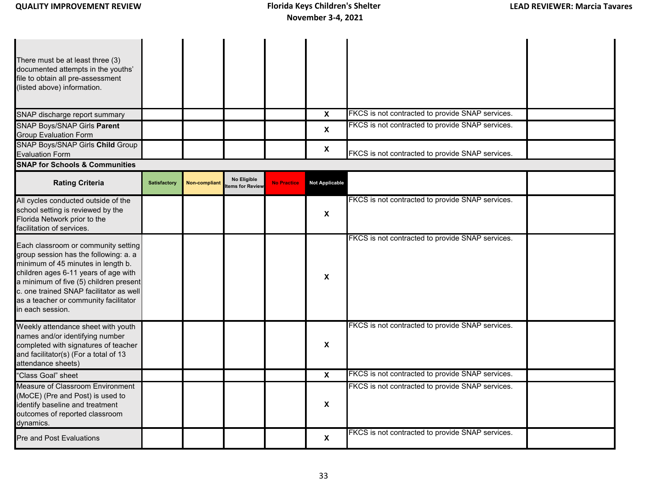| There must be at least three (3)<br>documented attempts in the youths'<br>file to obtain all pre-assessment<br>(listed above) information.<br>SNAP discharge report summary                                                                                                                                  |                     |                      |                                        |                    | $\boldsymbol{\mathsf{X}}$ | FKCS is not contracted to provide SNAP services. |  |
|--------------------------------------------------------------------------------------------------------------------------------------------------------------------------------------------------------------------------------------------------------------------------------------------------------------|---------------------|----------------------|----------------------------------------|--------------------|---------------------------|--------------------------------------------------|--|
| SNAP Boys/SNAP Girls Parent<br><b>Group Evaluation Form</b>                                                                                                                                                                                                                                                  |                     |                      |                                        |                    | $\boldsymbol{\mathsf{X}}$ | FKCS is not contracted to provide SNAP services. |  |
| <b>SNAP Boys/SNAP Girls Child Group</b><br><b>Evaluation Form</b>                                                                                                                                                                                                                                            |                     |                      |                                        |                    | $\boldsymbol{\mathsf{X}}$ | FKCS is not contracted to provide SNAP services. |  |
| <b>SNAP for Schools &amp; Communities</b>                                                                                                                                                                                                                                                                    |                     |                      |                                        |                    |                           |                                                  |  |
| <b>Rating Criteria</b>                                                                                                                                                                                                                                                                                       | <b>Satisfactory</b> | <b>Non-compliant</b> | No Eligible<br><b>Items for Review</b> | <b>No Practice</b> | <b>Not Applicable</b>     |                                                  |  |
| All cycles conducted outside of the<br>school setting is reviewed by the<br>Florida Network prior to the<br>facilitation of services.                                                                                                                                                                        |                     |                      |                                        |                    | X                         | FKCS is not contracted to provide SNAP services. |  |
| Each classroom or community setting<br>group session has the following: a. a<br>minimum of 45 minutes in length b.<br>children ages 6-11 years of age with<br>a minimum of five (5) children present<br>c. one trained SNAP facilitator as well<br>as a teacher or community facilitator<br>in each session. |                     |                      |                                        |                    | X                         | FKCS is not contracted to provide SNAP services. |  |
| Weekly attendance sheet with youth<br>names and/or identifying number<br>completed with signatures of teacher<br>and facilitator(s) (For a total of 13<br>attendance sheets)                                                                                                                                 |                     |                      |                                        |                    | X                         | FKCS is not contracted to provide SNAP services. |  |
| "Class Goal" sheet                                                                                                                                                                                                                                                                                           |                     |                      |                                        |                    | $\boldsymbol{\mathsf{X}}$ | FKCS is not contracted to provide SNAP services. |  |
| Measure of Classroom Environment<br>(MoCE) (Pre and Post) is used to<br>identify baseline and treatment<br>outcomes of reported classroom<br>dynamics.                                                                                                                                                       |                     |                      |                                        |                    | X                         | FKCS is not contracted to provide SNAP services. |  |
| <b>Pre and Post Evaluations</b>                                                                                                                                                                                                                                                                              |                     |                      |                                        |                    | $\mathbf{x}$              | FKCS is not contracted to provide SNAP services. |  |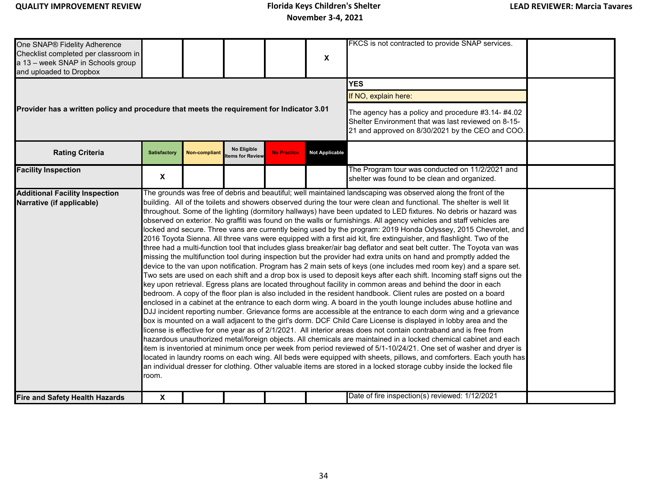One SNAP® Fidelity Adherence Checklist completed per classroom in a 13 – week SNAP in Schools group and uploaded to Dropbox FKCS is not contracted to provide SNAP services. **YES** If NO, explain here: The agency has a policy and procedure #3.14- #4.02 Shelter Environment that was last reviewed on 8-15- 21 and approved on 8/30/2021 by the CEO and COO. **Facility Inspection X** The Program tour was conducted on 11/2/2021 and shelter was found to be clean and organized. **Additional Facility Inspection Narrative (if applicable) Fire and Safety Health Hazards <b>X** X **Date of fire inspection(s) reviewed:** 1/12/2021 **X Provider has a written policy and procedure that meets the requirement for Indicator 3.01 Rating Criteria Satisfactory No Eligible Rating Criteria ITEMS FOR THE REVIEW <b>REVIEW A** Practice **Not Applicable** The grounds was free of debris and beautiful; well maintained landscaping was observed along the front of the building. All of the toilets and showers observed during the tour were clean and functional. The shelter is well lit throughout. Some of the lighting (dormitory hallways) have been updated to LED fixtures. No debris or hazard was observed on exterior. No graffiti was found on the walls or furnishings. All agency vehicles and staff vehicles are locked and secure. Three vans are currently being used by the program: 2019 Honda Odyssey, 2015 Chevrolet, and 2016 Toyota Sienna. All three vans were equipped with a first aid kit, fire extinguisher, and flashlight. Two of the three had a multi-function tool that includes glass breaker/air bag deflator and seat belt cutter. The Toyota van was missing the multifunction tool during inspection but the provider had extra units on hand and promptly added the device to the van upon notification. Program has 2 main sets of keys (one includes med room key) and a spare set. Two sets are used on each shift and a drop box is used to deposit keys after each shift. Incoming staff signs out the key upon retrieval. Egress plans are located throughout facility in common areas and behind the door in each bedroom. A copy of the floor plan is also included in the resident handbook. Client rules are posted on a board enclosed in a cabinet at the entrance to each dorm wing. A board in the youth lounge includes abuse hotline and DJJ incident reporting number. Grievance forms are accessible at the entrance to each dorm wing and a grievance box is mounted on a wall adjacent to the girl's dorm. DCF Child Care License is displayed in lobby area and the license is effective for one year as of 2/1/2021. All interior areas does not contain contraband and is free from hazardous unauthorized metal/foreign objects. All chemicals are maintained in a locked chemical cabinet and each item is inventoried at minimum once per week from period reviewed of 5/1-10/24/21. One set of washer and dryer is located in laundry rooms on each wing. All beds were equipped with sheets, pillows, and comforters. Each youth has an individual dresser for clothing. Other valuable items are stored in a locked storage cubby inside the locked file room.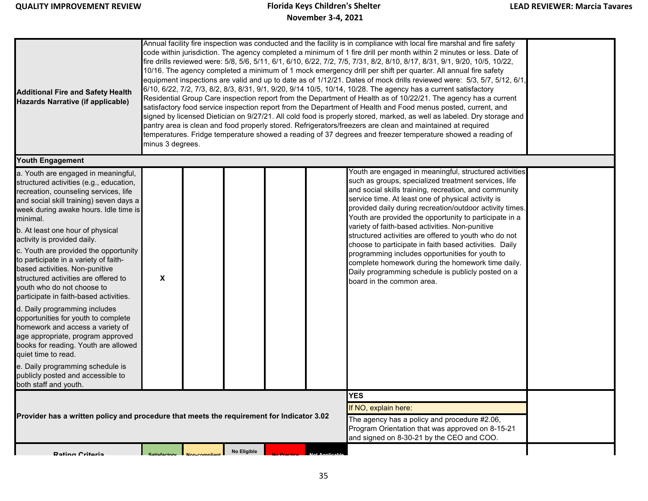| <b>Additional Fire and Safety Health</b><br><b>Hazards Narrative (if applicable)</b>                                                                                                                                                                                                                                                                                                                                                                                                                                                                                                                                                       |                                                                                                                                                                                     | Annual facility fire inspection was conducted and the facility is in compliance with local fire marshal and fire safety<br>code within jurisdiction. The agency completed a minimum of 1 fire drill per month within 2 minutes or less. Date of<br>fire drills reviewed were: 5/8, 5/6, 5/11, 6/1, 6/10, 6/22, 7/2, 7/5, 7/31, 8/2, 8/10, 8/17, 8/31, 9/1, 9/20, 10/5, 10/22,<br>10/16. The agency completed a minimum of 1 mock emergency drill per shift per quarter. All annual fire safety<br>equipment inspections are valid and up to date as of 1/12/21. Dates of mock drills reviewed were: 5/3, 5/7, 5/12, 6/1,<br>6/10, 6/22, 7/2, 7/3, 8/2, 8/3, 8/31, 9/1, 9/20, 9/14 10/5, 10/14, 10/28. The agency has a current satisfactory<br>Residential Group Care inspection report from the Department of Health as of 10/22/21. The agency has a current<br>satisfactory food service inspection report from the Department of Health and Food menus posted, current, and<br>signed by licensed Dietician on 9/27/21. All cold food is properly stored, marked, as well as labeled. Dry storage and<br>pantry area is clean and food properly stored. Refrigerators/freezers are clean and maintained at required<br>temperatures. Fridge temperature showed a reading of 37 degrees and freezer temperature showed a reading of<br>minus 3 degrees. |             |  |  |                                                                                                                                                                                                                                                                                                                                                                                                                                                                                                                                                                                                                                                                                                                      |  |  |  |  |  |
|--------------------------------------------------------------------------------------------------------------------------------------------------------------------------------------------------------------------------------------------------------------------------------------------------------------------------------------------------------------------------------------------------------------------------------------------------------------------------------------------------------------------------------------------------------------------------------------------------------------------------------------------|-------------------------------------------------------------------------------------------------------------------------------------------------------------------------------------|------------------------------------------------------------------------------------------------------------------------------------------------------------------------------------------------------------------------------------------------------------------------------------------------------------------------------------------------------------------------------------------------------------------------------------------------------------------------------------------------------------------------------------------------------------------------------------------------------------------------------------------------------------------------------------------------------------------------------------------------------------------------------------------------------------------------------------------------------------------------------------------------------------------------------------------------------------------------------------------------------------------------------------------------------------------------------------------------------------------------------------------------------------------------------------------------------------------------------------------------------------------------------------------------------------------------------------------------------------|-------------|--|--|----------------------------------------------------------------------------------------------------------------------------------------------------------------------------------------------------------------------------------------------------------------------------------------------------------------------------------------------------------------------------------------------------------------------------------------------------------------------------------------------------------------------------------------------------------------------------------------------------------------------------------------------------------------------------------------------------------------------|--|--|--|--|--|
| <b>Youth Engagement</b>                                                                                                                                                                                                                                                                                                                                                                                                                                                                                                                                                                                                                    |                                                                                                                                                                                     |                                                                                                                                                                                                                                                                                                                                                                                                                                                                                                                                                                                                                                                                                                                                                                                                                                                                                                                                                                                                                                                                                                                                                                                                                                                                                                                                                            |             |  |  |                                                                                                                                                                                                                                                                                                                                                                                                                                                                                                                                                                                                                                                                                                                      |  |  |  |  |  |
| a. Youth are engaged in meaningful,<br>structured activities (e.g., education,<br>recreation, counseling services, life<br>and social skill training) seven days a<br>week during awake hours. Idle time is<br>minimal.<br>b. At least one hour of physical<br>activity is provided daily.<br>c. Youth are provided the opportunity<br>to participate in a variety of faith-<br>based activities. Non-punitive<br>structured activities are offered to<br>youth who do not choose to<br>participate in faith-based activities.<br>d. Daily programming includes<br>opportunities for youth to complete<br>homework and access a variety of | X                                                                                                                                                                                   |                                                                                                                                                                                                                                                                                                                                                                                                                                                                                                                                                                                                                                                                                                                                                                                                                                                                                                                                                                                                                                                                                                                                                                                                                                                                                                                                                            |             |  |  | Youth are engaged in meaningful, structured activities<br>such as groups, specialized treatment services, life<br>and social skills training, recreation, and community<br>service time. At least one of physical activity is<br>provided daily during recreation/outdoor activity times.<br>Youth are provided the opportunity to participate in a<br>variety of faith-based activities. Non-punitive<br>structured activities are offered to youth who do not<br>choose to participate in faith based activities. Daily<br>programming includes opportunities for youth to<br>complete homework during the homework time daily.<br>Daily programming schedule is publicly posted on a<br>board in the common area. |  |  |  |  |  |
| age appropriate, program approved<br>books for reading. Youth are allowed<br>quiet time to read.                                                                                                                                                                                                                                                                                                                                                                                                                                                                                                                                           |                                                                                                                                                                                     |                                                                                                                                                                                                                                                                                                                                                                                                                                                                                                                                                                                                                                                                                                                                                                                                                                                                                                                                                                                                                                                                                                                                                                                                                                                                                                                                                            |             |  |  |                                                                                                                                                                                                                                                                                                                                                                                                                                                                                                                                                                                                                                                                                                                      |  |  |  |  |  |
| e. Daily programming schedule is<br>publicly posted and accessible to<br>both staff and youth.                                                                                                                                                                                                                                                                                                                                                                                                                                                                                                                                             |                                                                                                                                                                                     |                                                                                                                                                                                                                                                                                                                                                                                                                                                                                                                                                                                                                                                                                                                                                                                                                                                                                                                                                                                                                                                                                                                                                                                                                                                                                                                                                            |             |  |  |                                                                                                                                                                                                                                                                                                                                                                                                                                                                                                                                                                                                                                                                                                                      |  |  |  |  |  |
| Provider has a written policy and procedure that meets the requirement for Indicator 3.02                                                                                                                                                                                                                                                                                                                                                                                                                                                                                                                                                  | <b>YES</b><br>If NO, explain here:<br>The agency has a policy and procedure #2.06,<br>Program Orientation that was approved on 8-15-21<br>and signed on 8-30-21 by the CEO and COO. |                                                                                                                                                                                                                                                                                                                                                                                                                                                                                                                                                                                                                                                                                                                                                                                                                                                                                                                                                                                                                                                                                                                                                                                                                                                                                                                                                            |             |  |  |                                                                                                                                                                                                                                                                                                                                                                                                                                                                                                                                                                                                                                                                                                                      |  |  |  |  |  |
| <b>Rating Critoria</b>                                                                                                                                                                                                                                                                                                                                                                                                                                                                                                                                                                                                                     | Satisfactory Non-complian                                                                                                                                                           |                                                                                                                                                                                                                                                                                                                                                                                                                                                                                                                                                                                                                                                                                                                                                                                                                                                                                                                                                                                                                                                                                                                                                                                                                                                                                                                                                            | No Eligible |  |  |                                                                                                                                                                                                                                                                                                                                                                                                                                                                                                                                                                                                                                                                                                                      |  |  |  |  |  |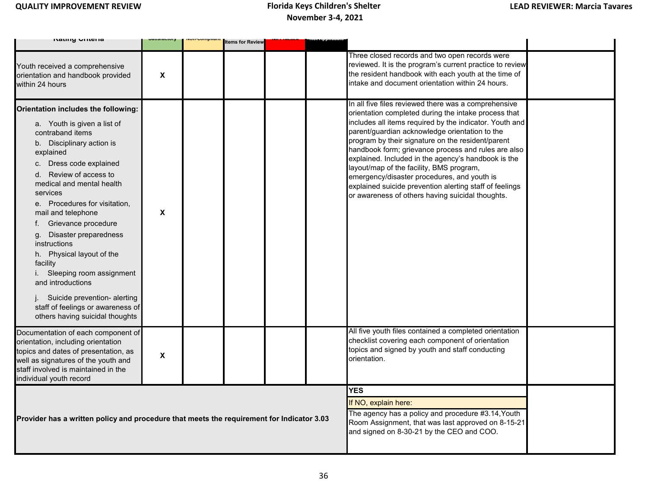| ו שווש שווויטוו                                                                                                                                                                                                                                                                                                                                                                                                                                                                                                                                                     |                           | non-compan | <b>Items for Review</b> |  |                                                                                                                                                                                                                                                                                                                                                                                                                                                                                                                                                                                                        |  |
|---------------------------------------------------------------------------------------------------------------------------------------------------------------------------------------------------------------------------------------------------------------------------------------------------------------------------------------------------------------------------------------------------------------------------------------------------------------------------------------------------------------------------------------------------------------------|---------------------------|------------|-------------------------|--|--------------------------------------------------------------------------------------------------------------------------------------------------------------------------------------------------------------------------------------------------------------------------------------------------------------------------------------------------------------------------------------------------------------------------------------------------------------------------------------------------------------------------------------------------------------------------------------------------------|--|
| Youth received a comprehensive<br>orientation and handbook provided<br>within 24 hours                                                                                                                                                                                                                                                                                                                                                                                                                                                                              | $\boldsymbol{\mathsf{x}}$ |            |                         |  | Three closed records and two open records were<br>reviewed. It is the program's current practice to review<br>the resident handbook with each youth at the time of<br>intake and document orientation within 24 hours.                                                                                                                                                                                                                                                                                                                                                                                 |  |
| Orientation includes the following:<br>a. Youth is given a list of<br>contraband items<br>b. Disciplinary action is<br>explained<br>c. Dress code explained<br>d. Review of access to<br>medical and mental health<br>services<br>e. Procedures for visitation,<br>mail and telephone<br>Grievance procedure<br>Disaster preparedness<br>g.<br>instructions<br>h. Physical layout of the<br>facility<br>i. Sleeping room assignment<br>and introductions<br>j. Suicide prevention- alerting<br>staff of feelings or awareness of<br>others having suicidal thoughts | X                         |            |                         |  | In all five files reviewed there was a comprehensive<br>orientation completed during the intake process that<br>includes all items required by the indicator. Youth and<br>parent/guardian acknowledge orientation to the<br>program by their signature on the resident/parent<br>handbook form; grievance process and rules are also<br>explained. Included in the agency's handbook is the<br>layout/map of the facility, BMS program,<br>emergency/disaster procedures, and youth is<br>explained suicide prevention alerting staff of feelings<br>or awareness of others having suicidal thoughts. |  |
| Documentation of each component of<br>orientation, including orientation<br>topics and dates of presentation, as<br>well as signatures of the youth and<br>staff involved is maintained in the<br>individual youth record                                                                                                                                                                                                                                                                                                                                           | X                         |            |                         |  | All five youth files contained a completed orientation<br>checklist covering each component of orientation<br>topics and signed by youth and staff conducting<br>orientation.                                                                                                                                                                                                                                                                                                                                                                                                                          |  |
| Provider has a written policy and procedure that meets the requirement for Indicator 3.03                                                                                                                                                                                                                                                                                                                                                                                                                                                                           |                           |            |                         |  | <b>YES</b><br>If NO, explain here:<br>The agency has a policy and procedure #3.14, Youth<br>Room Assignment, that was last approved on 8-15-21<br>and signed on 8-30-21 by the CEO and COO.                                                                                                                                                                                                                                                                                                                                                                                                            |  |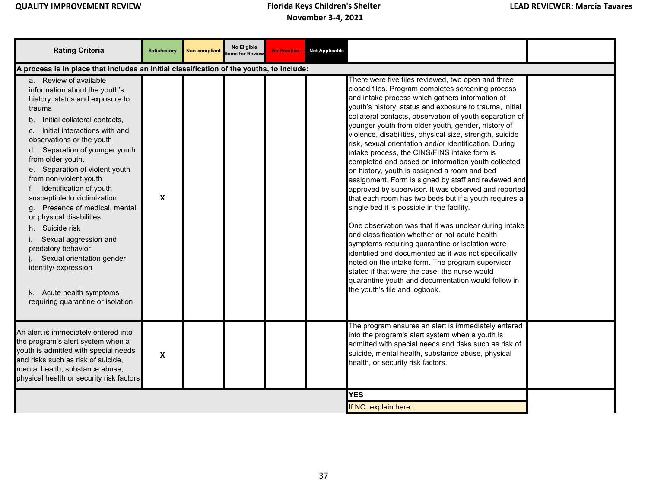| <b>Rating Criteria</b>                                                                                                                                                                                                                                                                                                                                                                                                                                                                                                                                                                                                                                | <b>Satisfactory</b>       | Non-compliant | No Eligible<br>ems for Review | <b>No Practice</b> | <b>Not Applicable</b> |                                                                                                                                                                                                                                                                                                                                                                                                                                                                                                                                                                                                                                                                                                                                                                                                                                                                                                                                                                                                                                                                                                                                                                                                                                                             |  |
|-------------------------------------------------------------------------------------------------------------------------------------------------------------------------------------------------------------------------------------------------------------------------------------------------------------------------------------------------------------------------------------------------------------------------------------------------------------------------------------------------------------------------------------------------------------------------------------------------------------------------------------------------------|---------------------------|---------------|-------------------------------|--------------------|-----------------------|-------------------------------------------------------------------------------------------------------------------------------------------------------------------------------------------------------------------------------------------------------------------------------------------------------------------------------------------------------------------------------------------------------------------------------------------------------------------------------------------------------------------------------------------------------------------------------------------------------------------------------------------------------------------------------------------------------------------------------------------------------------------------------------------------------------------------------------------------------------------------------------------------------------------------------------------------------------------------------------------------------------------------------------------------------------------------------------------------------------------------------------------------------------------------------------------------------------------------------------------------------------|--|
| A process is in place that includes an initial classification of the youths, to include:                                                                                                                                                                                                                                                                                                                                                                                                                                                                                                                                                              |                           |               |                               |                    |                       |                                                                                                                                                                                                                                                                                                                                                                                                                                                                                                                                                                                                                                                                                                                                                                                                                                                                                                                                                                                                                                                                                                                                                                                                                                                             |  |
| a. Review of available<br>information about the youth's<br>history, status and exposure to<br>trauma<br>b. Initial collateral contacts,<br>Initial interactions with and<br>C.<br>observations or the youth<br>d. Separation of younger youth<br>from older youth,<br>e. Separation of violent youth<br>from non-violent youth<br>f. Identification of youth<br>susceptible to victimization<br>g. Presence of medical, mental<br>or physical disabilities<br>h. Suicide risk<br>i. Sexual aggression and<br>predatory behavior<br>Sexual orientation gender<br>identity/ expression<br>k. Acute health symptoms<br>requiring quarantine or isolation | X                         |               |                               |                    |                       | There were five files reviewed, two open and three<br>closed files. Program completes screening process<br>and intake process which gathers information of<br>youth's history, status and exposure to trauma, initial<br>collateral contacts, observation of youth separation of<br>younger youth from older youth, gender, history of<br>violence, disabilities, physical size, strength, suicide<br>risk, sexual orientation and/or identification. During<br>intake process, the CINS/FINS intake form is<br>completed and based on information youth collected<br>on history, youth is assigned a room and bed<br>assignment. Form is signed by staff and reviewed and<br>approved by supervisor. It was observed and reported<br>that each room has two beds but if a youth requires a<br>single bed it is possible in the facility.<br>One observation was that it was unclear during intake<br>and classification whether or not acute health<br>symptoms requiring quarantine or isolation were<br>identified and documented as it was not specifically<br>noted on the intake form. The program supervisor<br>stated if that were the case, the nurse would<br>quarantine youth and documentation would follow in<br>the youth's file and logbook. |  |
| An alert is immediately entered into<br>the program's alert system when a<br>youth is admitted with special needs<br>and risks such as risk of suicide,<br>mental health, substance abuse,<br>physical health or security risk factors                                                                                                                                                                                                                                                                                                                                                                                                                | $\boldsymbol{\mathsf{x}}$ |               |                               |                    |                       | The program ensures an alert is immediately entered<br>into the program's alert system when a youth is<br>admitted with special needs and risks such as risk of<br>suicide, mental health, substance abuse, physical<br>health, or security risk factors.                                                                                                                                                                                                                                                                                                                                                                                                                                                                                                                                                                                                                                                                                                                                                                                                                                                                                                                                                                                                   |  |
|                                                                                                                                                                                                                                                                                                                                                                                                                                                                                                                                                                                                                                                       |                           |               |                               |                    |                       | <b>YES</b><br>If NO, explain here:                                                                                                                                                                                                                                                                                                                                                                                                                                                                                                                                                                                                                                                                                                                                                                                                                                                                                                                                                                                                                                                                                                                                                                                                                          |  |
|                                                                                                                                                                                                                                                                                                                                                                                                                                                                                                                                                                                                                                                       |                           |               |                               |                    |                       |                                                                                                                                                                                                                                                                                                                                                                                                                                                                                                                                                                                                                                                                                                                                                                                                                                                                                                                                                                                                                                                                                                                                                                                                                                                             |  |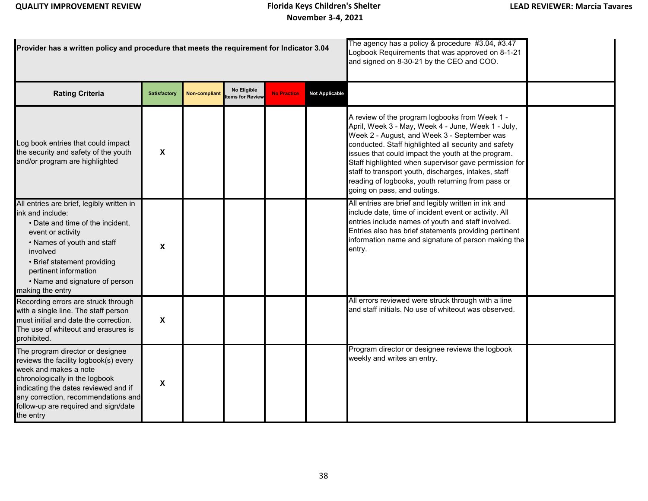| Provider has a written policy and procedure that meets the requirement for Indicator 3.04                                                                                                                                                                                      |                           |                      |                               | The agency has a policy & procedure #3.04, #3.47<br>Logbook Requirements that was approved on 8-1-21<br>and signed on 8-30-21 by the CEO and COO. |                       |                                                                                                                                                                                                                                                                                                                                                                                                                                                                        |  |
|--------------------------------------------------------------------------------------------------------------------------------------------------------------------------------------------------------------------------------------------------------------------------------|---------------------------|----------------------|-------------------------------|---------------------------------------------------------------------------------------------------------------------------------------------------|-----------------------|------------------------------------------------------------------------------------------------------------------------------------------------------------------------------------------------------------------------------------------------------------------------------------------------------------------------------------------------------------------------------------------------------------------------------------------------------------------------|--|
| <b>Rating Criteria</b>                                                                                                                                                                                                                                                         | <b>Satisfactory</b>       | <b>Non-compliant</b> | No Eligible<br>ems for Review | <b>No Practice</b>                                                                                                                                | <b>Not Applicable</b> |                                                                                                                                                                                                                                                                                                                                                                                                                                                                        |  |
| Log book entries that could impact<br>the security and safety of the youth<br>and/or program are highlighted                                                                                                                                                                   | $\boldsymbol{\mathsf{x}}$ |                      |                               |                                                                                                                                                   |                       | A review of the program logbooks from Week 1 -<br>April, Week 3 - May, Week 4 - June, Week 1 - July,<br>Week 2 - August, and Week 3 - September was<br>conducted. Staff highlighted all security and safety<br>issues that could impact the youth at the program.<br>Staff highlighted when supervisor gave permission for<br>staff to transport youth, discharges, intakes, staff<br>reading of logbooks, youth returning from pass or<br>going on pass, and outings. |  |
| All entries are brief, legibly written in<br>ink and include:<br>• Date and time of the incident,<br>event or activity<br>• Names of youth and staff<br>involved<br>• Brief statement providing<br>pertinent information<br>• Name and signature of person<br>making the entry | $\boldsymbol{\mathsf{x}}$ |                      |                               |                                                                                                                                                   |                       | All entries are brief and legibly written in ink and<br>include date, time of incident event or activity. All<br>entries include names of youth and staff involved.<br>Entries also has brief statements providing pertinent<br>information name and signature of person making the<br>entry.                                                                                                                                                                          |  |
| Recording errors are struck through<br>with a single line. The staff person<br>must initial and date the correction.<br>The use of whiteout and erasures is<br>prohibited.                                                                                                     | X                         |                      |                               |                                                                                                                                                   |                       | All errors reviewed were struck through with a line<br>and staff initials. No use of whiteout was observed.                                                                                                                                                                                                                                                                                                                                                            |  |
| The program director or designee<br>reviews the facility logbook(s) every<br>week and makes a note<br>chronologically in the logbook<br>indicating the dates reviewed and if<br>any correction, recommendations and<br>follow-up are required and sign/date<br>the entry       | X                         |                      |                               |                                                                                                                                                   |                       | Program director or designee reviews the logbook<br>weekly and writes an entry.                                                                                                                                                                                                                                                                                                                                                                                        |  |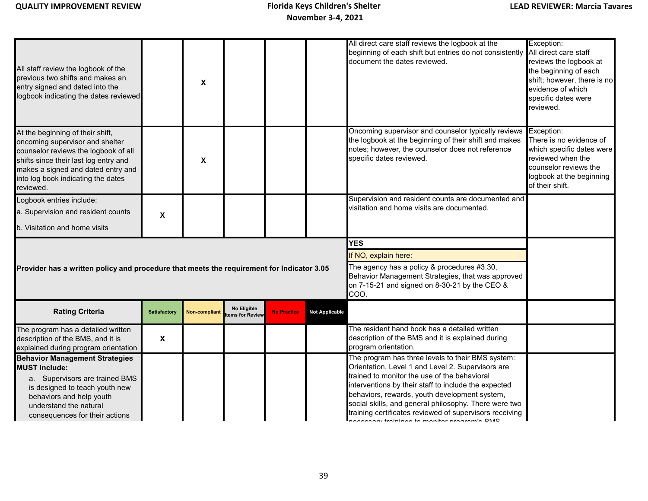| All staff review the logbook of the<br>previous two shifts and makes an<br>entry signed and dated into the<br>logbook indicating the dates reviewed                                                                                           |                     | X                    |                                |                    |                       | All direct care staff reviews the logbook at the<br>beginning of each shift but entries do not consistently<br>document the dates reviewed.                                                  | Exception:<br>All direct care staff<br>reviews the logbook at<br>the beginning of each<br>shift; however, there is no<br>evidence of which<br>specific dates were<br>reviewed. |
|-----------------------------------------------------------------------------------------------------------------------------------------------------------------------------------------------------------------------------------------------|---------------------|----------------------|--------------------------------|--------------------|-----------------------|----------------------------------------------------------------------------------------------------------------------------------------------------------------------------------------------|--------------------------------------------------------------------------------------------------------------------------------------------------------------------------------|
| At the beginning of their shift,<br>oncoming supervisor and shelter<br>counselor reviews the logbook of all<br>shifts since their last log entry and<br>makes a signed and dated entry and<br>into log book indicating the dates<br>reviewed. |                     | X                    |                                |                    |                       | Oncoming supervisor and counselor typically reviews<br>the logbook at the beginning of their shift and makes<br>notes; however, the counselor does not reference<br>specific dates reviewed. | Exception:<br>There is no evidence of<br>which specific dates were<br>reviewed when the<br>counselor reviews the<br>logbook at the beginning<br>of their shift.                |
| Logbook entries include:                                                                                                                                                                                                                      |                     |                      |                                |                    |                       | Supervision and resident counts are documented and<br>visitation and home visits are documented.                                                                                             |                                                                                                                                                                                |
| a. Supervision and resident counts                                                                                                                                                                                                            | X                   |                      |                                |                    |                       |                                                                                                                                                                                              |                                                                                                                                                                                |
| b. Visitation and home visits                                                                                                                                                                                                                 |                     |                      |                                |                    |                       |                                                                                                                                                                                              |                                                                                                                                                                                |
|                                                                                                                                                                                                                                               |                     |                      |                                |                    |                       |                                                                                                                                                                                              |                                                                                                                                                                                |
|                                                                                                                                                                                                                                               |                     |                      |                                |                    |                       | <b>YES</b>                                                                                                                                                                                   |                                                                                                                                                                                |
|                                                                                                                                                                                                                                               |                     |                      |                                |                    |                       | If NO, explain here:                                                                                                                                                                         |                                                                                                                                                                                |
| Provider has a written policy and procedure that meets the requirement for Indicator 3.05                                                                                                                                                     |                     |                      |                                |                    |                       | The agency has a policy & procedures #3.30,<br>Behavior Management Strategies, that was approved<br>on 7-15-21 and signed on 8-30-21 by the CEO &<br>COO.                                    |                                                                                                                                                                                |
| <b>Rating Criteria</b>                                                                                                                                                                                                                        | <b>Satisfactory</b> | <b>Non-compliant</b> | No Eligible<br>tems for Review | <b>No Practice</b> | <b>Not Applicable</b> |                                                                                                                                                                                              |                                                                                                                                                                                |
| The program has a detailed written<br>description of the BMS, and it is<br>explained during program orientation                                                                                                                               | X                   |                      |                                |                    |                       | The resident hand book has a detailed written<br>description of the BMS and it is explained during<br>program orientation.                                                                   |                                                                                                                                                                                |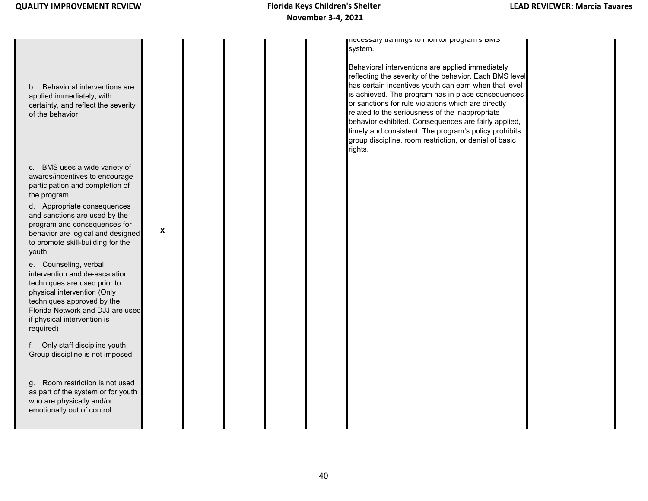b. Behavioral interventions are applied immediately, with certainty, and reflect the severity of the behavior c. BMS uses a wide variety of awards/incentives to encourage participation and completion of the program d. Appropriate consequences and sanctions are used by the program and consequences for behavior are logical and designed to promote skill-building for the youth e. Counseling, verbal intervention and de-escalation techniques are used prior to physical intervention (Only techniques approved by the Florida Network and DJJ are used if physical intervention is required) f. Only staff discipline youth. Group discipline is not imposed g. Room restriction is not used as part of the system or for youth who are physically and/or emotionally out of control **X** necessary trainings to monitor program s BMS system. Behavioral interventions are applied immediately reflecting the severity of the behavior. Each BMS level has certain incentives youth can earn when that level is achieved. The program has in place consequences or sanctions for rule violations which are directly related to the seriousness of the inappropriate behavior exhibited. Consequences are fairly applied, timely and consistent. The program's policy prohibits group discipline, room restriction, or denial of basic rights.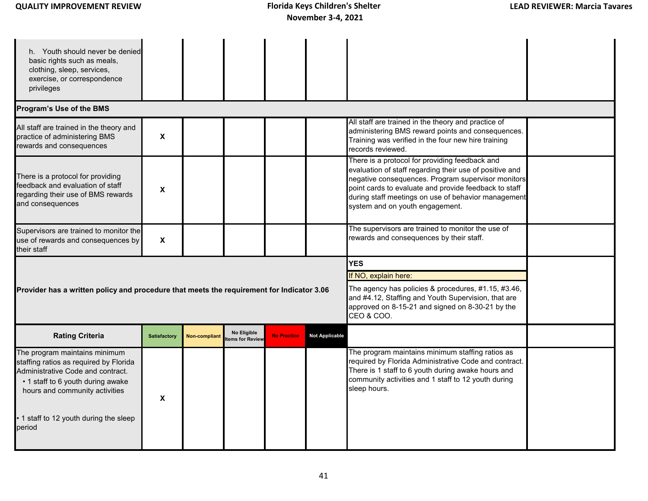| <b>QUALITY IMPROVEMENT REVIEW</b> |  |
|-----------------------------------|--|
|                                   |  |

| h. Youth should never be denied<br>basic rights such as meals,<br>clothing, sleep, services,<br>exercise, or correspondence<br>privileges                                                                                               |                           |                      |                                |                    |                                                                                                                                                                                                                               |                                                                                                                                                                                                                                                                                                                    |  |
|-----------------------------------------------------------------------------------------------------------------------------------------------------------------------------------------------------------------------------------------|---------------------------|----------------------|--------------------------------|--------------------|-------------------------------------------------------------------------------------------------------------------------------------------------------------------------------------------------------------------------------|--------------------------------------------------------------------------------------------------------------------------------------------------------------------------------------------------------------------------------------------------------------------------------------------------------------------|--|
| Program's Use of the BMS                                                                                                                                                                                                                |                           |                      |                                |                    |                                                                                                                                                                                                                               |                                                                                                                                                                                                                                                                                                                    |  |
| All staff are trained in the theory and<br>practice of administering BMS<br>rewards and consequences                                                                                                                                    | $\boldsymbol{\mathsf{X}}$ |                      |                                |                    |                                                                                                                                                                                                                               | All staff are trained in the theory and practice of<br>administering BMS reward points and consequences.<br>Training was verified in the four new hire training<br>records reviewed.                                                                                                                               |  |
| There is a protocol for providing<br>feedback and evaluation of staff<br>regarding their use of BMS rewards<br>and consequences                                                                                                         | $\boldsymbol{\mathsf{x}}$ |                      |                                |                    |                                                                                                                                                                                                                               | There is a protocol for providing feedback and<br>evaluation of staff regarding their use of positive and<br>negative consequences. Program supervisor monitors<br>point cards to evaluate and provide feedback to staff<br>during staff meetings on use of behavior management<br>system and on youth engagement. |  |
| Supervisors are trained to monitor the<br>use of rewards and consequences by<br>their staff                                                                                                                                             | $\boldsymbol{\mathsf{X}}$ |                      |                                |                    |                                                                                                                                                                                                                               | The supervisors are trained to monitor the use of<br>rewards and consequences by their staff.                                                                                                                                                                                                                      |  |
| Provider has a written policy and procedure that meets the requirement for Indicator 3.06                                                                                                                                               |                           |                      |                                |                    | <b>YES</b><br>If NO, explain here:<br>The agency has policies & procedures, #1.15, #3.46,<br>and #4.12, Staffing and Youth Supervision, that are<br>approved on 8-15-21 and signed on 8-30-21 by the<br><b>CEO &amp; COO.</b> |                                                                                                                                                                                                                                                                                                                    |  |
| <b>Rating Criteria</b>                                                                                                                                                                                                                  | <b>Satisfactory</b>       | <b>Non-compliant</b> | No Eligible<br>tems for Review | <b>No Practice</b> | <b>Not Applicable</b>                                                                                                                                                                                                         |                                                                                                                                                                                                                                                                                                                    |  |
| The program maintains minimum<br>staffing ratios as required by Florida<br>Administrative Code and contract.<br>• 1 staff to 6 youth during awake<br>hours and community activities<br>• 1 staff to 12 youth during the sleep<br>period | X                         |                      |                                |                    |                                                                                                                                                                                                                               | The program maintains minimum staffing ratios as<br>required by Florida Administrative Code and contract.<br>There is 1 staff to 6 youth during awake hours and<br>community activities and 1 staff to 12 youth during<br>sleep hours.                                                                             |  |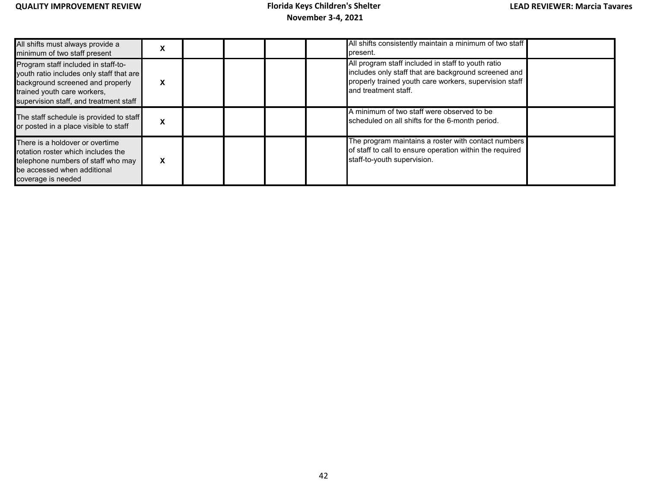| All shifts must always provide a<br>minimum of two staff present                                                                                                                             | Ā |  |  | All shifts consistently maintain a minimum of two staff<br>present.                                                                                                                          |  |
|----------------------------------------------------------------------------------------------------------------------------------------------------------------------------------------------|---|--|--|----------------------------------------------------------------------------------------------------------------------------------------------------------------------------------------------|--|
| Program staff included in staff-to-<br>youth ratio includes only staff that are<br>background screened and properly<br>trained youth care workers,<br>supervision staff, and treatment staff | X |  |  | All program staff included in staff to youth ratio<br>includes only staff that are background screened and<br>properly trained youth care workers, supervision staff<br>and treatment staff. |  |
| The staff schedule is provided to staff<br>or posted in a place visible to staff                                                                                                             | x |  |  | A minimum of two staff were observed to be<br>scheduled on all shifts for the 6-month period.                                                                                                |  |
| There is a holdover or overtime<br>rotation roster which includes the<br>telephone numbers of staff who may<br>be accessed when additional<br>coverage is needed                             | X |  |  | The program maintains a roster with contact numbers<br>of staff to call to ensure operation within the required<br>staff-to-youth supervision.                                               |  |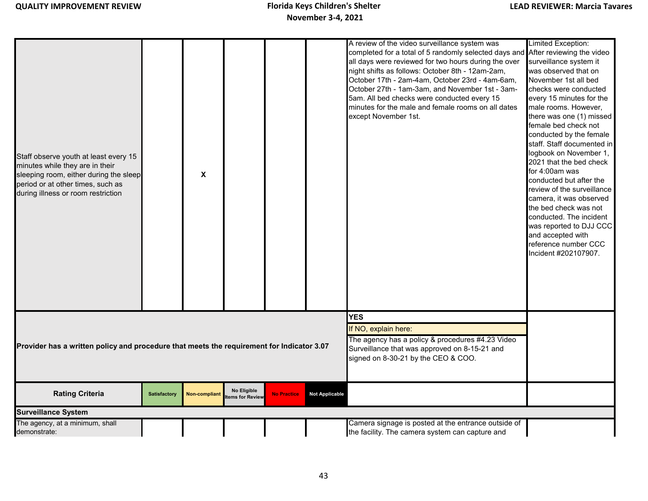| Staff observe youth at least every 15<br>minutes while they are in their<br>sleeping room, either during the sleep<br>period or at other times, such as<br>during illness or room restriction |                     | $\boldsymbol{\mathsf{x}}$ |                                |                                                                                                                                                                                |                       | A review of the video surveillance system was<br>completed for a total of 5 randomly selected days and After reviewing the video<br>all days were reviewed for two hours during the over<br>night shifts as follows: October 8th - 12am-2am,<br>October 17th - 2am-4am, October 23rd - 4am-6am,<br>October 27th - 1am-3am, and November 1st - 3am-<br>5am. All bed checks were conducted every 15<br>minutes for the male and female rooms on all dates<br>except November 1st. | Limited Exception:<br>surveillance system it<br>was observed that on<br>November 1st all bed<br>checks were conducted<br>every 15 minutes for the<br>male rooms. However,<br>there was one (1) missed<br>female bed check not<br>conducted by the female<br>staff. Staff documented in<br>logbook on November 1,<br>2021 that the bed check<br>for 4:00am was<br>conducted but after the<br>review of the surveillance<br>camera, it was observed<br>the bed check was not<br>conducted. The incident<br>was reported to DJJ CCC<br>and accepted with<br>reference number CCC |
|-----------------------------------------------------------------------------------------------------------------------------------------------------------------------------------------------|---------------------|---------------------------|--------------------------------|--------------------------------------------------------------------------------------------------------------------------------------------------------------------------------|-----------------------|---------------------------------------------------------------------------------------------------------------------------------------------------------------------------------------------------------------------------------------------------------------------------------------------------------------------------------------------------------------------------------------------------------------------------------------------------------------------------------|-------------------------------------------------------------------------------------------------------------------------------------------------------------------------------------------------------------------------------------------------------------------------------------------------------------------------------------------------------------------------------------------------------------------------------------------------------------------------------------------------------------------------------------------------------------------------------|
|                                                                                                                                                                                               |                     |                           |                                |                                                                                                                                                                                |                       |                                                                                                                                                                                                                                                                                                                                                                                                                                                                                 | Incident #202107907.                                                                                                                                                                                                                                                                                                                                                                                                                                                                                                                                                          |
| Provider has a written policy and procedure that meets the requirement for Indicator 3.07                                                                                                     |                     |                           |                                | <b>YES</b><br>If NO, explain here:<br>The agency has a policy & procedures #4.23 Video<br>Surveillance that was approved on 8-15-21 and<br>signed on 8-30-21 by the CEO & COO. |                       |                                                                                                                                                                                                                                                                                                                                                                                                                                                                                 |                                                                                                                                                                                                                                                                                                                                                                                                                                                                                                                                                                               |
| <b>Rating Criteria</b>                                                                                                                                                                        | <b>Satisfactory</b> | <b>Non-compliant</b>      | No Eligible<br>tems for Review | <b>No Practice</b>                                                                                                                                                             | <b>Not Applicable</b> |                                                                                                                                                                                                                                                                                                                                                                                                                                                                                 |                                                                                                                                                                                                                                                                                                                                                                                                                                                                                                                                                                               |
| <b>Surveillance System</b>                                                                                                                                                                    |                     |                           |                                |                                                                                                                                                                                |                       |                                                                                                                                                                                                                                                                                                                                                                                                                                                                                 |                                                                                                                                                                                                                                                                                                                                                                                                                                                                                                                                                                               |
| The agency, at a minimum, shall<br>demonstrate:                                                                                                                                               |                     |                           |                                |                                                                                                                                                                                |                       | Camera signage is posted at the entrance outside of<br>the facility. The camera system can capture and                                                                                                                                                                                                                                                                                                                                                                          |                                                                                                                                                                                                                                                                                                                                                                                                                                                                                                                                                                               |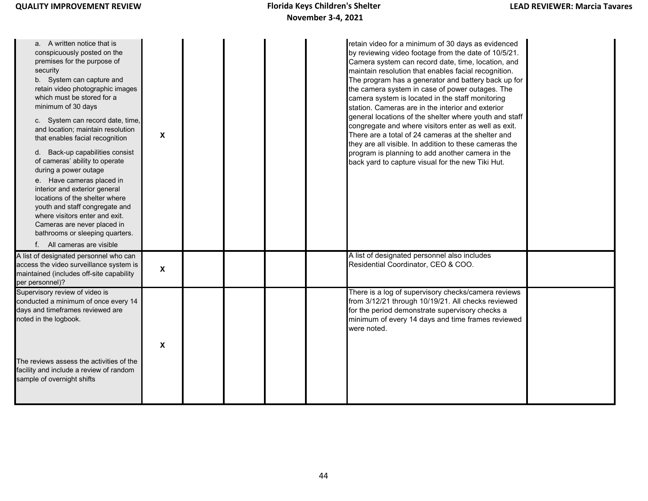| a. A written notice that is<br>conspicuously posted on the<br>premises for the purpose of<br>security<br>b. System can capture and<br>retain video photographic images<br>which must be stored for a<br>minimum of 30 days<br>c. System can record date, time,<br>and location; maintain resolution<br>that enables facial recognition<br>d. Back-up capabilities consist<br>of cameras' ability to operate<br>during a power outage<br>e. Have cameras placed in<br>interior and exterior general<br>locations of the shelter where<br>youth and staff congregate and<br>where visitors enter and exit.<br>Cameras are never placed in<br>bathrooms or sleeping quarters.<br>f. All cameras are visible | X                         |  |  | retain video for a minimum of 30 days as evidenced<br>by reviewing video footage from the date of 10/5/21.<br>Camera system can record date, time, location, and<br>maintain resolution that enables facial recognition.<br>The program has a generator and battery back up for<br>the camera system in case of power outages. The<br>camera system is located in the staff monitoring<br>station. Cameras are in the interior and exterior<br>general locations of the shelter where youth and staff<br>congregate and where visitors enter as well as exit.<br>There are a total of 24 cameras at the shelter and<br>they are all visible. In addition to these cameras the<br>program is planning to add another camera in the<br>back yard to capture visual for the new Tiki Hut. |  |
|----------------------------------------------------------------------------------------------------------------------------------------------------------------------------------------------------------------------------------------------------------------------------------------------------------------------------------------------------------------------------------------------------------------------------------------------------------------------------------------------------------------------------------------------------------------------------------------------------------------------------------------------------------------------------------------------------------|---------------------------|--|--|----------------------------------------------------------------------------------------------------------------------------------------------------------------------------------------------------------------------------------------------------------------------------------------------------------------------------------------------------------------------------------------------------------------------------------------------------------------------------------------------------------------------------------------------------------------------------------------------------------------------------------------------------------------------------------------------------------------------------------------------------------------------------------------|--|
| A list of designated personnel who can<br>access the video surveillance system is<br>maintained (includes off-site capability<br>per personnel)?                                                                                                                                                                                                                                                                                                                                                                                                                                                                                                                                                         | $\boldsymbol{\mathsf{x}}$ |  |  | A list of designated personnel also includes<br>Residential Coordinator, CEO & COO.                                                                                                                                                                                                                                                                                                                                                                                                                                                                                                                                                                                                                                                                                                    |  |
| Supervisory review of video is<br>conducted a minimum of once every 14<br>days and timeframes reviewed are<br>noted in the logbook.                                                                                                                                                                                                                                                                                                                                                                                                                                                                                                                                                                      | $\mathbf{x}$              |  |  | There is a log of supervisory checks/camera reviews<br>from 3/12/21 through 10/19/21. All checks reviewed<br>for the period demonstrate supervisory checks a<br>minimum of every 14 days and time frames reviewed<br>were noted.                                                                                                                                                                                                                                                                                                                                                                                                                                                                                                                                                       |  |
| The reviews assess the activities of the<br>facility and include a review of random<br>sample of overnight shifts                                                                                                                                                                                                                                                                                                                                                                                                                                                                                                                                                                                        |                           |  |  |                                                                                                                                                                                                                                                                                                                                                                                                                                                                                                                                                                                                                                                                                                                                                                                        |  |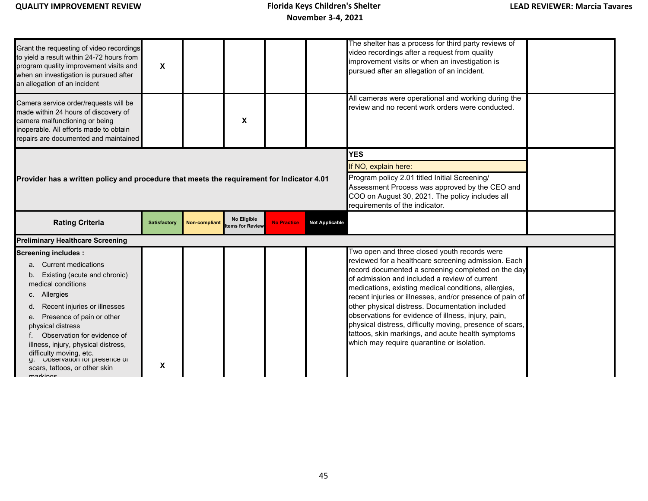| Grant the requesting of video recordings<br>to yield a result within 24-72 hours from<br>program quality improvement visits and<br>when an investigation is pursued after<br>an allegation of an incident                                                                                                                                                                                        | X                   |                      |                                |                    |                                                                                                                                                                                                                            | The shelter has a process for third party reviews of<br>video recordings after a request from quality<br>improvement visits or when an investigation is<br>pursued after an allegation of an incident.                                                                                                                                                                                                                                                                                                                                                                                                  |  |
|--------------------------------------------------------------------------------------------------------------------------------------------------------------------------------------------------------------------------------------------------------------------------------------------------------------------------------------------------------------------------------------------------|---------------------|----------------------|--------------------------------|--------------------|----------------------------------------------------------------------------------------------------------------------------------------------------------------------------------------------------------------------------|---------------------------------------------------------------------------------------------------------------------------------------------------------------------------------------------------------------------------------------------------------------------------------------------------------------------------------------------------------------------------------------------------------------------------------------------------------------------------------------------------------------------------------------------------------------------------------------------------------|--|
| Camera service order/requests will be<br>made within 24 hours of discovery of<br>camera malfunctioning or being<br>inoperable. All efforts made to obtain<br>repairs are documented and maintained                                                                                                                                                                                               |                     |                      | X                              |                    |                                                                                                                                                                                                                            | All cameras were operational and working during the<br>review and no recent work orders were conducted.                                                                                                                                                                                                                                                                                                                                                                                                                                                                                                 |  |
| Provider has a written policy and procedure that meets the requirement for Indicator 4.01                                                                                                                                                                                                                                                                                                        |                     |                      |                                |                    | <b>YES</b><br>If NO, explain here:<br>Program policy 2.01 titled Initial Screening/<br>Assessment Process was approved by the CEO and<br>COO on August 30, 2021. The policy includes all<br>requirements of the indicator. |                                                                                                                                                                                                                                                                                                                                                                                                                                                                                                                                                                                                         |  |
| <b>Rating Criteria</b>                                                                                                                                                                                                                                                                                                                                                                           | <b>Satisfactory</b> | <b>Non-compliant</b> | No Eligible<br>tems for Review | <b>No Practice</b> | <b>Not Applicable</b>                                                                                                                                                                                                      |                                                                                                                                                                                                                                                                                                                                                                                                                                                                                                                                                                                                         |  |
| <b>Preliminary Healthcare Screening</b>                                                                                                                                                                                                                                                                                                                                                          |                     |                      |                                |                    |                                                                                                                                                                                                                            |                                                                                                                                                                                                                                                                                                                                                                                                                                                                                                                                                                                                         |  |
| <b>Screening includes:</b><br><b>Current medications</b><br>Existing (acute and chronic)<br>medical conditions<br>Allergies<br>C.<br>Recent injuries or illnesses<br>Presence of pain or other<br>physical distress<br>Observation for evidence of<br>illness, injury, physical distress,<br>difficulty moving, etc.<br>ODServation for presence of<br>scars, tattoos, or other skin<br>markinge | X                   |                      |                                |                    |                                                                                                                                                                                                                            | Two open and three closed youth records were<br>reviewed for a healthcare screening admission. Each<br>record documented a screening completed on the day<br>of admission and included a review of current<br>medications, existing medical conditions, allergies,<br>recent injuries or illnesses, and/or presence of pain of<br>other physical distress. Documentation included<br>observations for evidence of illness, injury, pain,<br>physical distress, difficulty moving, presence of scars,<br>tattoos, skin markings, and acute health symptoms<br>which may require quarantine or isolation. |  |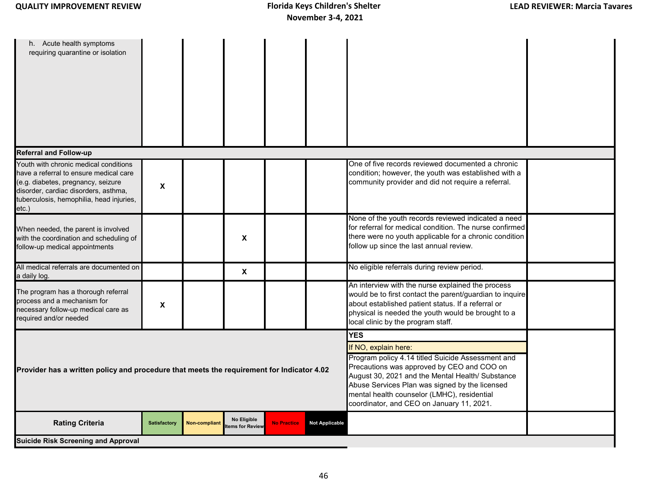| h. Acute health symptoms<br>requiring quarantine or isolation                                                                                                                                                      |                     |                      |                                |                    |                                                                                                                                                                                                                                                                                                                                         |                                                                                                                                                                                                                                                                 |  |
|--------------------------------------------------------------------------------------------------------------------------------------------------------------------------------------------------------------------|---------------------|----------------------|--------------------------------|--------------------|-----------------------------------------------------------------------------------------------------------------------------------------------------------------------------------------------------------------------------------------------------------------------------------------------------------------------------------------|-----------------------------------------------------------------------------------------------------------------------------------------------------------------------------------------------------------------------------------------------------------------|--|
| <b>Referral and Follow-up</b>                                                                                                                                                                                      |                     |                      |                                |                    |                                                                                                                                                                                                                                                                                                                                         |                                                                                                                                                                                                                                                                 |  |
| Youth with chronic medical conditions<br>have a referral to ensure medical care<br>(e.g. diabetes, pregnancy, seizure<br>disorder, cardiac disorders, asthma,<br>tuberculosis, hemophilia, head injuries,<br>etc.) | X                   |                      |                                |                    |                                                                                                                                                                                                                                                                                                                                         | One of five records reviewed documented a chronic<br>condition; however, the youth was established with a<br>community provider and did not require a referral.                                                                                                 |  |
| When needed, the parent is involved<br>with the coordination and scheduling of<br>follow-up medical appointments                                                                                                   |                     |                      | X                              |                    |                                                                                                                                                                                                                                                                                                                                         | None of the youth records reviewed indicated a need<br>for referral for medical condition. The nurse confirmed<br>there were no youth applicable for a chronic condition<br>follow up since the last annual review.                                             |  |
| All medical referrals are documented on<br>a daily log.                                                                                                                                                            |                     |                      | $\boldsymbol{\mathsf{X}}$      |                    |                                                                                                                                                                                                                                                                                                                                         | No eligible referrals during review period.                                                                                                                                                                                                                     |  |
| The program has a thorough referral<br>process and a mechanism for<br>necessary follow-up medical care as<br>required and/or needed                                                                                | $\pmb{\mathsf{X}}$  |                      |                                |                    |                                                                                                                                                                                                                                                                                                                                         | An interview with the nurse explained the process<br>would be to first contact the parent/guardian to inquire<br>about established patient status. If a referral or<br>physical is needed the youth would be brought to a<br>local clinic by the program staff. |  |
| Provider has a written policy and procedure that meets the requirement for Indicator 4.02                                                                                                                          |                     |                      |                                |                    | <b>YES</b><br>If NO, explain here:<br>Program policy 4.14 titled Suicide Assessment and<br>Precautions was approved by CEO and COO on<br>August 30, 2021 and the Mental Health/ Substance<br>Abuse Services Plan was signed by the licensed<br>mental health counselor (LMHC), residential<br>coordinator, and CEO on January 11, 2021. |                                                                                                                                                                                                                                                                 |  |
| <b>Rating Criteria</b>                                                                                                                                                                                             | <b>Satisfactory</b> | <b>Non-compliant</b> | No Eligible<br>tems for Review | <b>No Practice</b> | <b>Not Applicable</b>                                                                                                                                                                                                                                                                                                                   |                                                                                                                                                                                                                                                                 |  |
| <b>Suicide Risk Screening and Approval</b>                                                                                                                                                                         |                     |                      |                                |                    |                                                                                                                                                                                                                                                                                                                                         |                                                                                                                                                                                                                                                                 |  |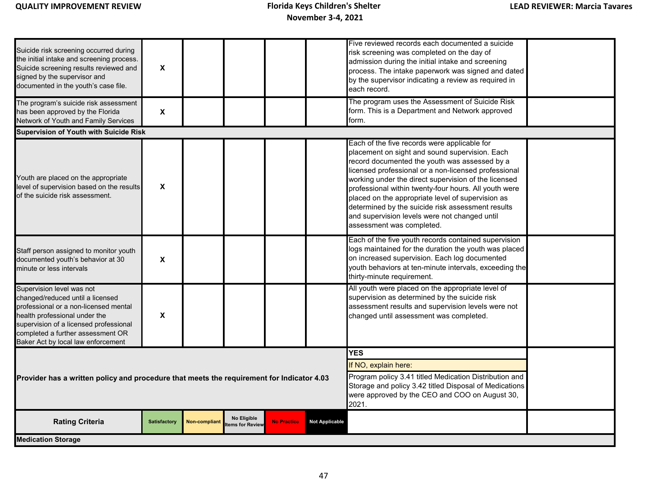| Suicide risk screening occurred during<br>the initial intake and screening process.<br>Suicide screening results reviewed and<br>signed by the supervisor and<br>documented in the youth's case file.                                                        | X                   |                      |                                                                                                                                                                                                                   |                    |                       | Five reviewed records each documented a suicide<br>risk screening was completed on the day of<br>admission during the initial intake and screening<br>process. The intake paperwork was signed and dated<br>by the supervisor indicating a review as required in<br>each record.                                                                                                                                                                                                                                 |  |
|--------------------------------------------------------------------------------------------------------------------------------------------------------------------------------------------------------------------------------------------------------------|---------------------|----------------------|-------------------------------------------------------------------------------------------------------------------------------------------------------------------------------------------------------------------|--------------------|-----------------------|------------------------------------------------------------------------------------------------------------------------------------------------------------------------------------------------------------------------------------------------------------------------------------------------------------------------------------------------------------------------------------------------------------------------------------------------------------------------------------------------------------------|--|
| The program's suicide risk assessment<br>has been approved by the Florida<br>Network of Youth and Family Services                                                                                                                                            | X                   |                      |                                                                                                                                                                                                                   |                    |                       | The program uses the Assessment of Suicide Risk<br>form. This is a Department and Network approved<br>form.                                                                                                                                                                                                                                                                                                                                                                                                      |  |
| Supervision of Youth with Suicide Risk                                                                                                                                                                                                                       |                     |                      |                                                                                                                                                                                                                   |                    |                       |                                                                                                                                                                                                                                                                                                                                                                                                                                                                                                                  |  |
| Youth are placed on the appropriate<br>level of supervision based on the results<br>of the suicide risk assessment.                                                                                                                                          | X                   |                      |                                                                                                                                                                                                                   |                    |                       | Each of the five records were applicable for<br>placement on sight and sound supervision. Each<br>record documented the youth was assessed by a<br>licensed professional or a non-licensed professional<br>working under the direct supervision of the licensed<br>professional within twenty-four hours. All youth were<br>placed on the appropriate level of supervision as<br>determined by the suicide risk assessment results<br>and supervision levels were not changed until<br>assessment was completed. |  |
| Staff person assigned to monitor youth<br>documented youth's behavior at 30<br>minute or less intervals                                                                                                                                                      | X                   |                      |                                                                                                                                                                                                                   |                    |                       | Each of the five youth records contained supervision<br>logs maintained for the duration the youth was placed<br>on increased supervision. Each log documented<br>youth behaviors at ten-minute intervals, exceeding the<br>thirty-minute requirement.                                                                                                                                                                                                                                                           |  |
| Supervision level was not<br>changed/reduced until a licensed<br>professional or a non-licensed mental<br>health professional under the<br>supervision of a licensed professional<br>completed a further assessment OR<br>Baker Act by local law enforcement | X                   |                      |                                                                                                                                                                                                                   |                    |                       | All youth were placed on the appropriate level of<br>supervision as determined by the suicide risk<br>assessment results and supervision levels were not<br>changed until assessment was completed.                                                                                                                                                                                                                                                                                                              |  |
| Provider has a written policy and procedure that meets the requirement for Indicator 4.03                                                                                                                                                                    |                     |                      | <b>YES</b><br>If NO, explain here:<br>Program policy 3.41 titled Medication Distribution and<br>Storage and policy 3.42 titled Disposal of Medications<br>were approved by the CEO and COO on August 30,<br>2021. |                    |                       |                                                                                                                                                                                                                                                                                                                                                                                                                                                                                                                  |  |
| <b>Rating Criteria</b>                                                                                                                                                                                                                                       | <b>Satisfactory</b> | <b>Non-compliant</b> | No Eligible<br>tems for Review                                                                                                                                                                                    | <b>No Practice</b> | <b>Not Applicable</b> |                                                                                                                                                                                                                                                                                                                                                                                                                                                                                                                  |  |
| <b>Medication Storage</b>                                                                                                                                                                                                                                    |                     |                      |                                                                                                                                                                                                                   |                    |                       |                                                                                                                                                                                                                                                                                                                                                                                                                                                                                                                  |  |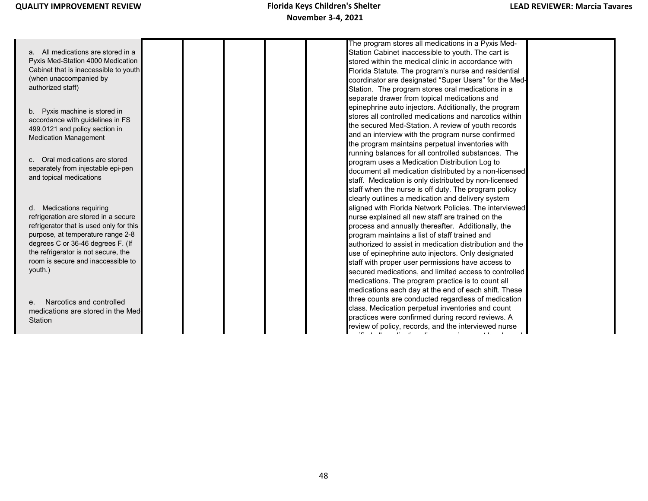|                                         |  | The program stores all medications in a Pyxis Med-                                 |  |
|-----------------------------------------|--|------------------------------------------------------------------------------------|--|
| a. All medications are stored in a      |  | Station Cabinet inaccessible to youth. The cart is                                 |  |
| Pyxis Med-Station 4000 Medication       |  | stored within the medical clinic in accordance with                                |  |
| Cabinet that is inaccessible to youth   |  | Florida Statute. The program's nurse and residential                               |  |
| (when unaccompanied by                  |  | coordinator are designated "Super Users" for the Med-                              |  |
| authorized staff)                       |  |                                                                                    |  |
|                                         |  | Station. The program stores oral medications in a                                  |  |
|                                         |  | separate drawer from topical medications and                                       |  |
| b. Pyxis machine is stored in           |  | epinephrine auto injectors. Additionally, the program                              |  |
| accordance with guidelines in FS        |  | stores all controlled medications and narcotics within                             |  |
| 499.0121 and policy section in          |  | the secured Med-Station. A review of youth records                                 |  |
| <b>Medication Management</b>            |  | and an interview with the program nurse confirmed                                  |  |
|                                         |  | the program maintains perpetual inventories with                                   |  |
|                                         |  | running balances for all controlled substances. The                                |  |
| c. Oral medications are stored          |  | program uses a Medication Distribution Log to                                      |  |
| separately from injectable epi-pen      |  | document all medication distributed by a non-licensed                              |  |
| and topical medications                 |  | staff. Medication is only distributed by non-licensed                              |  |
|                                         |  | staff when the nurse is off duty. The program policy                               |  |
|                                         |  | clearly outlines a medication and delivery system                                  |  |
| d. Medications requiring                |  | aligned with Florida Network Policies. The interviewed                             |  |
| refrigeration are stored in a secure    |  | nurse explained all new staff are trained on the                                   |  |
| refrigerator that is used only for this |  | process and annually thereafter. Additionally, the                                 |  |
| purpose, at temperature range 2-8       |  | program maintains a list of staff trained and                                      |  |
| degrees C or 36-46 degrees F. (If       |  | authorized to assist in medication distribution and the                            |  |
| the refrigerator is not secure, the     |  | use of epinephrine auto injectors. Only designated                                 |  |
| room is secure and inaccessible to      |  | staff with proper user permissions have access to                                  |  |
| youth.)                                 |  | secured medications, and limited access to controlled                              |  |
|                                         |  | medications. The program practice is to count all                                  |  |
|                                         |  | medications each day at the end of each shift. These                               |  |
|                                         |  | three counts are conducted regardless of medication                                |  |
| Narcotics and controlled                |  | class. Medication perpetual inventories and count                                  |  |
| medications are stored in the Med-      |  |                                                                                    |  |
| Station                                 |  | practices were confirmed during record reviews. A                                  |  |
|                                         |  | review of policy, records, and the interviewed nurse<br>de la militar de la carac- |  |
|                                         |  |                                                                                    |  |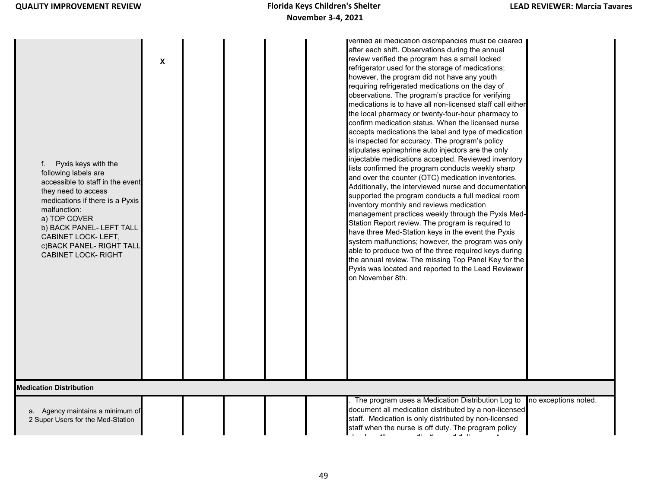| Pyxis keys with the<br>f.<br>following labels are<br>accessible to staff in the event<br>they need to access<br>medications if there is a Pyxis<br>malfunction:<br>a) TOP COVER<br>b) BACK PANEL- LEFT TALL<br>CABINET LOCK- LEFT,<br>c) BACK PANEL- RIGHT TALL<br><b>CABINET LOCK- RIGHT</b> | $\mathbf x$ | verified all medication discrepancies must be cleared<br>after each shift. Observations during the annual<br>review verified the program has a small locked<br>refrigerator used for the storage of medications;<br>however, the program did not have any youth<br>requiring refrigerated medications on the day of<br>observations. The program's practice for verifying<br>medications is to have all non-licensed staff call either<br>the local pharmacy or twenty-four-hour pharmacy to<br>confirm medication status. When the licensed nurse<br>accepts medications the label and type of medication<br>is inspected for accuracy. The program's policy<br>stipulates epinephrine auto injectors are the only<br>injectable medications accepted. Reviewed inventory<br>lists confirmed the program conducts weekly sharp<br>and over the counter (OTC) medication inventories.<br>Additionally, the interviewed nurse and documentation<br>supported the program conducts a full medical room<br>inventory monthly and reviews medication<br>management practices weekly through the Pyxis Med-<br>Station Report review. The program is required to<br>have three Med-Station keys in the event the Pyxis<br>system malfunctions; however, the program was only<br>able to produce two of the three required keys during<br>the annual review. The missing Top Panel Key for the<br>Pyxis was located and reported to the Lead Reviewer<br>on November 8th. |
|-----------------------------------------------------------------------------------------------------------------------------------------------------------------------------------------------------------------------------------------------------------------------------------------------|-------------|---------------------------------------------------------------------------------------------------------------------------------------------------------------------------------------------------------------------------------------------------------------------------------------------------------------------------------------------------------------------------------------------------------------------------------------------------------------------------------------------------------------------------------------------------------------------------------------------------------------------------------------------------------------------------------------------------------------------------------------------------------------------------------------------------------------------------------------------------------------------------------------------------------------------------------------------------------------------------------------------------------------------------------------------------------------------------------------------------------------------------------------------------------------------------------------------------------------------------------------------------------------------------------------------------------------------------------------------------------------------------------------------------------------------------------------------------------------------|
| <b>Medication Distribution</b>                                                                                                                                                                                                                                                                |             |                                                                                                                                                                                                                                                                                                                                                                                                                                                                                                                                                                                                                                                                                                                                                                                                                                                                                                                                                                                                                                                                                                                                                                                                                                                                                                                                                                                                                                                                     |
| a. Agency maintains a minimum of<br>2 Super Users for the Med-Station                                                                                                                                                                                                                         |             | The program uses a Medication Distribution Log to<br>no exceptions noted.<br>document all medication distributed by a non-licensed<br>staff. Medication is only distributed by non-licensed<br>staff when the nurse is off duty. The program policy<br>$\sim 100$<br><b>The Contract</b>                                                                                                                                                                                                                                                                                                                                                                                                                                                                                                                                                                                                                                                                                                                                                                                                                                                                                                                                                                                                                                                                                                                                                                            |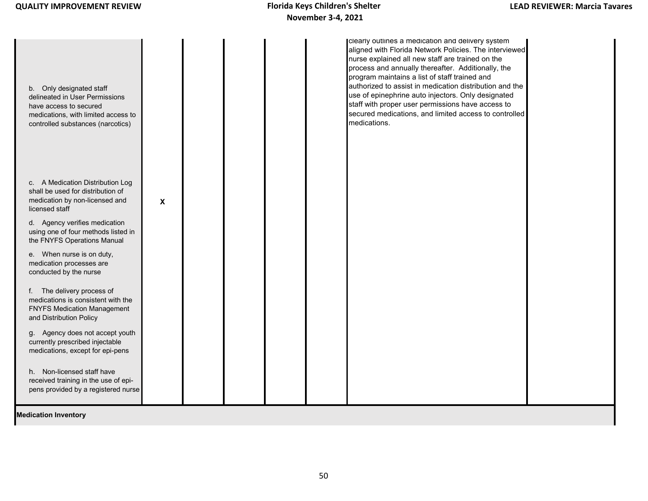## **November 3-4, 2021** Florida Keys Children's Shelter

| b. Only designated staff<br>delineated in User Permissions<br>have access to secured<br>medications, with limited access to<br>controlled substances (narcotics) |                           |  |  | clearly outlines a medication and delivery system<br>aligned with Florida Network Policies. The interviewed<br>nurse explained all new staff are trained on the<br>process and annually thereafter. Additionally, the<br>program maintains a list of staff trained and<br>authorized to assist in medication distribution and the<br>use of epinephrine auto injectors. Only designated<br>staff with proper user permissions have access to<br>secured medications, and limited access to controlled<br>medications. |  |
|------------------------------------------------------------------------------------------------------------------------------------------------------------------|---------------------------|--|--|-----------------------------------------------------------------------------------------------------------------------------------------------------------------------------------------------------------------------------------------------------------------------------------------------------------------------------------------------------------------------------------------------------------------------------------------------------------------------------------------------------------------------|--|
| c. A Medication Distribution Log<br>shall be used for distribution of<br>medication by non-licensed and<br>licensed staff                                        | $\boldsymbol{\mathsf{X}}$ |  |  |                                                                                                                                                                                                                                                                                                                                                                                                                                                                                                                       |  |
| d. Agency verifies medication<br>using one of four methods listed in<br>the FNYFS Operations Manual                                                              |                           |  |  |                                                                                                                                                                                                                                                                                                                                                                                                                                                                                                                       |  |
| e. When nurse is on duty,<br>medication processes are<br>conducted by the nurse                                                                                  |                           |  |  |                                                                                                                                                                                                                                                                                                                                                                                                                                                                                                                       |  |
| f. The delivery process of<br>medications is consistent with the<br><b>FNYFS Medication Management</b><br>and Distribution Policy                                |                           |  |  |                                                                                                                                                                                                                                                                                                                                                                                                                                                                                                                       |  |
| g. Agency does not accept youth<br>currently prescribed injectable<br>medications, except for epi-pens                                                           |                           |  |  |                                                                                                                                                                                                                                                                                                                                                                                                                                                                                                                       |  |
| h. Non-licensed staff have<br>received training in the use of epi-<br>pens provided by a registered nurse                                                        |                           |  |  |                                                                                                                                                                                                                                                                                                                                                                                                                                                                                                                       |  |
| <b>Medication Inventory</b>                                                                                                                                      |                           |  |  |                                                                                                                                                                                                                                                                                                                                                                                                                                                                                                                       |  |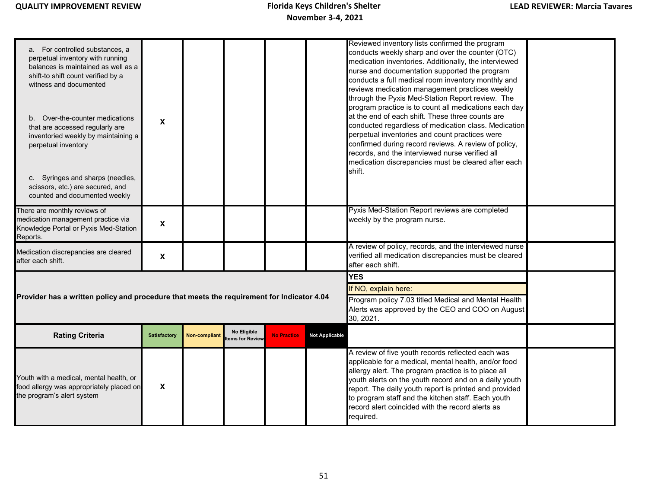| a. For controlled substances, a<br>perpetual inventory with running<br>balances is maintained as well as a<br>shift-to shift count verified by a<br>witness and documented<br>b. Over-the-counter medications<br>that are accessed regularly are<br>inventoried weekly by maintaining a<br>perpetual inventory<br>c. Syringes and sharps (needles,<br>scissors, etc.) are secured, and | X                   |               |                                |                                                                                                                       |                       | Reviewed inventory lists confirmed the program<br>conducts weekly sharp and over the counter (OTC)<br>medication inventories. Additionally, the interviewed<br>nurse and documentation supported the program<br>conducts a full medical room inventory monthly and<br>reviews medication management practices weekly<br>through the Pyxis Med-Station Report review. The<br>program practice is to count all medications each day<br>at the end of each shift. These three counts are<br>conducted regardless of medication class. Medication<br>perpetual inventories and count practices were<br>confirmed during record reviews. A review of policy,<br>records, and the interviewed nurse verified all<br>medication discrepancies must be cleared after each<br>shift. |  |
|----------------------------------------------------------------------------------------------------------------------------------------------------------------------------------------------------------------------------------------------------------------------------------------------------------------------------------------------------------------------------------------|---------------------|---------------|--------------------------------|-----------------------------------------------------------------------------------------------------------------------|-----------------------|-----------------------------------------------------------------------------------------------------------------------------------------------------------------------------------------------------------------------------------------------------------------------------------------------------------------------------------------------------------------------------------------------------------------------------------------------------------------------------------------------------------------------------------------------------------------------------------------------------------------------------------------------------------------------------------------------------------------------------------------------------------------------------|--|
| counted and documented weekly                                                                                                                                                                                                                                                                                                                                                          |                     |               |                                |                                                                                                                       |                       |                                                                                                                                                                                                                                                                                                                                                                                                                                                                                                                                                                                                                                                                                                                                                                             |  |
| There are monthly reviews of<br>medication management practice via<br>Knowledge Portal or Pyxis Med-Station<br>Reports.                                                                                                                                                                                                                                                                | $\pmb{\mathsf{X}}$  |               |                                |                                                                                                                       |                       | Pyxis Med-Station Report reviews are completed<br>weekly by the program nurse.                                                                                                                                                                                                                                                                                                                                                                                                                                                                                                                                                                                                                                                                                              |  |
| Medication discrepancies are cleared<br>after each shift.                                                                                                                                                                                                                                                                                                                              | X                   |               |                                |                                                                                                                       |                       | A review of policy, records, and the interviewed nurse<br>verified all medication discrepancies must be cleared<br>after each shift.                                                                                                                                                                                                                                                                                                                                                                                                                                                                                                                                                                                                                                        |  |
|                                                                                                                                                                                                                                                                                                                                                                                        |                     |               |                                |                                                                                                                       |                       | <b>YES</b>                                                                                                                                                                                                                                                                                                                                                                                                                                                                                                                                                                                                                                                                                                                                                                  |  |
|                                                                                                                                                                                                                                                                                                                                                                                        |                     |               |                                |                                                                                                                       |                       | If NO, explain here:                                                                                                                                                                                                                                                                                                                                                                                                                                                                                                                                                                                                                                                                                                                                                        |  |
| Provider has a written policy and procedure that meets the requirement for Indicator 4.04                                                                                                                                                                                                                                                                                              |                     |               |                                | Program policy 7.03 titled Medical and Mental Health<br>Alerts was approved by the CEO and COO on August<br>30, 2021. |                       |                                                                                                                                                                                                                                                                                                                                                                                                                                                                                                                                                                                                                                                                                                                                                                             |  |
| <b>Rating Criteria</b>                                                                                                                                                                                                                                                                                                                                                                 | <b>Satisfactory</b> | Non-compliant | No Eligible<br>tems for Review | <b>No Practice</b>                                                                                                    | <b>Not Applicable</b> |                                                                                                                                                                                                                                                                                                                                                                                                                                                                                                                                                                                                                                                                                                                                                                             |  |
| Youth with a medical, mental health, or<br>food allergy was appropriately placed on<br>the program's alert system                                                                                                                                                                                                                                                                      | X                   |               |                                |                                                                                                                       |                       | A review of five youth records reflected each was<br>applicable for a medical, mental health, and/or food<br>allergy alert. The program practice is to place all<br>youth alerts on the youth record and on a daily youth<br>report. The daily youth report is printed and provided<br>to program staff and the kitchen staff. Each youth<br>record alert coincided with the record alerts as<br>required.                                                                                                                                                                                                                                                                                                                                                                  |  |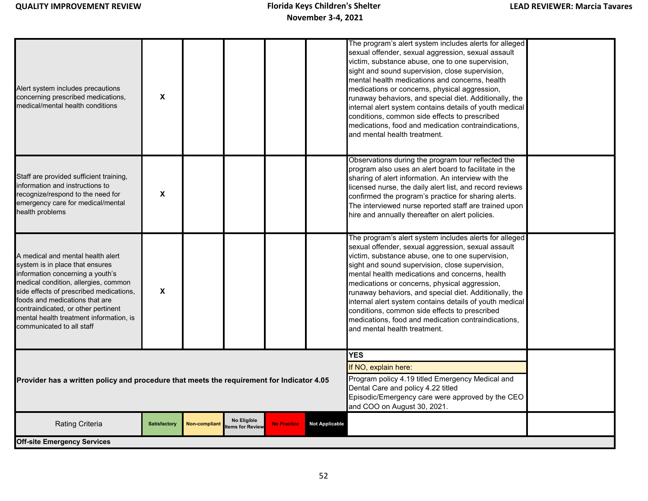| Alert system includes precautions<br>concerning prescribed medications,<br>medical/mental health conditions                                                                                                                                                                                                                                  | $\boldsymbol{\mathsf{X}}$ |                      |                                |                    |                       | The program's alert system includes alerts for alleged<br>sexual offender, sexual aggression, sexual assault<br>victim, substance abuse, one to one supervision,<br>sight and sound supervision, close supervision,<br>mental health medications and concerns, health<br>medications or concerns, physical aggression,<br>runaway behaviors, and special diet. Additionally, the<br>internal alert system contains details of youth medical<br>conditions, common side effects to prescribed<br>medications, food and medication contraindications,<br>and mental health treatment. |  |
|----------------------------------------------------------------------------------------------------------------------------------------------------------------------------------------------------------------------------------------------------------------------------------------------------------------------------------------------|---------------------------|----------------------|--------------------------------|--------------------|-----------------------|-------------------------------------------------------------------------------------------------------------------------------------------------------------------------------------------------------------------------------------------------------------------------------------------------------------------------------------------------------------------------------------------------------------------------------------------------------------------------------------------------------------------------------------------------------------------------------------|--|
| Staff are provided sufficient training,<br>information and instructions to<br>recognize/respond to the need for<br>emergency care for medical/mental<br>health problems                                                                                                                                                                      | X                         |                      |                                |                    |                       | Observations during the program tour reflected the<br>program also uses an alert board to facilitate in the<br>sharing of alert information. An interview with the<br>licensed nurse, the daily alert list, and record reviews<br>confirmed the program's practice for sharing alerts.<br>The interviewed nurse reported staff are trained upon<br>hire and annually thereafter on alert policies.                                                                                                                                                                                  |  |
| A medical and mental health alert<br>system is in place that ensures<br>information concerning a youth's<br>medical condition, allergies, common<br>side effects of prescribed medications,<br>foods and medications that are<br>contraindicated, or other pertinent<br>mental health treatment information, is<br>communicated to all staff | X                         |                      |                                |                    |                       | The program's alert system includes alerts for alleged<br>sexual offender, sexual aggression, sexual assault<br>victim, substance abuse, one to one supervision,<br>sight and sound supervision, close supervision,<br>mental health medications and concerns, health<br>medications or concerns, physical aggression,<br>runaway behaviors, and special diet. Additionally, the<br>internal alert system contains details of youth medical<br>conditions, common side effects to prescribed<br>medications, food and medication contraindications,<br>and mental health treatment. |  |
| <b>YES</b><br>If NO, explain here:<br>Program policy 4.19 titled Emergency Medical and<br>Provider has a written policy and procedure that meets the requirement for Indicator 4.05<br>Dental Care and policy 4.22 titled<br>Episodic/Emergency care were approved by the CEO<br>and COO on August 30, 2021.                                 |                           |                      |                                |                    |                       |                                                                                                                                                                                                                                                                                                                                                                                                                                                                                                                                                                                     |  |
| <b>Rating Criteria</b>                                                                                                                                                                                                                                                                                                                       | <b>Satisfactory</b>       | <b>Non-compliant</b> | No Eligible<br>tems for Review | <b>No Practice</b> | <b>Not Applicable</b> |                                                                                                                                                                                                                                                                                                                                                                                                                                                                                                                                                                                     |  |
| <b>Off-site Emergency Services</b>                                                                                                                                                                                                                                                                                                           |                           |                      |                                |                    |                       |                                                                                                                                                                                                                                                                                                                                                                                                                                                                                                                                                                                     |  |